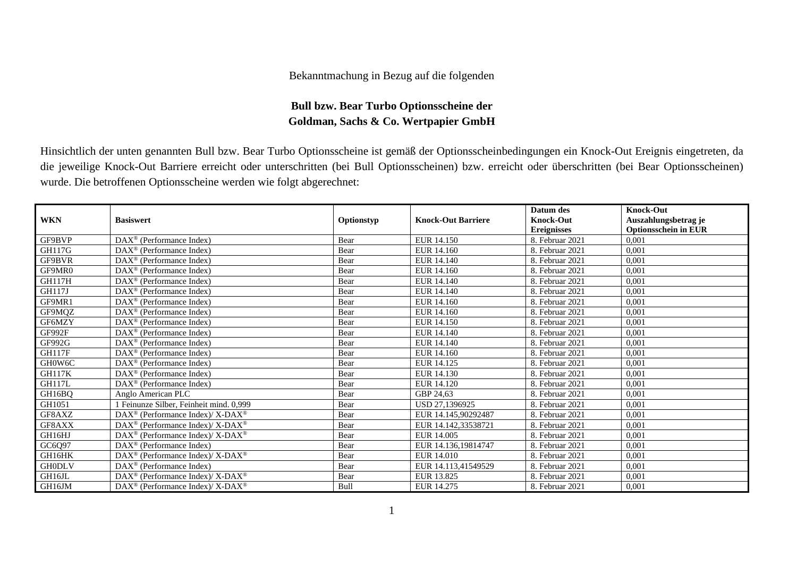## Bekanntmachung in Bezug auf die folgenden

## **Bull bzw. Bear Turbo Optionsscheine der Goldman, Sachs & Co. Wertpapier GmbH**

Hinsichtlich der unten genannten Bull bzw. Bear Turbo Optionsscheine ist gemäß der Optionsscheinbedingungen ein Knock-Out Ereignis eingetreten, da die jeweilige Knock-Out Barriere erreicht oder unterschritten (bei Bull Optionsscheinen) bzw. erreicht oder überschritten (bei Bear Optionsscheinen) wurde. Die betroffenen Optionsscheine werden wie folgt abgerechnet:

|               |                                                                         |            |                           | Datum des          | <b>Knock-Out</b>            |
|---------------|-------------------------------------------------------------------------|------------|---------------------------|--------------------|-----------------------------|
| <b>WKN</b>    | <b>Basiswert</b>                                                        | Optionstyp | <b>Knock-Out Barriere</b> | <b>Knock-Out</b>   | Auszahlungsbetrag je        |
|               |                                                                         |            |                           | <b>Ereignisses</b> | <b>Optionsschein in EUR</b> |
| GF9BVP        | $DAX^{\circledcirc}$ (Performance Index)                                | Bear       | EUR 14.150                | 8. Februar 2021    | 0.001                       |
| <b>GH117G</b> | $DAX^{\circledR}$ (Performance Index)                                   | Bear       | EUR 14.160                | 8. Februar 2021    | 0,001                       |
| GF9BVR        | DAX <sup>®</sup> (Performance Index)                                    | Bear       | EUR 14.140                | 8. Februar 2021    | 0,001                       |
| GF9MR0        | $DAX^{\circledcirc}$ (Performance Index)                                | Bear       | EUR 14.160                | 8. Februar 2021    | 0,001                       |
| <b>GH117H</b> | $DAX^{\circledcirc}$ (Performance Index)                                | Bear       | EUR 14.140                | 8. Februar 2021    | 0,001                       |
| <b>GH117J</b> | $DAX^{\circledcirc}$ (Performance Index)                                | Bear       | EUR 14.140                | 8. Februar 2021    | 0.001                       |
| GF9MR1        | $DAX^{\circledR}$ (Performance Index)                                   | Bear       | EUR 14.160                | 8. Februar 2021    | 0,001                       |
| GF9MQZ        | $DAX^{\circledcirc}$ (Performance Index)                                | Bear       | EUR 14.160                | 8. Februar 2021    | 0,001                       |
| GF6MZY        | $DAX^{\circledcirc}$ (Performance Index)                                | Bear       | EUR 14.150                | 8. Februar 2021    | 0,001                       |
| GF992F        | $\text{DAX}^{\circledast}$ (Performance Index)                          | Bear       | EUR 14.140                | 8. Februar 2021    | 0,001                       |
| GF992G        | $DAX^{\circledR}$ (Performance Index)                                   | Bear       | EUR 14.140                | 8. Februar 2021    | 0,001                       |
| <b>GH117F</b> | $DAX^{\circledcirc}$ (Performance Index)                                | Bear       | EUR 14.160                | 8. Februar 2021    | 0,001                       |
| GH0W6C        | $DAX^{\circledcirc}$ (Performance Index)                                | Bear       | EUR 14.125                | 8. Februar 2021    | 0,001                       |
| <b>GH117K</b> | $DAX^{\circledR}$ (Performance Index)                                   | Bear       | EUR 14.130                | 8. Februar 2021    | 0,001                       |
| <b>GH117L</b> | DAX <sup>®</sup> (Performance Index)                                    | Bear       | EUR 14.120                | 8. Februar 2021    | 0.001                       |
| GH16BO        | Anglo American PLC                                                      | Bear       | GBP 24,63                 | 8. Februar 2021    | 0,001                       |
| GH1051        | 1 Feinunze Silber, Feinheit mind. 0,999                                 | Bear       | USD 27,1396925            | 8. Februar 2021    | 0,001                       |
| GF8AXZ        | DAX <sup>®</sup> (Performance Index)/X-DAX <sup>®</sup>                 | Bear       | EUR 14.145,90292487       | 8. Februar 2021    | 0.001                       |
| GF8AXX        | DAX <sup>®</sup> (Performance Index)/ X-DAX <sup>®</sup>                | Bear       | EUR 14.142,33538721       | 8. Februar 2021    | 0.001                       |
| GH16HJ        | $DAX^{\omega}$ (Performance Index)/X-DAX <sup><math>\omega</math></sup> | Bear       | EUR 14.005                | 8. Februar 2021    | 0,001                       |
| GC6Q97        | $DAX^{\circledcirc}$ (Performance Index)                                | Bear       | EUR 14.136.19814747       | 8. Februar 2021    | 0.001                       |
| GH16HK        | DAX <sup>®</sup> (Performance Index)/ X-DAX <sup>®</sup>                | Bear       | EUR 14.010                | 8. Februar 2021    | 0,001                       |
| <b>GH0DLV</b> | $DAX^{\circledcirc}$ (Performance Index)                                | Bear       | EUR 14.113,41549529       | 8. Februar 2021    | 0,001                       |
| GH16JL        | DAX <sup>®</sup> (Performance Index)/X-DAX <sup>®</sup>                 | Bear       | EUR 13.825                | 8. Februar 2021    | 0,001                       |
| GH16JM        | DAX <sup>®</sup> (Performance Index)/ X-DAX <sup>®</sup>                | Bull       | EUR 14.275                | 8. Februar 2021    | 0,001                       |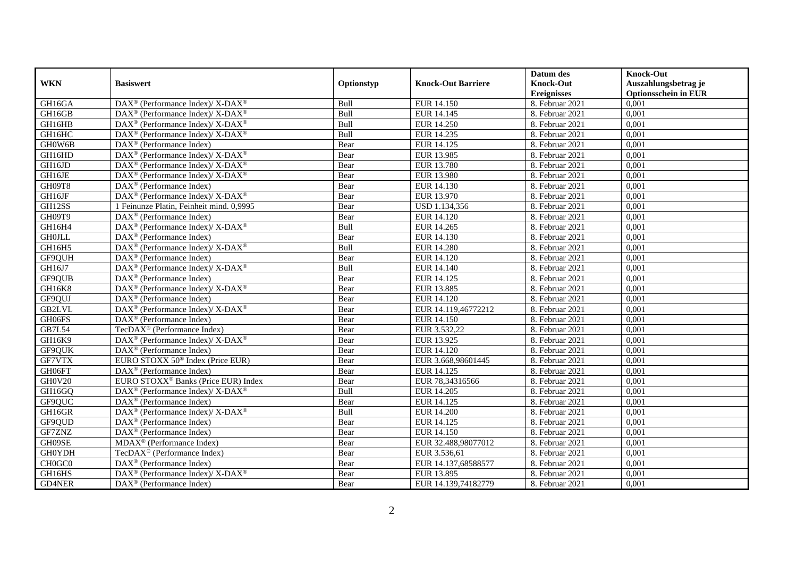|               |                                                                    |            |                           | Datum des          | <b>Knock-Out</b>            |
|---------------|--------------------------------------------------------------------|------------|---------------------------|--------------------|-----------------------------|
| <b>WKN</b>    | <b>Basiswert</b>                                                   | Optionstyp | <b>Knock-Out Barriere</b> | <b>Knock-Out</b>   | Auszahlungsbetrag je        |
|               |                                                                    |            |                           | <b>Ereignisses</b> | <b>Optionsschein in EUR</b> |
| GH16GA        | DAX <sup>®</sup> (Performance Index)/X-DAX <sup>®</sup>            | Bull       | EUR 14.150                | 8. Februar 2021    | 0,001                       |
| GH16GB        | $\text{DAX}^{\circledast}$ (Performance Index)/ X-DAX <sup>®</sup> | Bull       | EUR 14.145                | 8. Februar 2021    | 0,001                       |
| GH16HB        | $\text{DAX}^{\circledast}$ (Performance Index)/ X-DAX <sup>®</sup> | Bull       | EUR 14.250                | 8. Februar 2021    | 0,001                       |
| GH16HC        | $DAX^{\circledcirc}$ (Performance Index)/X-DAX <sup>®</sup>        | Bull       | EUR 14.235                | 8. Februar 2021    | 0,001                       |
| GH0W6B        | DAX <sup>®</sup> (Performance Index)                               | Bear       | EUR 14.125                | 8. Februar 2021    | 0,001                       |
| GH16HD        | DAX <sup>®</sup> (Performance Index)/X-DAX <sup>®</sup>            | Bear       | EUR 13.985                | 8. Februar 2021    | 0,001                       |
| GH16JD        | $DAX^{\circledcirc}$ (Performance Index)/ X-DAX <sup>®</sup>       | Bear       | EUR 13.780                | 8. Februar 2021    | 0,001                       |
| GH16JE        | $\text{DAX}^{\circledast}$ (Performance Index)/ X-DAX <sup>®</sup> | Bear       | EUR 13.980                | 8. Februar 2021    | 0,001                       |
| GH09T8        | $\text{DAX}^{\textcircled{n}}$ (Performance Index)                 | Bear       | EUR 14.130                | 8. Februar 2021    | 0,001                       |
| GH16JF        | DAX <sup>®</sup> (Performance Index)/ X-DAX <sup>®</sup>           | Bear       | EUR 13.970                | 8. Februar 2021    | 0,001                       |
| GH12SS        | 1 Feinunze Platin, Feinheit mind. 0.9995                           | Bear       | USD 1.134,356             | 8. Februar 2021    | 0,001                       |
| GH09T9        | DAX <sup>®</sup> (Performance Index)                               | Bear       | EUR 14.120                | 8. Februar 2021    | 0,001                       |
| GH16H4        | $\text{DAX}^{\circledR}$ (Performance Index)/ X-DAX <sup>®</sup>   | Bull       | EUR 14.265                | 8. Februar 2021    | 0,001                       |
| <b>GH0JLL</b> | $DAX^{\circledR}$ (Performance Index)                              | Bear       | EUR 14.130                | 8. Februar 2021    | 0,001                       |
| GH16H5        | DAX <sup>®</sup> (Performance Index)/X-DAX <sup>®</sup>            | Bull       | <b>EUR 14.280</b>         | 8. Februar 2021    | 0,001                       |
| GF9QUH        | DAX <sup>®</sup> (Performance Index)                               | Bear       | EUR 14.120                | 8. Februar 2021    | 0,001                       |
| GH16J7        | DAX <sup>®</sup> (Performance Index)/X-DAX <sup>®</sup>            | Bull       | EUR 14.140                | 8. Februar 2021    | 0,001                       |
| GF9QUB        | $DAX^{\circledR}$ (Performance Index)                              | Bear       | EUR 14.125                | 8. Februar 2021    | 0,001                       |
| GH16K8        | $\text{DAX}^{\circledR}$ (Performance Index)/ X-DAX <sup>®</sup>   | Bear       | <b>EUR 13.885</b>         | 8. Februar 2021    | 0,001                       |
| GF9QUJ        | DAX <sup>®</sup> (Performance Index)                               | Bear       | EUR 14.120                | 8. Februar 2021    | 0,001                       |
| <b>GB2LVL</b> | $\text{DAX}^{\circledR}$ (Performance Index)/ X-DAX <sup>®</sup>   | Bear       | EUR 14.119,46772212       | 8. Februar 2021    | 0,001                       |
| GH06FS        | $\overline{\text{DAX}^{\otimes}}$ (Performance Index)              | Bear       | <b>EUR 14.150</b>         | 8. Februar 2021    | 0,001                       |
| <b>GB7L54</b> | TecDAX <sup>®</sup> (Performance Index)                            | Bear       | EUR 3.532,22              | 8. Februar 2021    | 0,001                       |
| GH16K9        | $\text{DAX}^{\circledR}$ (Performance Index)/ X-DAX <sup>®</sup>   | Bear       | EUR 13.925                | 8. Februar 2021    | 0,001                       |
| GF9QUK        | $DAX^{\circledR}$ (Performance Index)                              | Bear       | EUR 14.120                | 8. Februar 2021    | 0.001                       |
| GF7VTX        | EURO STOXX $50^{\circ}$ Index (Price EUR)                          | Bear       | EUR 3.668,98601445        | 8. Februar 2021    | 0,001                       |
| GH06FT        | DAX <sup>®</sup> (Performance Index)                               | Bear       | EUR 14.125                | 8. Februar 2021    | 0,001                       |
| GH0V20        | EURO STOXX <sup>®</sup> Banks (Price EUR) Index                    | Bear       | EUR 78,34316566           | 8. Februar 2021    | 0,001                       |
| GH16GQ        | $\text{DAX}^{\circledR}$ (Performance Index)/ X-DAX <sup>®</sup>   | Bull       | EUR 14.205                | 8. Februar 2021    | 0,001                       |
| GF9QUC        | $\text{DAX}^{\circledast}$ (Performance Index)                     | Bear       | EUR 14.125                | 8. Februar 2021    | 0,001                       |
| GH16GR        | $\text{DAX}^{\circledast}$ (Performance Index)/X-DAX <sup>®</sup>  | Bull       | <b>EUR 14.200</b>         | 8. Februar 2021    | 0,001                       |
| GF9QUD        | $DAX^{\circledR}$ (Performance Index)                              | Bear       | EUR 14.125                | 8. Februar 2021    | 0,001                       |
| GF7ZNZ        | $\overline{\text{DAX}^{\otimes}}$ (Performance Index)              | Bear       | EUR 14.150                | 8. Februar 2021    | 0,001                       |
| GH09SE        | MDAX <sup>®</sup> (Performance Index)                              | Bear       | EUR 32.488,98077012       | 8. Februar 2021    | 0,001                       |
| <b>GH0YDH</b> | TecDAX <sup>®</sup> (Performance Index)                            | Bear       | EUR 3.536,61              | 8. Februar 2021    | 0,001                       |
| CH0GC0        | $\text{DAX}^{\textcircled{n}}$ (Performance Index)                 | Bear       | EUR 14.137,68588577       | 8. Februar 2021    | 0,001                       |
| GH16HS        | $DAX^{\circledast}$ (Performance Index)/X-DAX <sup>®</sup>         | Bear       | EUR 13.895                | 8. Februar 2021    | 0,001                       |
| <b>GD4NER</b> | DAX <sup>®</sup> (Performance Index)                               | Bear       | EUR 14.139,74182779       | 8. Februar 2021    | 0,001                       |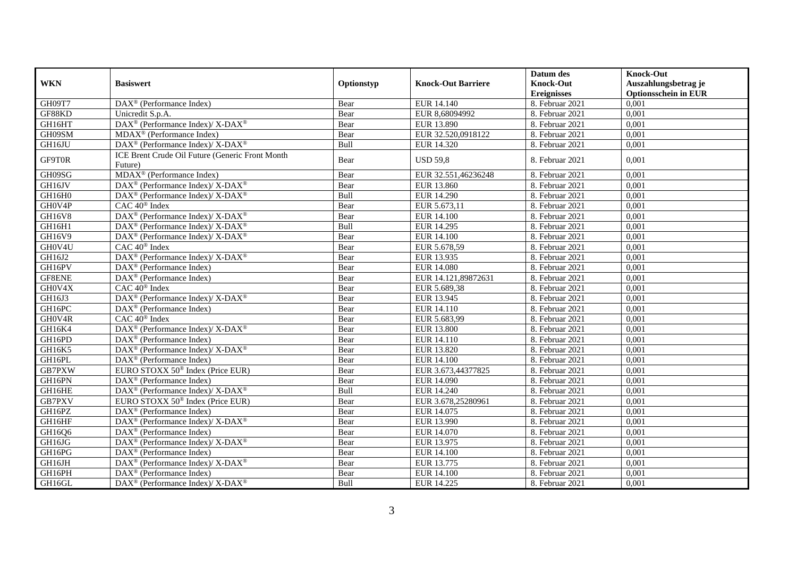|            |                                                                                         |            |                           | Datum des          | <b>Knock-Out</b>            |
|------------|-----------------------------------------------------------------------------------------|------------|---------------------------|--------------------|-----------------------------|
| <b>WKN</b> | <b>Basiswert</b>                                                                        | Optionstyp | <b>Knock-Out Barriere</b> | <b>Knock-Out</b>   | Auszahlungsbetrag je        |
|            |                                                                                         |            |                           | <b>Ereignisses</b> | <b>Optionsschein in EUR</b> |
| GH09T7     | $\overline{\text{DAX}}^{\textcircled{}}$ (Performance Index)                            | Bear       | EUR 14.140                | 8. Februar 2021    | 0,001                       |
| GF88KD     | Unicredit S.p.A.                                                                        | Bear       | EUR 8,68094992            | 8. Februar 2021    | 0,001                       |
| GH16HT     | DAX <sup>®</sup> (Performance Index)/ X-DAX <sup>®</sup>                                | Bear       | EUR 13.890                | 8. Februar 2021    | 0,001                       |
| GH09SM     | MDAX <sup>®</sup> (Performance Index)                                                   | Bear       | EUR 32.520,0918122        | 8. Februar 2021    | 0,001                       |
| GH16JU     | DAX <sup>®</sup> (Performance Index)/X-DAX <sup>®</sup>                                 | Bull       | EUR 14.320                | 8. Februar 2021    | 0,001                       |
| GF9T0R     | ICE Brent Crude Oil Future (Generic Front Month<br>Future)                              | Bear       | <b>USD 59,8</b>           | 8. Februar 2021    | 0,001                       |
| GH09SG     | $MDAX^{\circledR}$ (Performance Index)                                                  | Bear       | EUR 32.551.46236248       | 8. Februar 2021    | 0,001                       |
| GH16JV     | DAX <sup>®</sup> (Performance Index)/X-DAX <sup>®</sup>                                 | Bear       | EUR 13.860                | 8. Februar 2021    | 0,001                       |
| GH16H0     | DAX <sup>®</sup> (Performance Index)/X-DAX <sup>®</sup>                                 | Bull       | <b>EUR 14.290</b>         | 8. Februar 2021    | 0,001                       |
| GH0V4P     | $CAC 40$ <sup>®</sup> Index                                                             | Bear       | EUR 5.673,11              | 8. Februar 2021    | 0,001                       |
| GH16V8     | $\text{DAX}^{\circledast}$ (Performance Index)/ $\overline{\text{X-DAX}^{\circledast}}$ | Bear       | <b>EUR 14.100</b>         | 8. Februar 2021    | 0,001                       |
| GH16H1     | $\text{DAX}^{\circledast}$ (Performance Index)/ X-DAX <sup>®</sup>                      | Bull       | EUR 14.295                | 8. Februar 2021    | 0,001                       |
| GH16V9     | DAX <sup>®</sup> (Performance Index)/ X-DAX <sup>®</sup>                                | Bear       | <b>EUR 14.100</b>         | 8. Februar 2021    | 0,001                       |
| GH0V4U     | CAC 40 <sup>®</sup> Index                                                               | Bear       | EUR 5.678,59              | 8. Februar 2021    | 0,001                       |
| GH16J2     | DAX <sup>®</sup> (Performance Index)/ X-DAX <sup>®</sup>                                | Bear       | EUR 13.935                | 8. Februar 2021    | 0,001                       |
| GH16PV     | DAX <sup>®</sup> (Performance Index)                                                    | Bear       | <b>EUR 14.080</b>         | 8. Februar 2021    | 0,001                       |
| GF8ENE     | $DAX^{\circledcirc}$ (Performance Index)                                                | Bear       | EUR 14.121,89872631       | 8. Februar 2021    | 0,001                       |
| GH0V4X     | $CAC 40$ <sup>®</sup> Index                                                             | Bear       | EUR 5.689,38              | 8. Februar 2021    | 0,001                       |
| GH16J3     | DAX <sup>®</sup> (Performance Index)/ X-DAX <sup>®</sup>                                | Bear       | EUR 13.945                | 8. Februar 2021    | 0,001                       |
| GH16PC     | DAX <sup>®</sup> (Performance Index)                                                    | Bear       | EUR 14.110                | 8. Februar 2021    | 0,001                       |
| GH0V4R     | $\overline{CAC 40^{\circledast} \text{ Index}}$                                         | Bear       | EUR 5.683,99              | 8. Februar 2021    | 0,001                       |
| GH16K4     | DAX <sup>®</sup> (Performance Index)/ X-DAX <sup>®</sup>                                | Bear       | <b>EUR 13.800</b>         | 8. Februar 2021    | 0,001                       |
| GH16PD     | $DAX^{\circledR}$ (Performance Index)                                                   | Bear       | EUR 14.110                | 8. Februar 2021    | 0,001                       |
| GH16K5     | DAX <sup>®</sup> (Performance Index)/ X-DAX <sup>®</sup>                                | Bear       | EUR 13.820                | 8. Februar 2021    | 0,001                       |
| GH16PL     | DAX <sup>®</sup> (Performance Index)                                                    | Bear       | EUR 14.100                | 8. Februar 2021    | 0,001                       |
| GB7PXW     | EURO STOXX 50 <sup>®</sup> Index (Price EUR)                                            | Bear       | EUR 3.673,44377825        | 8. Februar 2021    | 0,001                       |
| GH16PN     | $\text{DAX}^{\circledast}$ (Performance Index)                                          | Bear       | EUR 14.090                | 8. Februar 2021    | 0.001                       |
| GH16HE     | DAX <sup>®</sup> (Performance Index)/ X-DAX <sup>®</sup>                                | Bull       | EUR 14.240                | 8. Februar 2021    | 0,001                       |
| GB7PXV     | EURO STOXX 50 <sup>®</sup> Index (Price EUR)                                            | Bear       | EUR 3.678,25280961        | 8. Februar 2021    | 0,001                       |
| GH16PZ     | $DAX^{\circledast}$ (Performance Index)                                                 | Bear       | EUR 14.075                | 8. Februar 2021    | 0,001                       |
| GH16HF     | DAX <sup>®</sup> (Performance Index)/ X-DAX <sup>®</sup>                                | Bear       | EUR 13.990                | 8. Februar 2021    | 0,001                       |
| GH16Q6     | $DAX^{\circledast}$ (Performance Index)                                                 | Bear       | EUR 14.070                | 8. Februar 2021    | 0,001                       |
| GH16JG     | DAX <sup>®</sup> (Performance Index)/X-DAX <sup>®</sup>                                 | Bear       | EUR 13.975                | 8. Februar 2021    | 0,001                       |
| GH16PG     | $DAX^{\circledR}$ (Performance Index)                                                   | Bear       | <b>EUR 14.100</b>         | 8. Februar 2021    | 0,001                       |
| GH16JH     | DAX <sup>®</sup> (Performance Index)/ X-DAX <sup>®</sup>                                | Bear       | EUR 13.775                | 8. Februar 2021    | 0,001                       |
| GH16PH     | $DAX^{\circledast}$ (Performance Index)                                                 | Bear       | EUR 14.100                | 8. Februar 2021    | 0,001                       |
| GH16GL     | DAX <sup>®</sup> (Performance Index)/ X-DAX <sup>®</sup>                                | Bull       | EUR 14.225                | 8. Februar 2021    | 0,001                       |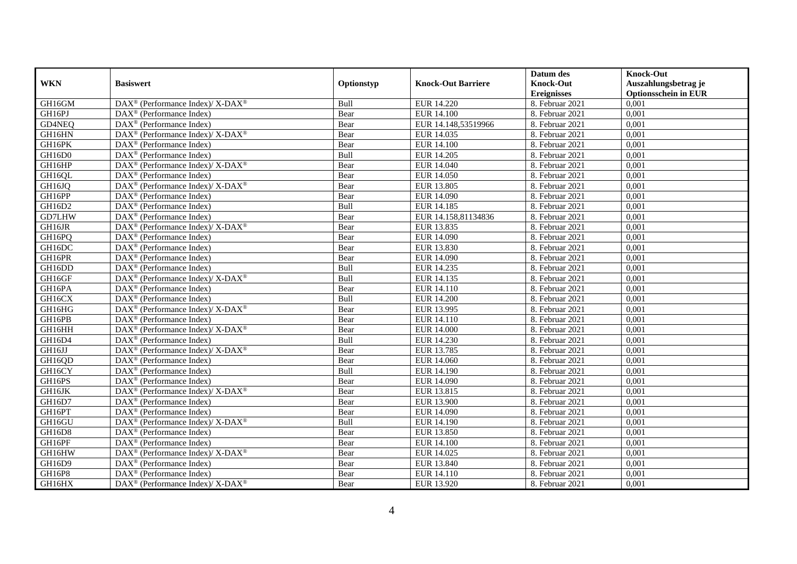|            |                                                                                                 |            |                           | Datum des          | <b>Knock-Out</b>            |
|------------|-------------------------------------------------------------------------------------------------|------------|---------------------------|--------------------|-----------------------------|
| <b>WKN</b> | <b>Basiswert</b>                                                                                | Optionstyp | <b>Knock-Out Barriere</b> | <b>Knock-Out</b>   | Auszahlungsbetrag je        |
|            |                                                                                                 |            |                           | <b>Ereignisses</b> | <b>Optionsschein in EUR</b> |
| GH16GM     | DAX <sup>®</sup> (Performance Index)/ X-DAX <sup>®</sup>                                        | Bull       | <b>EUR 14.220</b>         | 8. Februar 2021    | 0,001                       |
| GH16PJ     | $DAX^{\circledR}$ (Performance Index)                                                           | Bear       | EUR 14.100                | 8. Februar 2021    | 0,001                       |
| GD4NEQ     | DAX <sup>®</sup> (Performance Index)                                                            | Bear       | EUR 14.148,53519966       | 8. Februar 2021    | 0,001                       |
| GH16HN     | DAX <sup>®</sup> (Performance Index)/ X-DAX <sup>®</sup>                                        | Bear       | EUR 14.035                | 8. Februar 2021    | 0,001                       |
| GH16PK     | DAX <sup>®</sup> (Performance Index)                                                            | Bear       | <b>EUR 14.100</b>         | 8. Februar 2021    | 0,001                       |
| GH16D0     | $\text{DAX}^{\textcircled{D}}$ (Performance Index)                                              | Bull       | EUR 14.205                | 8. Februar 2021    | 0,001                       |
| GH16HP     | $\text{DAX}^{\circledR}$ (Performance Index)/ X-DAX <sup>®</sup>                                | Bear       | EUR 14.040                | 8. Februar 2021    | 0,001                       |
| GH16QL     | $\text{DAX}^{\textcircled{p}}$ (Performance Index)                                              | Bear       | <b>EUR 14.050</b>         | 8. Februar 2021    | 0,001                       |
| GH16JQ     | $\text{DAX}^{\circledR}$ (Performance Index)/ X-DAX <sup>®</sup>                                | Bear       | EUR 13.805                | 8. Februar 2021    | 0,001                       |
| GH16PP     | $\text{DAX}^{\textcircled{n}}$ (Performance Index)                                              | Bear       | EUR 14.090                | 8. Februar 2021    | 0,001                       |
| GH16D2     | DAX <sup>®</sup> (Performance Index)                                                            | Bull       | EUR 14.185                | 8. Februar 2021    | 0,001                       |
| GD7LHW     | DAX <sup>®</sup> (Performance Index)                                                            | Bear       | EUR 14.158,81134836       | 8. Februar 2021    | 0,001                       |
| GH16JR     | $\text{DAX}^{\circledast}$ (Performance Index)/ X-DAX <sup>®</sup>                              | Bear       | EUR 13.835                | 8. Februar 2021    | 0,001                       |
| GH16PQ     | $DAX^{\circledR}$ (Performance Index)                                                           | Bear       | EUR 14.090                | 8. Februar 2021    | 0,001                       |
| GH16DC     | DAX <sup>®</sup> (Performance Index)                                                            | Bear       | EUR 13.830                | 8. Februar 2021    | 0,001                       |
| GH16PR     | DAX <sup>®</sup> (Performance Index)                                                            | Bear       | EUR 14.090                | 8. Februar 2021    | 0,001                       |
| GH16DD     | $\text{DAX}^{\textcircled{p}}$ (Performance Index)                                              | Bull       | EUR 14.235                | 8. Februar 2021    | 0,001                       |
| GH16GF     | $\text{DAX}^{\circledR}$ (Performance Index)/ X-DAX <sup>®</sup>                                | Bull       | EUR 14.135                | 8. Februar 2021    | 0,001                       |
| GH16PA     | $\text{DAX}^{\textcircled{n}}$ (Performance Index)                                              | Bear       | EUR 14.110                | 8. Februar 2021    | 0,001                       |
| GH16CX     | $\text{DAX}^{\textcircled{n}}$ (Performance Index)                                              | Bull       | <b>EUR 14.200</b>         | 8. Februar 2021    | 0,001                       |
| GH16HG     | DAX <sup>®</sup> (Performance Index)/ X-DAX <sup>®</sup>                                        | Bear       | EUR 13.995                | 8. Februar 2021    | 0,001                       |
| GH16PB     | $\overline{\text{DAX}}^{\textcirc}$ (Performance Index)                                         | Bear       | EUR 14.110                | 8. Februar 2021    | 0,001                       |
| GH16HH     | DAX <sup>®</sup> (Performance Index)/X-DAX <sup>®</sup>                                         | Bear       | <b>EUR 14.000</b>         | 8. Februar 2021    | 0,001                       |
| GH16D4     | $\text{DAX}^{\textcircled{p}}$ (Performance Index)                                              | Bull       | EUR 14.230                | 8. Februar 2021    | 0,001                       |
| GH16JJ     | $DAX^{\circledcirc}$ (Performance Index)/ X-DAX <sup>®</sup>                                    | Bear       | EUR 13.785                | 8. Februar 2021    | 0,001                       |
| GH16QD     | $\text{DAX}^{\textcircled{n}}$ (Performance Index)                                              | Bear       | <b>EUR 14.060</b>         | 8. Februar 2021    | 0,001                       |
| GH16CY     | DAX <sup>®</sup> (Performance Index)                                                            | Bull       | EUR 14.190                | 8. Februar 2021    | 0,001                       |
| GH16PS     | $\overline{\text{DAX}^{\otimes}}$ (Performance Index)                                           | Bear       | EUR 14.090                | 8. Februar 2021    | 0,001                       |
| GH16JK     | $\text{DAX}^{\circledR}$ (Performance Index)/ X-DAX <sup>®</sup>                                | Bear       | EUR 13.815                | 8. Februar 2021    | 0,001                       |
| GH16D7     | $DAX^{\circledR}$ (Performance Index)                                                           | Bear       | <b>EUR 13.900</b>         | 8. Februar 2021    | 0.001                       |
| GH16PT     | $\text{DAX}^{\textcircled{D}}$ (Performance Index)                                              | Bear       | EUR 14.090                | 8. Februar 2021    | 0,001                       |
| GH16GU     | $\text{DAX}^{\textcircled{p}}$ (Performance Index)/ $\overline{\text{X-DAX}^{\textcircled{p}}}$ | Bull       | EUR 14.190                | 8. Februar 2021    | 0,001                       |
| GH16D8     | $\overline{\text{DAX}^{\otimes}}$ (Performance Index)                                           | Bear       | <b>EUR 13.850</b>         | 8. Februar 2021    | 0,001                       |
| GH16PF     | $\overline{\text{DAX}^{\otimes}}$ (Performance Index)                                           | Bear       | <b>EUR 14.100</b>         | 8. Februar 2021    | 0,001                       |
| GH16HW     | $\text{DAX}^{\circledR}$ (Performance Index)/ X-DAX <sup>®</sup>                                | Bear       | EUR 14.025                | 8. Februar 2021    | 0,001                       |
| GH16D9     | $\text{DAX}^{\textcircled{n}}$ (Performance Index)                                              | Bear       | EUR 13.840                | 8. Februar 2021    | 0,001                       |
| GH16P8     | $\text{DAX}^{\otimes}$ (Performance Index)                                                      | Bear       | EUR 14.110                | 8. Februar 2021    | 0,001                       |
| GH16HX     | $\text{DAX}^{\circledR}$ (Performance Index)/ X-DAX <sup>®</sup>                                | Bear       | EUR 13.920                | 8. Februar 2021    | 0,001                       |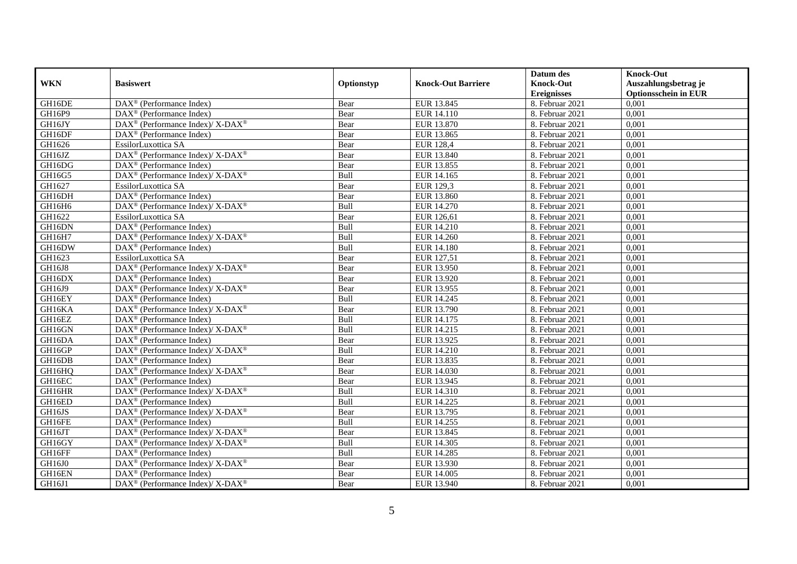|            |                                                                                         |            |                           | Datum des          | <b>Knock-Out</b>            |
|------------|-----------------------------------------------------------------------------------------|------------|---------------------------|--------------------|-----------------------------|
| <b>WKN</b> | <b>Basiswert</b>                                                                        | Optionstyp | <b>Knock-Out Barriere</b> | <b>Knock-Out</b>   | Auszahlungsbetrag je        |
|            |                                                                                         |            |                           | <b>Ereignisses</b> | <b>Optionsschein in EUR</b> |
| GH16DE     | DAX <sup>®</sup> (Performance Index)                                                    | Bear       | EUR 13.845                | 8. Februar 2021    | 0,001                       |
| GH16P9     | $\text{DAX}^{\textcircled{p}}$ (Performance Index)                                      | Bear       | EUR 14.110                | 8. Februar 2021    | 0,001                       |
| GH16JY     | $\text{DAX}^{\circledast}$ (Performance Index)/ X-DAX <sup>®</sup>                      | Bear       | EUR 13.870                | 8. Februar 2021    | 0,001                       |
| GH16DF     | $\text{DAX}^{\textcircled{n}}$ (Performance Index)                                      | Bear       | EUR 13.865                | 8. Februar 2021    | 0,001                       |
| GH1626     | EssilorLuxottica SA                                                                     | Bear       | <b>EUR 128,4</b>          | 8. Februar 2021    | 0,001                       |
| GH16JZ     | $\text{DAX}^{\textcircled{\tiny{\textcircled{\tiny \dag}}}}$ (Performance Index)/X-DAX® | Bear       | EUR 13.840                | 8. Februar 2021    | 0,001                       |
| GH16DG     | $\text{DAX}^{\textcircled{p}}$ (Performance Index)                                      | Bear       | EUR 13.855                | 8. Februar 2021    | 0,001                       |
| GH16G5     | DAX <sup>®</sup> (Performance Index)/ X-DAX <sup>®</sup>                                | Bull       | EUR 14.165                | 8. Februar 2021    | 0,001                       |
| GH1627     | EssilorLuxottica SA                                                                     | Bear       | <b>EUR 129,3</b>          | 8. Februar 2021    | 0,001                       |
| GH16DH     | DAX <sup>®</sup> (Performance Index)                                                    | Bear       | EUR 13.860                | 8. Februar 2021    | 0,001                       |
| GH16H6     | DAX <sup>®</sup> (Performance Index)/ X-DAX <sup>®</sup>                                | Bull       | EUR 14.270                | 8. Februar 2021    | 0,001                       |
| GH1622     | EssilorLuxottica SA                                                                     | Bear       | EUR 126,61                | 8. Februar 2021    | 0,001                       |
| GH16DN     | $\text{DAX}^{\circledast}$ (Performance Index)                                          | Bull       | EUR 14.210                | 8. Februar 2021    | 0,001                       |
| GH16H7     | $\text{DAX}^{\circledast}$ (Performance Index)/ X-DAX <sup>®</sup>                      | Bull       | EUR 14.260                | 8. Februar 2021    | 0,001                       |
| GH16DW     | DAX <sup>®</sup> (Performance Index)                                                    | Bull       | <b>EUR 14.180</b>         | 8. Februar 2021    | 0,001                       |
| GH1623     | EssilorLuxottica SA                                                                     | Bear       | EUR 127,51                | 8. Februar 2021    | 0,001                       |
| GH16J8     | DAX <sup>®</sup> (Performance Index)/X-DAX <sup>®</sup>                                 | Bear       | EUR 13.950                | 8. Februar 2021    | 0,001                       |
| GH16DX     | $\text{DAX}^{\textcircled{p}}$ (Performance Index)                                      | Bear       | EUR 13.920                | 8. Februar 2021    | 0,001                       |
| GH16J9     | $\text{DAX}^{\circledast}$ (Performance Index)/ X-DAX <sup>®</sup>                      | Bear       | EUR 13.955                | 8. Februar 2021    | 0,001                       |
| GH16EY     | $\text{DAX}^{\textcircled{n}}$ (Performance Index)                                      | Bull       | EUR 14.245                | 8. Februar 2021    | 0,001                       |
| GH16KA     | DAX <sup>®</sup> (Performance Index)/ X-DAX <sup>®</sup>                                | Bear       | EUR 13.790                | 8. Februar 2021    | 0,001                       |
| GH16EZ     | $\overline{\text{DAX}}^{\textcirc}$ (Performance Index)                                 | Bull       | EUR 14.175                | 8. Februar 2021    | 0,001                       |
| GH16GN     | DAX <sup>®</sup> (Performance Index)/X-DAX <sup>®</sup>                                 | Bull       | EUR 14.215                | 8. Februar 2021    | 0,001                       |
| GH16DA     | $\text{DAX}^{\textcircled{p}}$ (Performance Index)                                      | Bear       | EUR 13.925                | 8. Februar 2021    | 0,001                       |
| GH16GP     | $DAX^{\circledcirc}$ (Performance Index)/ X-DAX <sup>®</sup>                            | Bull       | EUR 14.210                | 8. Februar 2021    | 0,001                       |
| GH16DB     | $\text{DAX}^{\textcircled{n}}$ (Performance Index)                                      | Bear       | EUR 13.835                | 8. Februar 2021    | 0,001                       |
| GH16HQ     | $\text{DAX}^{\circledR}$ (Performance Index)/ X-DAX <sup>®</sup>                        | Bear       | EUR 14.030                | 8. Februar 2021    | 0,001                       |
| GH16EC     | $\overline{\text{DAX}^{\otimes}}$ (Performance Index)                                   | Bear       | EUR 13.945                | 8. Februar 2021    | 0,001                       |
| GH16HR     | $\text{DAX}^{\circledR}$ (Performance Index)/ X-DAX <sup>®</sup>                        | Bull       | EUR 14.310                | 8. Februar 2021    | 0,001                       |
| GH16ED     | $DAX^{\circledR}$ (Performance Index)                                                   | Bull       | EUR 14.225                | 8. Februar 2021    | 0.001                       |
| GH16JS     | $DAX^{\circledcirc}$ (Performance Index)/X-DAX <sup>®</sup>                             | Bear       | EUR 13.795                | 8. Februar 2021    | 0,001                       |
| GH16FE     | $\text{DAX}^{\textcircled{p}}$ (Performance Index)                                      | Bull       | EUR 14.255                | 8. Februar 2021    | 0,001                       |
| GH16JT     | $\text{DAX}^{\circledR}$ (Performance Index)/ X-DAX <sup>®</sup>                        | Bear       | EUR 13.845                | 8. Februar 2021    | 0,001                       |
| GH16GY     | $\text{DAX}^{\circledR}$ (Performance Index)/ X-DAX <sup>®</sup>                        | Bull       | EUR 14.305                | 8. Februar 2021    | 0,001                       |
| GH16FF     | DAX <sup>®</sup> (Performance Index)                                                    | Bull       | EUR 14.285                | 8. Februar 2021    | 0,001                       |
| GH16J0     | $\text{DAX}^{\otimes}$ (Performance Index)/X-DAX <sup>®</sup>                           | Bear       | EUR 13.930                | 8. Februar 2021    | 0,001                       |
| GH16EN     | $\text{DAX}^{\circledast}$ (Performance Index)                                          | Bear       | EUR 14.005                | 8. Februar 2021    | 0,001                       |
| GH16J1     | $\text{DAX}^{\circledR}$ (Performance Index)/ X-DAX <sup>®</sup>                        | Bear       | EUR 13.940                | 8. Februar 2021    | 0,001                       |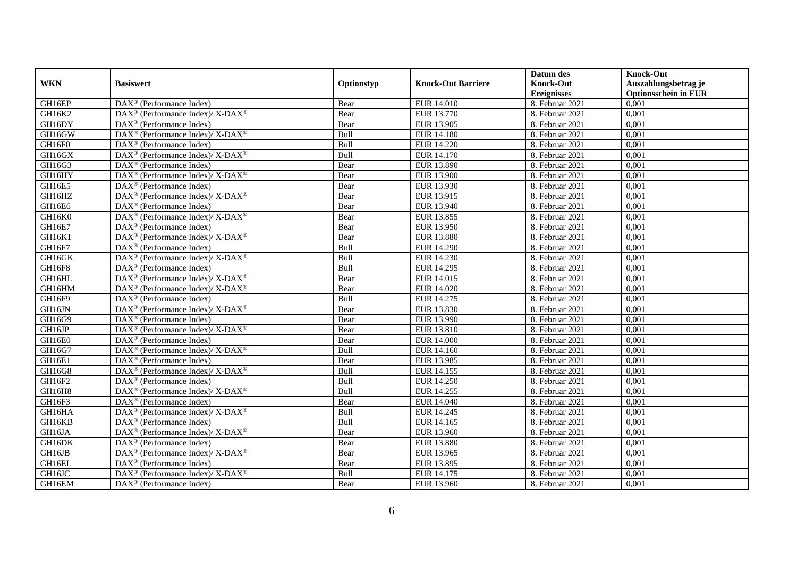|            |                                                                    |            |                           | Datum des          | <b>Knock-Out</b>            |
|------------|--------------------------------------------------------------------|------------|---------------------------|--------------------|-----------------------------|
| <b>WKN</b> | <b>Basiswert</b>                                                   | Optionstyp | <b>Knock-Out Barriere</b> | <b>Knock-Out</b>   | Auszahlungsbetrag je        |
|            |                                                                    |            |                           | <b>Ereignisses</b> | <b>Optionsschein in EUR</b> |
| GH16EP     | DAX <sup>®</sup> (Performance Index)                               | Bear       | <b>EUR 14.010</b>         | 8. Februar 2021    | 0,001                       |
| GH16K2     | $\text{DAX}^{\circledR}$ (Performance Index)/ X-DAX <sup>®</sup>   | Bear       | EUR 13.770                | 8. Februar 2021    | 0,001                       |
| GH16DY     | DAX <sup>®</sup> (Performance Index)                               | Bear       | EUR 13.905                | 8. Februar 2021    | 0,001                       |
| GH16GW     | $\text{DAX}^{\circledast}$ (Performance Index)/X-DAX <sup>®</sup>  | Bull       | <b>EUR 14.180</b>         | 8. Februar 2021    | 0,001                       |
| GH16F0     | DAX <sup>®</sup> (Performance Index)                               | Bull       | EUR 14.220                | 8. Februar 2021    | 0,001                       |
| GH16GX     | DAX <sup>®</sup> (Performance Index)/ X-DAX <sup>®</sup>           | Bull       | EUR 14.170                | 8. Februar 2021    | 0,001                       |
| GH16G3     | $\text{DAX}^{\textcircled{n}}$ (Performance Index)                 | Bear       | EUR 13.890                | 8. Februar 2021    | 0,001                       |
| GH16HY     | $DAX^{\circledcirc}$ (Performance Index)/ X-DAX <sup>®</sup>       | Bear       | EUR 13.900                | 8. Februar 2021    | 0,001                       |
| GH16E5     | $DAX^{\circledR}$ (Performance Index)                              | Bear       | EUR 13.930                | 8. Februar 2021    | 0,001                       |
| GH16HZ     | DAX <sup>®</sup> (Performance Index)/ X-DAX <sup>®</sup>           | Bear       | EUR 13.915                | 8. Februar 2021    | 0,001                       |
| GH16E6     | DAX <sup>®</sup> (Performance Index)                               | Bear       | EUR 13.940                | 8. Februar 2021    | 0,001                       |
| GH16K0     | $\text{DAX}^{\circledR}$ (Performance Index)/ X-DAX <sup>®</sup>   | Bear       | EUR 13.855                | 8. Februar 2021    | 0,001                       |
| GH16E7     | $\text{DAX}^{\circledast}$ (Performance Index)                     | Bear       | EUR 13.950                | 8. Februar 2021    | 0,001                       |
| GH16K1     | $\text{DAX}^{\circledast}$ (Performance Index)/ X-DAX <sup>®</sup> | Bear       | EUR 13.880                | 8. Februar 2021    | 0,001                       |
| GH16F7     | $\text{DAX}^{\otimes}$ (Performance Index)                         | Bull       | EUR 14.290                | 8. Februar 2021    | 0,001                       |
| GH16GK     | DAX <sup>®</sup> (Performance Index)/ X-DAX <sup>®</sup>           | Bull       | EUR 14.230                | 8. Februar 2021    | 0,001                       |
| GH16F8     | DAX <sup>®</sup> (Performance Index)                               | Bull       | EUR 14.295                | 8. Februar 2021    | 0,001                       |
| GH16HL     | $DAX^{\circledcirc}$ (Performance Index)/X-DAX <sup>®</sup>        | Bear       | EUR 14.015                | 8. Februar 2021    | 0,001                       |
| GH16HM     | $\text{DAX}^{\circledast}$ (Performance Index)/ X-DAX <sup>®</sup> | Bear       | EUR 14.020                | 8. Februar 2021    | 0,001                       |
| GH16F9     | $\overline{\text{DAX}^{\otimes}}$ (Performance Index)              | Bull       | EUR 14.275                | 8. Februar 2021    | 0,001                       |
| GH16JN     | $\text{DAX}^{\circledR}$ (Performance Index)/ X-DAX <sup>®</sup>   | Bear       | EUR 13.830                | 8. Februar 2021    | 0,001                       |
| GH16G9     | $\overline{\text{DAX}^{\otimes}}$ (Performance Index)              | Bear       | EUR 13.990                | 8. Februar 2021    | 0,001                       |
| GH16JP     | $\text{DAX}^{\circledast}$ (Performance Index)/X-DAX <sup>®</sup>  | Bear       | EUR 13.810                | 8. Februar 2021    | 0,001                       |
| GH16E0     | DAX <sup>®</sup> (Performance Index)                               | Bear       | <b>EUR 14.000</b>         | 8. Februar 2021    | 0,001                       |
| GH16G7     | $\text{DAX}^{\circledast}$ (Performance Index)/ X-DAX <sup>®</sup> | Bull       | EUR 14.160                | 8. Februar 2021    | 0,001                       |
| GH16E1     | $\text{DAX}^{\otimes}$ (Performance Index)                         | Bear       | EUR 13.985                | 8. Februar 2021    | 0,001                       |
| GH16G8     | DAX <sup>®</sup> (Performance Index)/ X-DAX <sup>®</sup>           | Bull       | EUR 14.155                | 8. Februar 2021    | 0,001                       |
| GH16F2     | $\text{DAX}^{\textcircled{p}}$ (Performance Index)                 | Bull       | <b>EUR 14.250</b>         | 8. Februar 2021    | 0,001                       |
| GH16H8     | $DAX^{\circledcirc}$ (Performance Index)/ X-DAX <sup>®</sup>       | Bull       | EUR 14.255                | 8. Februar 2021    | 0,001                       |
| GH16F3     | $DAX^{\circledR}$ (Performance Index)                              | Bear       | EUR 14.040                | 8. Februar 2021    | 0,001                       |
| GH16HA     | $\text{DAX}^{\circledR}$ (Performance Index)/ X-DAX <sup>®</sup>   | Bull       | EUR 14.245                | 8. Februar 2021    | 0,001                       |
| GH16KB     | $\text{DAX}^{\textcircled{n}}$ (Performance Index)                 | Bull       | EUR 14.165                | 8. Februar 2021    | 0,001                       |
| GH16JA     | $\text{DAX}^{\circledR}$ (Performance Index)/ X-DAX <sup>®</sup>   | Bear       | EUR 13.960                | 8. Februar 2021    | 0,001                       |
| GH16DK     | DAX <sup>®</sup> (Performance Index)                               | Bear       | <b>EUR 13.880</b>         | 8. Februar 2021    | 0,001                       |
| GH16JB     | $\text{DAX}^{\otimes}$ (Performance Index)/X-DAX <sup>®</sup>      | Bear       | EUR 13.965                | 8. Februar 2021    | 0,001                       |
| GH16EL     | $\text{DAX}^{\circledast}$ (Performance Index)                     | Bear       | EUR 13.895                | 8. Februar 2021    | 0,001                       |
| GH16JC     | DAX <sup>®</sup> (Performance Index)/X-DAX <sup>®</sup>            | Bull       | EUR 14.175                | 8. Februar 2021    | 0,001                       |
| GH16EM     | $\text{DAX}^{\textcircled{n}}$ (Performance Index)                 | Bear       | EUR 13.960                | 8. Februar 2021    | 0,001                       |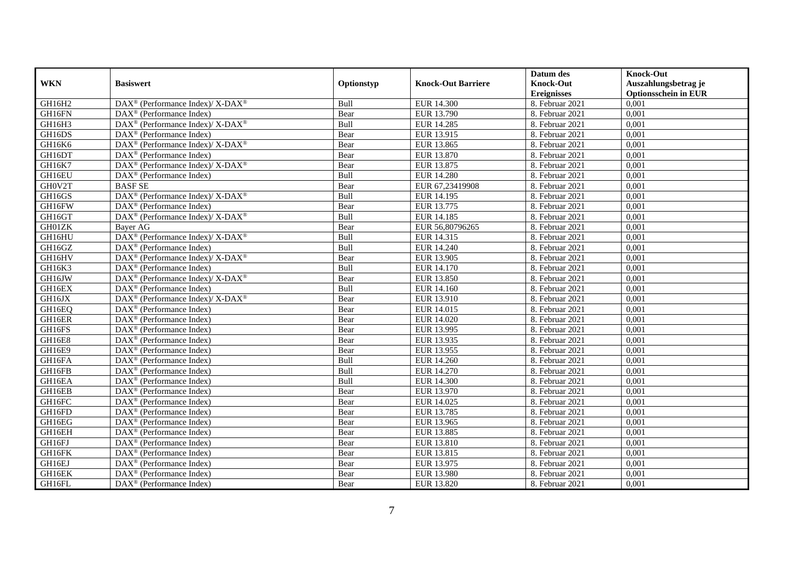|            |                                                                    |            |                           | Datum des          | <b>Knock-Out</b>            |
|------------|--------------------------------------------------------------------|------------|---------------------------|--------------------|-----------------------------|
| <b>WKN</b> | <b>Basiswert</b>                                                   | Optionstyp | <b>Knock-Out Barriere</b> | <b>Knock-Out</b>   | Auszahlungsbetrag je        |
|            |                                                                    |            |                           | <b>Ereignisses</b> | <b>Optionsschein in EUR</b> |
| GH16H2     | DAX <sup>®</sup> (Performance Index)/ X-DAX <sup>®</sup>           | Bull       | EUR 14.300                | 8. Februar 2021    | 0,001                       |
| GH16FN     | $DAX^{\circledR}$ (Performance Index)                              | Bear       | EUR 13.790                | 8. Februar 2021    | 0,001                       |
| GH16H3     | $\text{DAX}^{\circledast}$ (Performance Index)/ X-DAX <sup>®</sup> | Bull       | EUR 14.285                | 8. Februar 2021    | 0,001                       |
| GH16DS     | $\text{DAX}^{\circledast}$ (Performance Index)                     | Bear       | EUR 13.915                | 8. Februar 2021    | 0,001                       |
| GH16K6     | $\text{DAX}^{\circledR}$ (Performance Index)/ X-DAX <sup>®</sup>   | Bear       | EUR 13.865                | 8. Februar 2021    | 0,001                       |
| GH16DT     | $\text{DAX}^{\textcircled{n}}$ (Performance Index)                 | Bear       | EUR 13.870                | 8. Februar 2021    | 0,001                       |
| GH16K7     | DAX <sup>®</sup> (Performance Index)/ X-DAX <sup>®</sup>           | Bear       | EUR 13.875                | 8. Februar 2021    | 0,001                       |
| GH16EU     | DAX <sup>®</sup> (Performance Index)                               | Bull       | <b>EUR 14.280</b>         | 8. Februar 2021    | 0,001                       |
| GH0V2T     | <b>BASF SE</b>                                                     | Bear       | EUR 67,23419908           | 8. Februar 2021    | 0,001                       |
| GH16GS     | DAX <sup>®</sup> (Performance Index)/ X-DAX <sup>®</sup>           | Bull       | EUR 14.195                | 8. Februar 2021    | 0,001                       |
| GH16FW     | DAX <sup>®</sup> (Performance Index)                               | Bear       | EUR 13.775                | 8. Februar 2021    | 0,001                       |
| GH16GT     | $\text{DAX}^{\circledR}$ (Performance Index)/ X-DAX <sup>®</sup>   | Bull       | <b>EUR 14.185</b>         | 8. Februar 2021    | 0,001                       |
| GH01ZK     | Baver AG                                                           | Bear       | EUR 56,80796265           | 8. Februar 2021    | 0,001                       |
| GH16HU     | $\text{DAX}^{\circledR}$ (Performance Index)/ X-DAX <sup>®</sup>   | Bull       | EUR 14.315                | 8. Februar 2021    | 0,001                       |
| GH16GZ     | $\text{DAX}^{\circledast}$ (Performance Index)                     | Bull       | EUR 14.240                | 8. Februar 2021    | 0,001                       |
| GH16HV     | DAX <sup>®</sup> (Performance Index)/ X-DAX <sup>®</sup>           | Bear       | EUR 13.905                | 8. Februar 2021    | 0,001                       |
| GH16K3     | DAX <sup>®</sup> (Performance Index)                               | Bull       | EUR 14.170                | 8. Februar 2021    | 0,001                       |
| GH16JW     | $DAX^{\circledcirc}$ (Performance Index)/X-DAX <sup>®</sup>        | Bear       | EUR 13.850                | 8. Februar 2021    | 0,001                       |
| GH16EX     | DAX <sup>®</sup> (Performance Index)                               | Bull       | EUR 14.160                | 8. Februar 2021    | 0,001                       |
| GH16JX     | $\text{DAX}^{\circledR}$ (Performance Index)/ X-DAX <sup>®</sup>   | Bear       | EUR 13.910                | 8. Februar 2021    | 0,001                       |
| GH16EQ     | DAX <sup>®</sup> (Performance Index)                               | Bear       | EUR 14.015                | 8. Februar 2021    | 0,001                       |
| GH16ER     | $\overline{\text{DAX}^{\otimes}}$ (Performance Index)              | Bear       | <b>EUR 14.020</b>         | 8. Februar 2021    | 0,001                       |
| GH16FS     | $\text{DAX}^{\textcircled{n}}$ (Performance Index)                 | Bear       | EUR 13.995                | 8. Februar 2021    | 0,001                       |
| GH16E8     | DAX <sup>®</sup> (Performance Index)                               | Bear       | EUR 13.935                | 8. Februar 2021    | 0,001                       |
| GH16E9     | DAX <sup>®</sup> (Performance Index)                               | Bear       | EUR 13.955                | 8. Februar 2021    | 0,001                       |
| GH16FA     | $\text{DAX}^{\otimes}$ (Performance Index)                         | Bull       | EUR 14.260                | 8. Februar 2021    | 0,001                       |
| GH16FB     | DAX <sup>®</sup> (Performance Index)                               | Bull       | <b>EUR 14.270</b>         | 8. Februar 2021    | 0,001                       |
| GH16EA     | $\text{DAX}^{\textcircled{D}}$ (Performance Index)                 | Bull       | <b>EUR 14.300</b>         | 8. Februar 2021    | 0,001                       |
| GH16EB     | $\text{DAX}^{\textcircled{D}}$ (Performance Index)                 | Bear       | EUR 13.970                | 8. Februar 2021    | 0,001                       |
| GH16FC     | $\text{DAX}^{\textcircled{D}}$ (Performance Index)                 | Bear       | EUR 14.025                | 8. Februar 2021    | 0,001                       |
| GH16FD     | DAX <sup>®</sup> (Performance Index)                               | Bear       | EUR 13.785                | 8. Februar 2021    | 0,001                       |
| GH16EG     | $\text{DAX}^{\textcircled{n}}$ (Performance Index)                 | Bear       | EUR 13.965                | 8. Februar 2021    | 0,001                       |
| GH16EH     | $\overline{\text{DAX}^{\otimes}}$ (Performance Index)              | Bear       | EUR 13.885                | 8. Februar 2021    | 0,001                       |
| GH16FJ     | DAX <sup>®</sup> (Performance Index)                               | Bear       | EUR 13.810                | 8. Februar 2021    | 0,001                       |
| GH16FK     | $\text{DAX}^{\textcircled{n}}$ (Performance Index)                 | Bear       | EUR 13.815                | 8. Februar 2021    | 0,001                       |
| GH16EJ     | $\text{DAX}^{\textcircled{n}}$ (Performance Index)                 | Bear       | EUR 13.975                | 8. Februar 2021    | 0,001                       |
| GH16EK     | $\text{DAX}^{\otimes}$ (Performance Index)                         | Bear       | EUR 13.980                | 8. Februar 2021    | 0,001                       |
| GH16FL     | $\text{DAX}^{\textcircled{n}}$ (Performance Index)                 | Bear       | EUR 13.820                | 8. Februar 2021    | 0,001                       |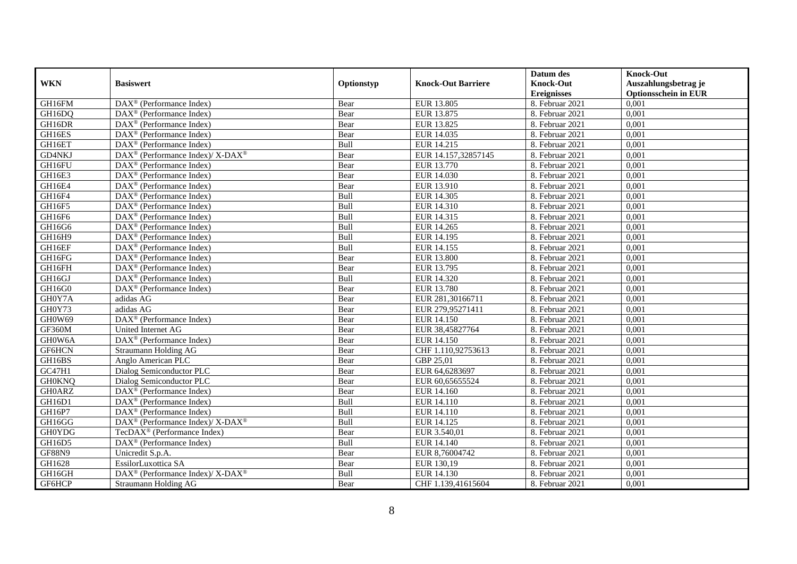|               |                                                                          |             |                           | Datum des          | <b>Knock-Out</b>            |
|---------------|--------------------------------------------------------------------------|-------------|---------------------------|--------------------|-----------------------------|
| <b>WKN</b>    | <b>Basiswert</b>                                                         | Optionstyp  | <b>Knock-Out Barriere</b> | <b>Knock-Out</b>   | Auszahlungsbetrag je        |
|               |                                                                          |             |                           | <b>Ereignisses</b> | <b>Optionsschein in EUR</b> |
| GH16FM        | $\overline{\text{DAX}^{\otimes}}$ (Performance Index)                    | Bear        | EUR 13.805                | 8. Februar 2021    | 0,001                       |
| GH16DQ        | $\text{DAX}^{\textcircled{D}}$ (Performance Index)                       | Bear        | EUR 13.875                | 8. Februar 2021    | 0,001                       |
| GH16DR        | DAX <sup>®</sup> (Performance Index)                                     | Bear        | EUR 13.825                | 8. Februar 2021    | 0,001                       |
| GH16ES        | $\text{DAX}^{\otimes}$ (Performance Index)                               | Bear        | EUR 14.035                | 8. Februar 2021    | 0,001                       |
| GH16ET        | DAX <sup>®</sup> (Performance Index)                                     | Bull        | EUR 14.215                | 8. Februar 2021    | 0,001                       |
| GD4NKJ        | DAX <sup>®</sup> (Performance Index)/ X-DAX <sup>®</sup>                 | Bear        | EUR 14.157,32857145       | 8. Februar 2021    | 0,001                       |
| GH16FU        | $\text{DAX}^{\textcircled{n}}$ (Performance Index)                       | Bear        | EUR 13.770                | 8. Februar 2021    | 0,001                       |
| GH16E3        | $DAX^{\otimes}$ (Performance Index)                                      | Bear        | EUR 14.030                | 8. Februar 2021    | 0,001                       |
| GH16E4        | $\text{DAX}^{\textcircled{D}}$ (Performance Index)                       | Bear        | EUR 13.910                | 8. Februar 2021    | 0,001                       |
| GH16F4        | $DAX^{\otimes}$ (Performance Index)                                      | Bull        | EUR 14.305                | 8. Februar 2021    | 0,001                       |
| GH16F5        | DAX <sup>®</sup> (Performance Index)                                     | Bull        | EUR 14.310                | 8. Februar 2021    | 0,001                       |
| GH16F6        | $\overline{\text{DAX}^{\otimes}}$ (Performance Index)                    | Bull        | EUR 14.315                | 8. Februar 2021    | 0,001                       |
| GH16G6        | $\text{DAX}^{\textcircled{n}}$ (Performance Index)                       | Bull        | EUR 14.265                | 8. Februar 2021    | 0,001                       |
| GH16H9        | DAX <sup>®</sup> (Performance Index)                                     | Bull        | EUR 14.195                | 8. Februar 2021    | 0,001                       |
| GH16EF        | DAX <sup>®</sup> (Performance Index)                                     | Bull        | EUR 14.155                | 8. Februar 2021    | 0,001                       |
| GH16FG        | DAX <sup>®</sup> (Performance Index)                                     | Bear        | <b>EUR 13.800</b>         | 8. Februar 2021    | 0,001                       |
| GH16FH        | DAX <sup>®</sup> (Performance Index)                                     | Bear        | EUR 13.795                | 8. Februar 2021    | 0,001                       |
| GH16GJ        | $\overline{\text{DAX}^{\otimes}}$ (Performance Index)                    | <b>Bull</b> | EUR 14.320                | 8. Februar 2021    | 0,001                       |
| GH16G0        | DAX <sup>®</sup> (Performance Index)                                     | Bear        | <b>EUR 13.780</b>         | 8. Februar 2021    | 0,001                       |
| GH0Y7A        | adidas AG                                                                | Bear        | EUR 281,30166711          | 8. Februar 2021    | 0,001                       |
| GH0Y73        | adidas AG                                                                | Bear        | EUR 279,95271411          | 8. Februar 2021    | 0,001                       |
| GHOW69        | $\overline{\text{DAX}^{\circledast}}$ (Performance Index)                | Bear        | <b>EUR 14.150</b>         | 8. Februar 2021    | 0,001                       |
| GF360M        | United Internet AG                                                       | Bear        | EUR 38,45827764           | 8. Februar 2021    | 0,001                       |
| GH0W6A        | DAX <sup>®</sup> (Performance Index)                                     | Bear        | <b>EUR 14.150</b>         | 8. Februar 2021    | 0,001                       |
| GF6HCN        | Straumann Holding AG                                                     | Bear        | CHF 1.110,92753613        | 8. Februar 2021    | 0,001                       |
| GH16BS        | Anglo American PLC                                                       | Bear        | GBP 25,01                 | 8. Februar 2021    | 0,001                       |
| GC47H1        | Dialog Semiconductor PLC                                                 | Bear        | EUR 64,6283697            | 8. Februar 2021    | 0,001                       |
| <b>GH0KNQ</b> | Dialog Semiconductor PLC                                                 | Bear        | EUR 60,65655524           | 8. Februar 2021    | 0,001                       |
| <b>GH0ARZ</b> | $\text{DAX}^{\textcircled{D}}$ (Performance Index)                       | Bear        | EUR 14.160                | 8. Februar 2021    | 0,001                       |
| GH16D1        | $\text{DAX}^{\textcircled{D}}$ (Performance Index)                       | Bull        | EUR 14.110                | 8. Februar 2021    | 0,001                       |
| GH16P7        | $DAX^{\otimes}$ (Performance Index)                                      | Bull        | EUR 14.110                | 8. Februar 2021    | 0,001                       |
| GH16GG        | DAX <sup>®</sup> (Performance Index)/ X-DAX <sup>®</sup>                 | Bull        | EUR 14.125                | 8. Februar 2021    | 0,001                       |
| <b>GH0YDG</b> | TecDAX <sup>®</sup> (Performance Index)                                  | Bear        | EUR 3.540,01              | 8. Februar 2021    | 0,001                       |
| GH16D5        | DAX <sup>®</sup> (Performance Index)                                     | Bull        | EUR 14.140                | 8. Februar 2021    | 0,001                       |
| <b>GF88N9</b> | Unicredit S.p.A.                                                         | Bear        | EUR 8,76004742            | 8. Februar 2021    | 0,001                       |
| GH1628        | EssilorLuxottica SA                                                      | Bear        | EUR 130,19                | 8. Februar 2021    | 0,001                       |
| GH16GH        | $\overline{\text{DAX}^{\otimes}}$ (Performance Index)/X-DAX <sup>®</sup> | Bull        | EUR 14.130                | 8. Februar 2021    | 0,001                       |
| GF6HCP        | Straumann Holding AG                                                     | Bear        | CHF 1.139,41615604        | 8. Februar 2021    | 0,001                       |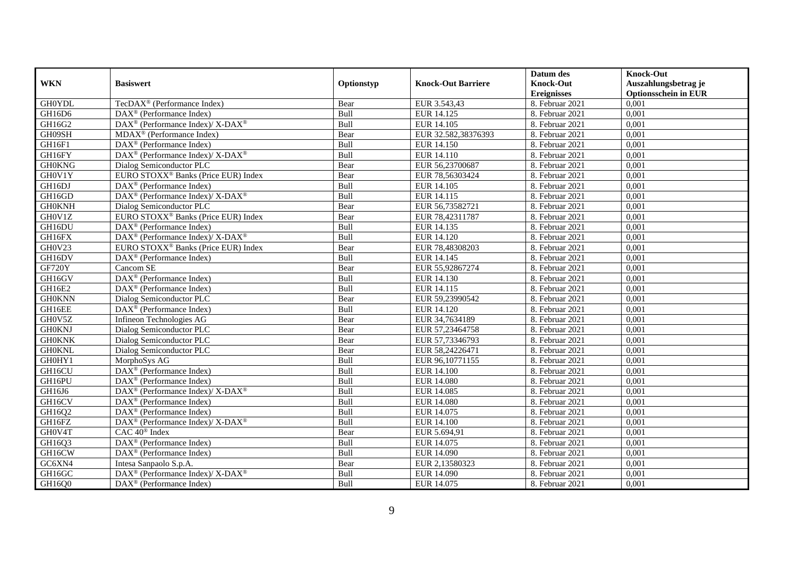|               |                                                                    |             |                           | Datum des          | <b>Knock-Out</b>            |
|---------------|--------------------------------------------------------------------|-------------|---------------------------|--------------------|-----------------------------|
| <b>WKN</b>    | <b>Basiswert</b>                                                   | Optionstyp  | <b>Knock-Out Barriere</b> | <b>Knock-Out</b>   | Auszahlungsbetrag je        |
|               |                                                                    |             |                           | <b>Ereignisses</b> | <b>Optionsschein in EUR</b> |
| <b>GH0YDL</b> | TecDAX <sup>®</sup> (Performance Index)                            | Bear        | EUR 3.543,43              | 8. Februar 2021    | 0,001                       |
| GH16D6        | $\text{DAX}^{\textcircled{D}}$ (Performance Index)                 | Bull        | EUR 14.125                | 8. Februar 2021    | 0,001                       |
| GH16G2        | $\text{DAX}^{\circledast}$ (Performance Index)/ X-DAX <sup>®</sup> | Bull        | EUR 14.105                | 8. Februar 2021    | 0,001                       |
| GH09SH        | $MDAX^{\circledR}$ (Performance Index)                             | Bear        | EUR 32.582,38376393       | 8. Februar 2021    | 0,001                       |
| GH16F1        | DAX <sup>®</sup> (Performance Index)                               | Bull        | EUR 14.150                | 8. Februar 2021    | 0,001                       |
| GH16FY        | DAX <sup>®</sup> (Performance Index)/ X-DAX <sup>®</sup>           | Bull        | EUR 14.110                | 8. Februar 2021    | 0,001                       |
| <b>GH0KNG</b> | Dialog Semiconductor PLC                                           | Bear        | EUR 56,23700687           | 8. Februar 2021    | 0,001                       |
| GH0V1Y        | EURO STOXX <sup>®</sup> Banks (Price EUR) Index                    | Bear        | EUR 78,56303424           | 8. Februar 2021    | 0,001                       |
| GH16DJ        | $\text{DAX}^{\textcircled{D}}$ (Performance Index)                 | Bull        | EUR 14.105                | 8. Februar 2021    | 0,001                       |
| GH16GD        | $DAX^{\circledast}$ (Performance Index)/X-DAX <sup>®</sup>         | Bull        | EUR 14.115                | 8. Februar 2021    | 0,001                       |
| <b>GH0KNH</b> | Dialog Semiconductor PLC                                           | Bear        | EUR 56,73582721           | 8. Februar 2021    | 0,001                       |
| GH0V1Z        | EURO STOXX <sup>®</sup> Banks (Price EUR) Index                    | Bear        | EUR 78,42311787           | 8. Februar 2021    | 0,001                       |
| GH16DU        | DAX <sup>®</sup> (Performance Index)                               | Bull        | EUR 14.135                | 8. Februar 2021    | 0,001                       |
| GH16FX        | $\text{DAX}^{\circledR}$ (Performance Index)/ X-DAX <sup>®</sup>   | Bull        | EUR 14.120                | 8. Februar 2021    | 0,001                       |
| GH0V23        | EURO STOXX <sup>®</sup> Banks (Price EUR) Index                    | Bear        | EUR 78,48308203           | 8. Februar 2021    | 0,001                       |
| GH16DV        | DAX <sup>®</sup> (Performance Index)                               | Bull        | EUR 14.145                | 8. Februar 2021    | 0,001                       |
| GF720Y        | Cancom SE                                                          | Bear        | EUR 55,92867274           | 8. Februar 2021    | 0,001                       |
| GH16GV        | $\text{DAX}^{\textcircled{p}}$ (Performance Index)                 | <b>Bull</b> | EUR 14.130                | 8. Februar 2021    | 0,001                       |
| GH16E2        | $\overline{\text{DAX}}^{\textcircled{}}$ (Performance Index)       | Bull        | EUR 14.115                | 8. Februar 2021    | 0,001                       |
| <b>GH0KNN</b> | Dialog Semiconductor PLC                                           | Bear        | EUR 59,23990542           | 8. Februar 2021    | 0,001                       |
| GH16EE        | $\text{DAX}^{\textcircled{D}}$ (Performance Index)                 | Bull        | EUR 14.120                | 8. Februar 2021    | 0,001                       |
| GH0V5Z        | Infineon Technologies AG                                           | Bear        | EUR 34,7634189            | 8. Februar 2021    | 0,001                       |
| <b>GH0KNJ</b> | Dialog Semiconductor PLC                                           | Bear        | EUR 57,23464758           | 8. Februar 2021    | 0,001                       |
| <b>GH0KNK</b> | Dialog Semiconductor PLC                                           | Bear        | EUR 57,73346793           | 8. Februar 2021    | 0,001                       |
| <b>GH0KNL</b> | Dialog Semiconductor PLC                                           | Bear        | EUR 58,24226471           | 8. Februar 2021    | 0,001                       |
| GH0HY1        | MorphoSys AG                                                       | Bull        | EUR 96,10771155           | 8. Februar 2021    | 0,001                       |
| GH16CU        | DAX <sup>®</sup> (Performance Index)                               | Bull        | <b>EUR 14.100</b>         | 8. Februar 2021    | 0,001                       |
| GH16PU        | $\text{DAX}^{\textcircled{D}}$ (Performance Index)                 | Bull        | <b>EUR 14.080</b>         | 8. Februar 2021    | 0,001                       |
| GH16J6        | $DAX^{\circledcirc}$ (Performance Index)/X-DAX <sup>®</sup>        | Bull        | EUR 14.085                | 8. Februar 2021    | 0,001                       |
| GH16CV        | $\text{DAX}^{\textcircled{D}}$ (Performance Index)                 | Bull        | <b>EUR 14.080</b>         | 8. Februar 2021    | 0,001                       |
| GH16Q2        | $\text{DAX}^{\textcircled{D}}$ (Performance Index)                 | Bull        | EUR 14.075                | 8. Februar 2021    | 0,001                       |
| GH16FZ        | DAX <sup>®</sup> (Performance Index)/ X-DAX <sup>®</sup>           | Bull        | <b>EUR 14.100</b>         | 8. Februar 2021    | 0,001                       |
| GH0V4T        | CAC 40 <sup>®</sup> Index                                          | Bear        | EUR 5.694,91              | 8. Februar 2021    | 0,001                       |
| GH16Q3        | DAX <sup>®</sup> (Performance Index)                               | Bull        | EUR 14.075                | 8. Februar 2021    | 0,001                       |
| GH16CW        | $\text{DAX}^{\textcircled{n}}$ (Performance Index)                 | Bull        | EUR 14.090                | 8. Februar 2021    | 0,001                       |
| GC6XN4        | Intesa Sanpaolo S.p.A.                                             | Bear        | EUR 2,13580323            | 8. Februar 2021    | 0,001                       |
| GH16GC        | $DAX^{\circledast}$ (Performance Index)/X-DAX <sup>®</sup>         | Bull        | EUR 14.090                | 8. Februar 2021    | 0,001                       |
| GH16Q0        | $\text{DAX}^{\textcircled{n}}$ (Performance Index)                 | Bull        | EUR 14.075                | 8. Februar 2021    | 0,001                       |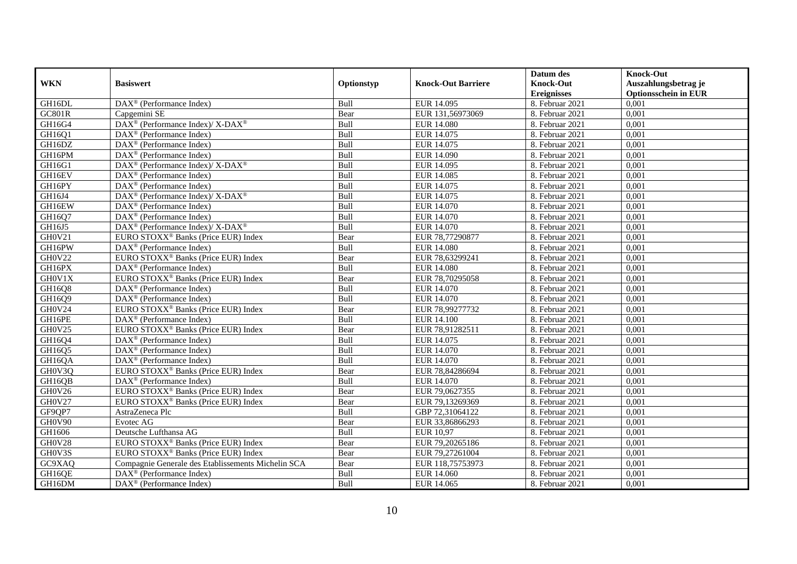|               |                                                                    |            |                           | Datum des          | <b>Knock-Out</b>            |
|---------------|--------------------------------------------------------------------|------------|---------------------------|--------------------|-----------------------------|
| <b>WKN</b>    | <b>Basiswert</b>                                                   | Optionstyp | <b>Knock-Out Barriere</b> | <b>Knock-Out</b>   | Auszahlungsbetrag je        |
|               |                                                                    |            |                           | <b>Ereignisses</b> | <b>Optionsschein in EUR</b> |
| GH16DL        | $\text{DAX}^{\textcircled{p}}$ (Performance Index)                 | Bull       | EUR 14.095                | 8. Februar 2021    | 0,001                       |
| <b>GC801R</b> | Capgemini SE                                                       | Bear       | EUR 131,56973069          | 8. Februar 2021    | 0,001                       |
| GH16G4        | $\text{DAX}^{\circledR}$ (Performance Index)/ X-DAX <sup>®</sup>   | Bull       | <b>EUR 14.080</b>         | 8. Februar 2021    | 0,001                       |
| GH16Q1        | $\text{DAX}^{\textcircled{n}}$ (Performance Index)                 | Bull       | EUR 14.075                | 8. Februar 2021    | 0,001                       |
| GH16DZ        | DAX <sup>®</sup> (Performance Index)                               | Bull       | EUR 14.075                | 8. Februar 2021    | 0,001                       |
| GH16PM        | $\overline{\text{DAX}}^{\textcircled{}}$ (Performance Index)       | Bull       | EUR 14.090                | 8. Februar 2021    | 0,001                       |
| GH16G1        | $\text{DAX}^{\circledast}$ (Performance Index)/X-DAX <sup>®</sup>  | Bull       | EUR 14.095                | 8. Februar 2021    | 0,001                       |
| GH16EV        | $\text{DAX}^{\textcircled{D}}$ (Performance Index)                 | Bull       | <b>EUR 14.085</b>         | 8. Februar 2021    | 0,001                       |
| GH16PY        | $\text{DAX}^{\textcircled{D}}$ (Performance Index)                 | Bull       | EUR 14.075                | 8. Februar 2021    | 0,001                       |
| GH16J4        | $DAX^{\circledast}$ (Performance Index)/X-DAX <sup>®</sup>         | Bull       | EUR 14.075                | 8. Februar 2021    | 0,001                       |
| GH16EW        | $\overline{\text{DAX}}^{\textcirc}$ (Performance Index)            | Bull       | <b>EUR 14.070</b>         | 8. Februar 2021    | 0,001                       |
| GH16Q7        | $\overline{\text{DAX}^{\otimes}}$ (Performance Index)              | Bull       | EUR 14.070                | 8. Februar 2021    | 0,001                       |
| GH16J5        | $\text{DAX}^{\circledast}$ (Performance Index)/ X-DAX <sup>®</sup> | Bull       | EUR 14.070                | 8. Februar 2021    | 0,001                       |
| GH0V21        | EURO STOXX <sup>®</sup> Banks (Price EUR) Index                    | Bear       | EUR 78,77290877           | 8. Februar 2021    | 0,001                       |
| GH16PW        | $\text{DAX}^{\otimes}$ (Performance Index)                         | Bull       | EUR 14.080                | 8. Februar 2021    | 0,001                       |
| <b>GH0V22</b> | EURO STOXX <sup>®</sup> Banks (Price EUR) Index                    | Bear       | EUR 78,63299241           | 8. Februar 2021    | 0,001                       |
| GH16PX        | DAX <sup>®</sup> (Performance Index)                               | Bull       | EUR 14.080                | 8. Februar 2021    | 0,001                       |
| GH0V1X        | EURO STOXX <sup>®</sup> Banks (Price EUR) Index                    | Bear       | EUR 78,70295058           | 8. Februar 2021    | 0,001                       |
| GH16Q8        | $\text{DAX}^{\textcircled{n}}$ (Performance Index)                 | Bull       | EUR 14.070                | 8. Februar 2021    | 0,001                       |
| GH16Q9        | $\overline{\text{DAX}^{\otimes}}$ (Performance Index)              | Bull       | EUR 14.070                | 8. Februar 2021    | 0,001                       |
| GH0V24        | EURO STOXX <sup>®</sup> Banks (Price EUR) Index                    | Bear       | EUR 78,99277732           | 8. Februar 2021    | 0,001                       |
| GH16PE        | $\overline{\text{DAX}^{\otimes}}$ (Performance Index)              | Bull       | <b>EUR 14.100</b>         | 8. Februar 2021    | 0,001                       |
| GH0V25        | EURO STOXX <sup>®</sup> Banks (Price EUR) Index                    | Bear       | EUR 78,91282511           | 8. Februar 2021    | 0,001                       |
| GH16Q4        | DAX <sup>®</sup> (Performance Index)                               | Bull       | EUR 14.075                | 8. Februar 2021    | 0,001                       |
| GH16Q5        | $\overline{\text{DAX}^{\otimes}}$ (Performance Index)              | Bull       | EUR 14.070                | 8. Februar 2021    | 0,001                       |
| GH16QA        | DAX <sup>®</sup> (Performance Index)                               | Bull       | EUR 14.070                | 8. Februar 2021    | 0,001                       |
| GH0V3Q        | EURO STOXX <sup>®</sup> Banks (Price EUR) Index                    | Bear       | EUR 78,84286694           | 8. Februar 2021    | 0,001                       |
| GH16QB        | $DAX^{\circledR}$ (Performance Index)                              | Bull       | EUR 14.070                | 8. Februar 2021    | 0.001                       |
| GH0V26        | EURO STOXX <sup>®</sup> Banks (Price EUR) Index                    | Bear       | EUR 79,0627355            | 8. Februar 2021    | 0,001                       |
| GH0V27        | EURO STOXX <sup>®</sup> Banks (Price EUR) Index                    | Bear       | EUR 79,13269369           | 8. Februar 2021    | 0,001                       |
| GF9QP7        | AstraZeneca Plc                                                    | Bull       | GBP 72,31064122           | 8. Februar 2021    | 0,001                       |
| GH0V90        | Evotec AG                                                          | Bear       | EUR 33,86866293           | 8. Februar 2021    | 0,001                       |
| GH1606        | Deutsche Lufthansa AG                                              | Bull       | <b>EUR 10,97</b>          | 8. Februar 2021    | 0,001                       |
| GH0V28        | EURO STOXX <sup>®</sup> Banks (Price EUR) Index                    | Bear       | EUR 79,20265186           | 8. Februar 2021    | 0,001                       |
| GH0V3S        | EURO STOXX <sup>®</sup> Banks (Price EUR) Index                    | Bear       | EUR 79,27261004           | 8. Februar 2021    | 0,001                       |
| GC9XAQ        | Compagnie Generale des Etablissements Michelin SCA                 | Bear       | EUR 118,75753973          | 8. Februar 2021    | 0,001                       |
| GH16QE        | $\text{DAX}^{\textcircled{n}}$ (Performance Index)                 | Bull       | EUR 14.060                | 8. Februar 2021    | 0,001                       |
| GH16DM        | $\overline{\text{DAX}}^{\textcircled{}}$ (Performance Index)       | Bull       | EUR 14.065                | 8. Februar 2021    | 0,001                       |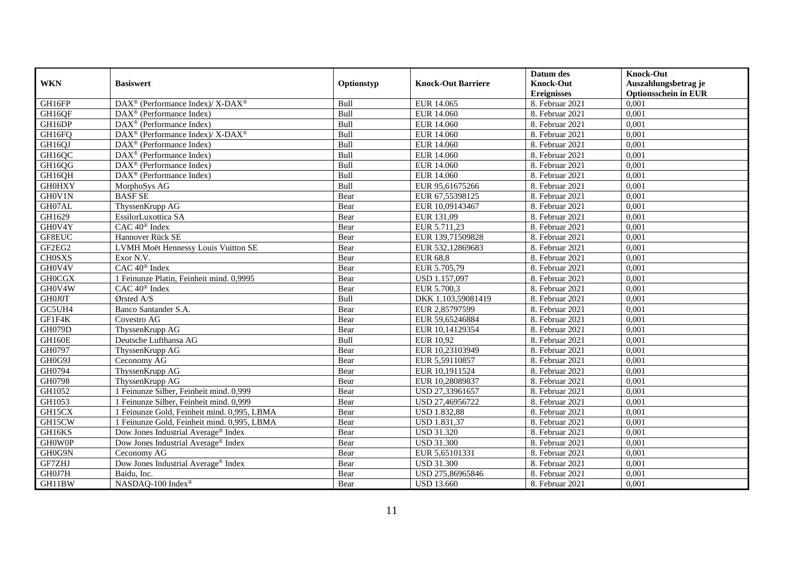|               |                                                                  |            |                           | Datum des          | <b>Knock-Out</b>            |
|---------------|------------------------------------------------------------------|------------|---------------------------|--------------------|-----------------------------|
| <b>WKN</b>    | <b>Basiswert</b>                                                 | Optionstyp | <b>Knock-Out Barriere</b> | <b>Knock-Out</b>   | Auszahlungsbetrag je        |
|               |                                                                  |            |                           | <b>Ereignisses</b> | <b>Optionsschein in EUR</b> |
| GH16FP        | DAX <sup>®</sup> (Performance Index)/ X-DAX <sup>®</sup>         | Bull       | EUR 14.065                | 8. Februar 2021    | 0,001                       |
| GH16QF        | $\text{DAX}^{\circledR}$ (Performance Index)                     | Bull       | EUR 14.060                | 8. Februar 2021    | 0,001                       |
| GH16DP        | $DAX^{\circledR}$ (Performance Index)                            | Bull       | EUR 14.060                | 8. Februar 2021    | 0,001                       |
| GH16FQ        | $\text{DAX}^{\circledR}$ (Performance Index)/ X-DAX <sup>®</sup> | Bull       | <b>EUR 14.060</b>         | 8. Februar 2021    | 0,001                       |
| GH16QJ        | DAX <sup>®</sup> (Performance Index)                             | Bull       | EUR 14.060                | 8. Februar 2021    | 0,001                       |
| GH16QC        | DAX <sup>®</sup> (Performance Index)                             | Bull       | EUR 14.060                | 8. Februar 2021    | 0,001                       |
| GH16QG        | $\text{DAX}^{\textcircled{D}}$ (Performance Index)               | Bull       | EUR 14.060                | 8. Februar 2021    | 0,001                       |
| GH16QH        | $\overline{\text{DAX}}^{\textcirc}$ (Performance Index)          | Bull       | <b>EUR 14.060</b>         | 8. Februar 2021    | 0,001                       |
| <b>GH0HXY</b> | MorphoSys AG                                                     | Bull       | EUR 95,61675266           | 8. Februar 2021    | 0,001                       |
| GH0V1N        | <b>BASF SE</b>                                                   | Bear       | EUR 67,55398125           | 8. Februar 2021    | 0,001                       |
| GH07AL        | ThyssenKrupp AG                                                  | Bear       | EUR 10,09143467           | 8. Februar 2021    | 0,001                       |
| GH1629        | EssilorLuxottica SA                                              | Bear       | EUR 131,09                | 8. Februar 2021    | 0,001                       |
| GH0V4Y        | CAC 40 <sup>®</sup> Index                                        | Bear       | EUR 5.711,23              | 8. Februar 2021    | 0,001                       |
| GF8EUC        | Hannover Rück SE                                                 | Bear       | EUR 139,71509828          | 8. Februar 2021    | 0.001                       |
| GF2EG2        | LVMH Moët Hennessy Louis Vuitton SE                              | Bear       | EUR 532,12869683          | 8. Februar 2021    | 0,001                       |
| <b>CH0SXS</b> | Exor N.V.                                                        | Bear       | <b>EUR 68,8</b>           | 8. Februar 2021    | 0,001                       |
| GH0V4V        | CAC 40 <sup>®</sup> Index                                        | Bear       | EUR 5.705,79              | 8. Februar 2021    | 0,001                       |
| <b>GH0CGX</b> | 1 Feinunze Platin, Feinheit mind. 0,9995                         | Bear       | USD 1.157,097             | 8. Februar 2021    | 0,001                       |
| GH0V4W        | $CAC 40^{\circledast}$ Index                                     | Bear       | EUR 5.700,3               | 8. Februar 2021    | 0,001                       |
| <b>GH0J0T</b> | Ørsted A/S                                                       | Bull       | DKK 1.103,59081419        | 8. Februar 2021    | 0,001                       |
| GC5UH4        | Banco Santander S.A.                                             | Bear       | EUR 2,85797599            | 8. Februar 2021    | 0,001                       |
| GF1F4K        | Covestro AG                                                      | Bear       | EUR 59,65246884           | 8. Februar 2021    | 0,001                       |
| <b>GH079D</b> | ThyssenKrupp AG                                                  | Bear       | EUR 10,14129354           | 8. Februar 2021    | 0,001                       |
| GH160E        | Deutsche Lufthansa AG                                            | Bull       | <b>EUR 10,92</b>          | 8. Februar 2021    | 0,001                       |
| GH0797        | ThyssenKrupp AG                                                  | Bear       | EUR 10,23103949           | 8. Februar 2021    | 0,001                       |
| GH0G9J        | Ceconomy AG                                                      | Bear       | EUR 5,59110857            | 8. Februar 2021    | 0,001                       |
| GH0794        | ThyssenKrupp AG                                                  | Bear       | EUR 10,1911524            | 8. Februar 2021    | 0,001                       |
| GH0798        | ThyssenKrupp AG                                                  | Bear       | EUR 10,28089837           | 8. Februar 2021    | 0,001                       |
| GH1052        | 1 Feinunze Silber, Feinheit mind. 0,999                          | Bear       | USD 27,33961657           | 8. Februar 2021    | 0,001                       |
| GH1053        | 1 Feinunze Silber, Feinheit mind. 0,999                          | Bear       | USD 27,46956722           | 8. Februar 2021    | 0,001                       |
| GH15CX        | 1 Feinunze Gold, Feinheit mind. 0,995, LBMA                      | Bear       | <b>USD 1.832,88</b>       | 8. Februar 2021    | 0,001                       |
| GH15CW        | 1 Feinunze Gold, Feinheit mind. 0,995, LBMA                      | Bear       | USD 1.831,37              | 8. Februar 2021    | 0,001                       |
| GH16KS        | Dow Jones Industrial Average® Index                              | Bear       | <b>USD 31.320</b>         | 8. Februar 2021    | 0,001                       |
| <b>GHOWOP</b> | Dow Jones Industrial Average <sup>®</sup> Index                  | Bear       | <b>USD 31.300</b>         | 8. Februar 2021    | 0,001                       |
| GH0G9N        | Ceconomy AG                                                      | Bear       | EUR 5,65101331            | 8. Februar 2021    | 0,001                       |
| GF7ZHJ        | Dow Jones Industrial Average <sup>®</sup> Index                  | Bear       | <b>USD 31.300</b>         | 8. Februar 2021    | 0,001                       |
| GH0J7H        | Baidu, Inc.                                                      | Bear       | USD 275,86965846          | 8. Februar 2021    | 0,001                       |
| GH11BW        | NASDAQ-100 Index®                                                | Bear       | <b>USD 13.660</b>         | 8. Februar 2021    | 0,001                       |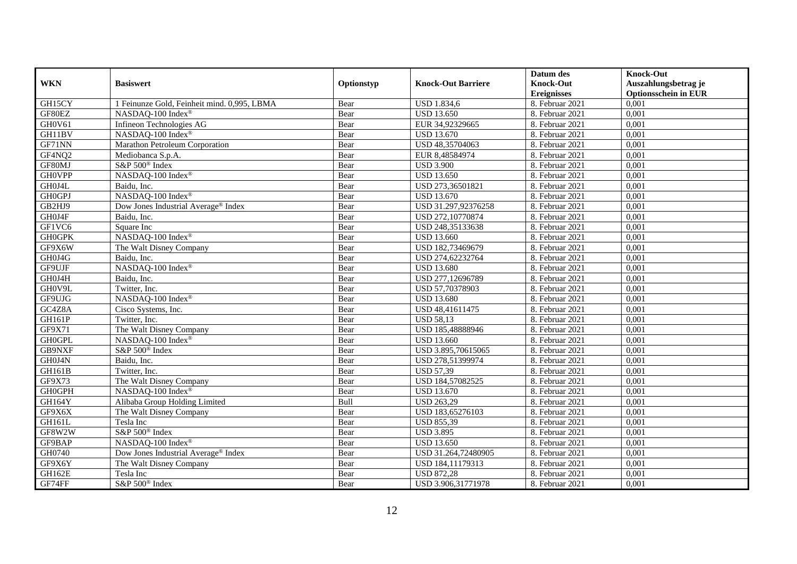|               |                                             |            |                           | Datum des          | <b>Knock-Out</b>            |
|---------------|---------------------------------------------|------------|---------------------------|--------------------|-----------------------------|
| <b>WKN</b>    | <b>Basiswert</b>                            | Optionstyp | <b>Knock-Out Barriere</b> | <b>Knock-Out</b>   | Auszahlungsbetrag je        |
|               |                                             |            |                           | <b>Ereignisses</b> | <b>Optionsschein in EUR</b> |
| GH15CY        | 1 Feinunze Gold, Feinheit mind. 0,995, LBMA | Bear       | <b>USD 1.834,6</b>        | 8. Februar 2021    | 0,001                       |
| GF80EZ        | NASDAQ-100 Index®                           | Bear       | <b>USD 13.650</b>         | 8. Februar 2021    | 0,001                       |
| GH0V61        | Infineon Technologies AG                    | Bear       | EUR 34,92329665           | 8. Februar 2021    | 0,001                       |
| GH11BV        | NASDAQ-100 Index®                           | Bear       | <b>USD 13.670</b>         | 8. Februar 2021    | 0,001                       |
| GF71NN        | Marathon Petroleum Corporation              | Bear       | USD 48,35704063           | 8. Februar 2021    | 0,001                       |
| GF4NQ2        | Mediobanca S.p.A.                           | Bear       | EUR 8,48584974            | 8. Februar 2021    | 0,001                       |
| GF80MJ        | S&P 500 <sup>®</sup> Index                  | Bear       | <b>USD 3.900</b>          | 8. Februar 2021    | 0,001                       |
| <b>GHOVPP</b> | NASDAQ-100 Index®                           | Bear       | <b>USD 13.650</b>         | 8. Februar 2021    | 0,001                       |
| GH0J4L        | Baidu, Inc.                                 | Bear       | USD 273,36501821          | 8. Februar 2021    | 0,001                       |
| <b>GH0GPJ</b> | NASDAQ-100 Index®                           | Bear       | <b>USD 13.670</b>         | 8. Februar 2021    | 0,001                       |
| GB2HJ9        | Dow Jones Industrial Average® Index         | Bear       | USD 31.297,92376258       | 8. Februar 2021    | 0,001                       |
| GH0J4F        | Baidu, Inc.                                 | Bear       | USD 272,10770874          | 8. Februar 2021    | 0,001                       |
| GF1VC6        | Square Inc                                  | Bear       | USD 248,35133638          | 8. Februar 2021    | 0,001                       |
| <b>GH0GPK</b> | NASDAQ-100 Index®                           | Bear       | <b>USD 13.660</b>         | 8. Februar 2021    | 0,001                       |
| GF9X6W        | The Walt Disney Company                     | Bear       | USD 182,73469679          | 8. Februar 2021    | 0,001                       |
| GH0J4G        | Baidu, Inc.                                 | Bear       | USD 274,62232764          | 8. Februar 2021    | 0,001                       |
| GF9UJF        | NASDAQ-100 Index®                           | Bear       | <b>USD 13.680</b>         | 8. Februar 2021    | 0,001                       |
| GH0J4H        | Baidu. Inc.                                 | Bear       | USD 277,12696789          | 8. Februar 2021    | 0,001                       |
| GH0V9L        | Twitter, Inc.                               | Bear       | USD 57,70378903           | 8. Februar 2021    | 0,001                       |
| GF9UJG        | NASDAQ-100 Index®                           | Bear       | <b>USD 13.680</b>         | 8. Februar 2021    | 0,001                       |
| GC4Z8A        | Cisco Systems, Inc.                         | Bear       | USD 48,41611475           | 8. Februar 2021    | 0,001                       |
| <b>GH161P</b> | Twitter, Inc.                               | Bear       | <b>USD 58.13</b>          | 8. Februar 2021    | 0,001                       |
| GF9X71        | The Walt Disney Company                     | Bear       | USD 185,48888946          | 8. Februar 2021    | 0,001                       |
| <b>GH0GPL</b> | NASDAQ-100 Index®                           | Bear       | <b>USD 13.660</b>         | 8. Februar 2021    | 0,001                       |
| GB9NXF        | S&P 500 <sup>®</sup> Index                  | Bear       | USD 3.895,70615065        | 8. Februar 2021    | 0,001                       |
| GH0J4N        | Baidu, Inc.                                 | Bear       | USD 278,51399974          | 8. Februar 2021    | 0,001                       |
| GH161B        | Twitter, Inc.                               | Bear       | <b>USD 57,39</b>          | 8. Februar 2021    | 0,001                       |
| GF9X73        | The Walt Disney Company                     | Bear       | USD 184,57082525          | 8. Februar 2021    | 0,001                       |
| <b>GH0GPH</b> | NASDAQ-100 Index®                           | Bear       | <b>USD 13.670</b>         | 8. Februar 2021    | 0,001                       |
| GH164Y        | Alibaba Group Holding Limited               | Bull       | <b>USD 263,29</b>         | 8. Februar 2021    | 0,001                       |
| GF9X6X        | The Walt Disney Company                     | Bear       | USD 183,65276103          | 8. Februar 2021    | 0,001                       |
| GH161L        | Tesla Inc                                   | Bear       | <b>USD 855,39</b>         | 8. Februar 2021    | 0,001                       |
| GF8W2W        | S&P 500 <sup>®</sup> Index                  | Bear       | <b>USD 3.895</b>          | 8. Februar 2021    | 0,001                       |
| GF9BAP        | NASDAQ-100 Index®                           | Bear       | <b>USD 13.650</b>         | 8. Februar 2021    | 0,001                       |
| GH0740        | Dow Jones Industrial Average® Index         | Bear       | USD 31.264,72480905       | 8. Februar 2021    | 0,001                       |
| GF9X6Y        | The Walt Disney Company                     | Bear       | USD 184,11179313          | 8. Februar 2021    | 0,001                       |
| GH162E        | Tesla Inc                                   | Bear       | <b>USD 872,28</b>         | 8. Februar 2021    | 0,001                       |
| GF74FF        | S&P 500 <sup>®</sup> Index                  | Bear       | USD 3.906,31771978        | 8. Februar 2021    | 0,001                       |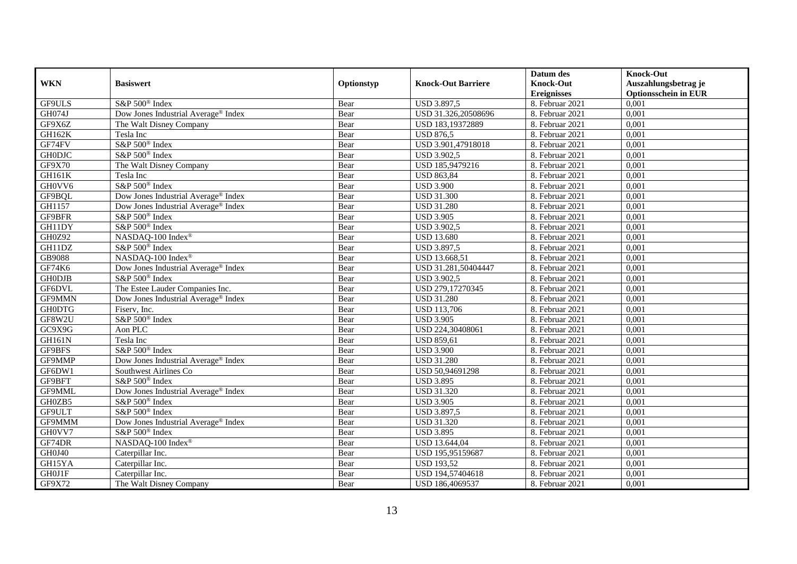|               |                                                 |            |                           | Datum des          | <b>Knock-Out</b>            |
|---------------|-------------------------------------------------|------------|---------------------------|--------------------|-----------------------------|
| <b>WKN</b>    | <b>Basiswert</b>                                | Optionstyp | <b>Knock-Out Barriere</b> | <b>Knock-Out</b>   | Auszahlungsbetrag je        |
|               |                                                 |            |                           | <b>Ereignisses</b> | <b>Optionsschein in EUR</b> |
| GF9ULS        | S&P 500 <sup>®</sup> Index                      | Bear       | <b>USD 3.897,5</b>        | 8. Februar 2021    | 0,001                       |
| GH074J        | Dow Jones Industrial Average® Index             | Bear       | USD 31.326,20508696       | 8. Februar 2021    | 0,001                       |
| GF9X6Z        | The Walt Disney Company                         | Bear       | USD 183,19372889          | 8. Februar 2021    | 0,001                       |
| GH162K        | Tesla Inc                                       | Bear       | <b>USD 876,5</b>          | 8. Februar 2021    | 0,001                       |
| GF74FV        | S&P 500 <sup>®</sup> Index                      | Bear       | USD 3.901,47918018        | 8. Februar 2021    | 0,001                       |
| <b>GH0DJC</b> | S&P 500 <sup>®</sup> Index                      | Bear       | <b>USD 3.902,5</b>        | 8. Februar 2021    | 0,001                       |
| GF9X70        | The Walt Disney Company                         | Bear       | USD 185,9479216           | 8. Februar 2021    | 0,001                       |
| GH161K        | Tesla Inc                                       | Bear       | <b>USD 863,84</b>         | 8. Februar 2021    | 0,001                       |
| GH0VV6        | S&P 500 <sup>®</sup> Index                      | Bear       | <b>USD 3.900</b>          | 8. Februar 2021    | 0,001                       |
| GF9BQL        | Dow Jones Industrial Average <sup>®</sup> Index | Bear       | <b>USD 31.300</b>         | 8. Februar 2021    | 0,001                       |
| GH1157        | Dow Jones Industrial Average® Index             | Bear       | <b>USD 31.280</b>         | 8. Februar 2021    | 0,001                       |
| GF9BFR        | S&P 500 <sup>®</sup> Index                      | Bear       | <b>USD 3.905</b>          | 8. Februar 2021    | 0,001                       |
| GH11DY        | S&P 500 <sup>®</sup> Index                      | Bear       | <b>USD 3.902,5</b>        | 8. Februar 2021    | 0,001                       |
| GH0Z92        | NASDAQ-100 Index®                               | Bear       | <b>USD 13.680</b>         | 8. Februar 2021    | 0,001                       |
| GH11DZ        | S&P 500 <sup>®</sup> Index                      | Bear       | USD 3.897,5               | 8. Februar 2021    | 0,001                       |
| GB9088        | NASDAQ-100 Index®                               | Bear       | USD 13.668,51             | 8. Februar 2021    | 0,001                       |
| GF74K6        | Dow Jones Industrial Average® Index             | Bear       | USD 31.281,50404447       | 8. Februar 2021    | 0,001                       |
| <b>GH0DJB</b> | S&P 500 <sup>®</sup> Index                      | Bear       | <b>USD 3.902.5</b>        | 8. Februar 2021    | 0,001                       |
| GF6DVL        | The Estee Lauder Companies Inc.                 | Bear       | USD 279,17270345          | 8. Februar 2021    | 0,001                       |
| GF9MMN        | Dow Jones Industrial Average® Index             | Bear       | <b>USD 31.280</b>         | 8. Februar 2021    | 0,001                       |
| <b>GH0DTG</b> | Fiserv, Inc.                                    | Bear       | <b>USD 113,706</b>        | 8. Februar 2021    | 0,001                       |
| GF8W2U        | S&P 500 <sup>®</sup> Index                      | Bear       | <b>USD 3.905</b>          | 8. Februar 2021    | 0,001                       |
| GC9X9G        | Aon PLC                                         | Bear       | USD 224,30408061          | 8. Februar 2021    | 0,001                       |
| GH161N        | Tesla Inc                                       | Bear       | <b>USD 859,61</b>         | 8. Februar 2021    | 0,001                       |
| GF9BFS        | S&P 500 <sup>®</sup> Index                      | Bear       | <b>USD 3.900</b>          | 8. Februar 2021    | 0,001                       |
| GF9MMP        | Dow Jones Industrial Average® Index             | Bear       | <b>USD 31.280</b>         | 8. Februar 2021    | 0,001                       |
| GF6DW1        | Southwest Airlines Co                           | Bear       | USD 50,94691298           | 8. Februar 2021    | 0,001                       |
| GF9BFT        | S&P 500 <sup>®</sup> Index                      | Bear       | <b>USD 3.895</b>          | 8. Februar 2021    | 0,001                       |
| GF9MML        | Dow Jones Industrial Average <sup>®</sup> Index | Bear       | <b>USD 31.320</b>         | 8. Februar 2021    | 0,001                       |
| GH0ZB5        | S&P 500 <sup>®</sup> Index                      | Bear       | <b>USD 3.905</b>          | 8. Februar 2021    | 0,001                       |
| GF9ULT        | S&P 500 <sup>®</sup> Index                      | Bear       | USD 3.897,5               | 8. Februar 2021    | 0,001                       |
| GF9MMM        | Dow Jones Industrial Average <sup>®</sup> Index | Bear       | <b>USD 31.320</b>         | 8. Februar 2021    | 0,001                       |
| GH0VV7        | S&P 500 <sup>®</sup> Index                      | Bear       | <b>USD 3.895</b>          | 8. Februar 2021    | 0,001                       |
| GF74DR        | NASDAQ-100 Index®                               | Bear       | USD 13.644,04             | 8. Februar 2021    | 0,001                       |
| GH0J40        | Caterpillar Inc.                                | Bear       | USD 195,95159687          | 8. Februar 2021    | 0,001                       |
| GH15YA        | Caterpillar Inc.                                | Bear       | <b>USD 193,52</b>         | 8. Februar 2021    | 0,001                       |
| GH0J1F        | Caterpillar Inc.                                | Bear       | USD 194,57404618          | 8. Februar 2021    | 0,001                       |
| GF9X72        | The Walt Disney Company                         | Bear       | USD 186,4069537           | 8. Februar 2021    | 0,001                       |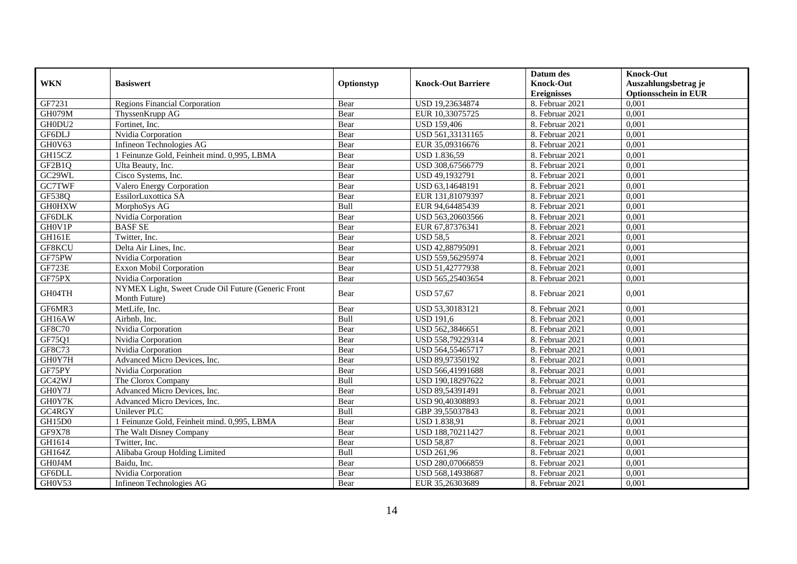|                     |                                                                     |            |                           | Datum des                              | <b>Knock-Out</b>                                    |
|---------------------|---------------------------------------------------------------------|------------|---------------------------|----------------------------------------|-----------------------------------------------------|
| <b>WKN</b>          | <b>Basiswert</b>                                                    | Optionstyp | <b>Knock-Out Barriere</b> | <b>Knock-Out</b><br><b>Ereignisses</b> | Auszahlungsbetrag je<br><b>Optionsschein in EUR</b> |
| GF7231              | <b>Regions Financial Corporation</b>                                | Bear       | USD 19,23634874           | 8. Februar 2021                        | 0,001                                               |
| <b>GH079M</b>       | ThyssenKrupp AG                                                     | Bear       | EUR 10,33075725           | 8. Februar 2021                        | 0,001                                               |
| GH0DU2              | Fortinet, Inc.                                                      | Bear       | <b>USD 159,406</b>        | 8. Februar 2021                        | 0,001                                               |
| GF6DLJ              | Nvidia Corporation                                                  | Bear       | USD 561,33131165          | 8. Februar 2021                        | 0,001                                               |
| GH0V63              | Infineon Technologies AG                                            | Bear       | EUR 35,09316676           | 8. Februar 2021                        | 0,001                                               |
| GH15CZ              | 1 Feinunze Gold, Feinheit mind. 0,995, LBMA                         | Bear       | USD 1.836,59              | 8. Februar 2021                        | 0,001                                               |
| GF2B1Q              | Ulta Beauty, Inc.                                                   | Bear       | USD 308,67566779          | 8. Februar 2021                        | 0,001                                               |
| GC <sub>29</sub> WL | Cisco Systems, Inc.                                                 | Bear       | USD 49,1932791            | 8. Februar 2021                        | 0,001                                               |
| GC7TWF              | Valero Energy Corporation                                           | Bear       | USD 63,14648191           | 8. Februar 2021                        | 0,001                                               |
| GF538Q              | EssilorLuxottica SA                                                 | Bear       | EUR 131,81079397          | 8. Februar 2021                        | 0,001                                               |
| <b>GH0HXW</b>       | MorphoSys AG                                                        | Bull       | EUR 94,64485439           | 8. Februar 2021                        | 0,001                                               |
| <b>GF6DLK</b>       | Nvidia Corporation                                                  | Bear       | USD 563,20603566          | 8. Februar 2021                        | 0,001                                               |
| GH0V1P              | <b>BASF SE</b>                                                      | Bear       | EUR 67,87376341           | 8. Februar 2021                        | 0,001                                               |
| <b>GH161E</b>       | Twitter, Inc.                                                       | Bear       | <b>USD 58,5</b>           | 8. Februar 2021                        | 0,001                                               |
| GF8KCU              | Delta Air Lines, Inc.                                               | Bear       | USD 42,88795091           | 8. Februar 2021                        | 0,001                                               |
| GF75PW              | Nvidia Corporation                                                  | Bear       | USD 559,56295974          | 8. Februar 2021                        | 0,001                                               |
| GF723E              | <b>Exxon Mobil Corporation</b>                                      | Bear       | USD 51,42777938           | 8. Februar 2021                        | 0,001                                               |
| GF75PX              | Nvidia Corporation                                                  | Bear       | USD 565,25403654          | 8. Februar 2021                        | 0.001                                               |
| GH04TH              | NYMEX Light, Sweet Crude Oil Future (Generic Front<br>Month Future) | Bear       | <b>USD 57,67</b>          | 8. Februar 2021                        | 0,001                                               |
| GF6MR3              | MetLife, Inc.                                                       | Bear       | USD 53,30183121           | 8. Februar 2021                        | 0,001                                               |
| GH16AW              | Airbnb, Inc.                                                        | Bull       | <b>USD 191,6</b>          | 8. Februar 2021                        | 0,001                                               |
| <b>GF8C70</b>       | Nvidia Corporation                                                  | Bear       | USD 562,3846651           | 8. Februar 2021                        | 0,001                                               |
| GF75Q1              | Nvidia Corporation                                                  | Bear       | USD 558,79229314          | 8. Februar 2021                        | 0,001                                               |
| GF8C73              | Nvidia Corporation                                                  | Bear       | USD 564,55465717          | 8. Februar 2021                        | 0.001                                               |
| GH0Y7H              | Advanced Micro Devices, Inc.                                        | Bear       | USD 89,97350192           | 8. Februar 2021                        | 0,001                                               |
| GF75PY              | Nvidia Corporation                                                  | Bear       | USD 566,41991688          | 8. Februar 2021                        | 0,001                                               |
| GC42WJ              | The Clorox Company                                                  | Bull       | USD 190,18297622          | 8. Februar 2021                        | 0,001                                               |
| GH0Y7J              | Advanced Micro Devices, Inc.                                        | Bear       | USD 89,54391491           | 8. Februar 2021                        | 0,001                                               |
| GH0Y7K              | Advanced Micro Devices, Inc.                                        | Bear       | USD 90,40308893           | 8. Februar 2021                        | 0,001                                               |
| GC4RGY              | Unilever PLC                                                        | Bull       | GBP 39,55037843           | 8. Februar 2021                        | 0,001                                               |
| GH15D0              | 1 Feinunze Gold, Feinheit mind. 0,995, LBMA                         | Bear       | <b>USD 1.838,91</b>       | 8. Februar 2021                        | 0,001                                               |
| GF9X78              | The Walt Disney Company                                             | Bear       | USD 188,70211427          | 8. Februar 2021                        | 0,001                                               |
| GH1614              | Twitter, Inc.                                                       | Bear       | <b>USD 58,87</b>          | 8. Februar 2021                        | 0,001                                               |
| GH164Z              | Alibaba Group Holding Limited                                       | Bull       | <b>USD 261,96</b>         | 8. Februar 2021                        | 0,001                                               |
| GH0J4M              | Baidu, Inc.                                                         | Bear       | USD 280,07066859          | 8. Februar 2021                        | 0,001                                               |
| GF6DLL              | Nvidia Corporation                                                  | Bear       | USD 568,14938687          | 8. Februar 2021                        | 0,001                                               |
| GH0V53              | Infineon Technologies AG                                            | Bear       | EUR 35,26303689           | 8. Februar 2021                        | 0,001                                               |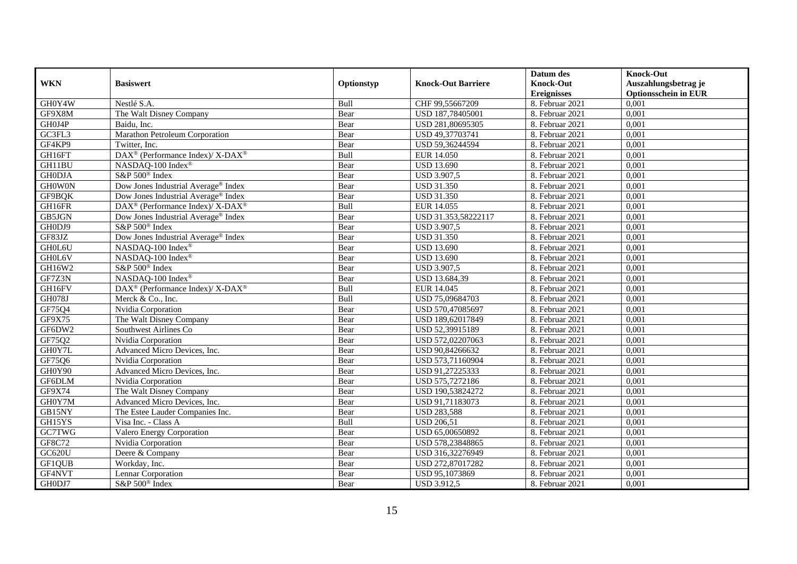|               |                                                                  |            |                           | Datum des          | <b>Knock-Out</b>            |
|---------------|------------------------------------------------------------------|------------|---------------------------|--------------------|-----------------------------|
| <b>WKN</b>    | <b>Basiswert</b>                                                 | Optionstyp | <b>Knock-Out Barriere</b> | <b>Knock-Out</b>   | Auszahlungsbetrag je        |
|               |                                                                  |            |                           | <b>Ereignisses</b> | <b>Optionsschein in EUR</b> |
| GH0Y4W        | Nestlé S.A.                                                      | Bull       | CHF 99,55667209           | 8. Februar 2021    | 0,001                       |
| GF9X8M        | The Walt Disney Company                                          | Bear       | USD 187,78405001          | 8. Februar 2021    | 0,001                       |
| GH0J4P        | Baidu, Inc.                                                      | Bear       | USD 281,80695305          | 8. Februar 2021    | 0,001                       |
| GC3FL3        | Marathon Petroleum Corporation                                   | Bear       | USD 49,37703741           | 8. Februar 2021    | 0,001                       |
| GF4KP9        | Twitter, Inc.                                                    | Bear       | USD 59,36244594           | 8. Februar 2021    | 0,001                       |
| GH16FT        | DAX <sup>®</sup> (Performance Index)/X-DAX <sup>®</sup>          | Bull       | EUR 14.050                | 8. Februar 2021    | 0,001                       |
| GH11BU        | NASDAQ-100 Index®                                                | Bear       | <b>USD 13.690</b>         | 8. Februar 2021    | 0,001                       |
| <b>GH0DJA</b> | S&P 500 <sup>®</sup> Index                                       | Bear       | <b>USD 3.907,5</b>        | 8. Februar 2021    | 0,001                       |
| <b>GHOWON</b> | Dow Jones Industrial Average <sup>®</sup> Index                  | Bear       | <b>USD 31.350</b>         | 8. Februar 2021    | 0,001                       |
| GF9BQK        | Dow Jones Industrial Average <sup>®</sup> Index                  | Bear       | <b>USD 31.350</b>         | 8. Februar 2021    | 0,001                       |
| GH16FR        | DAX <sup>®</sup> (Performance Index)/ X-DAX <sup>®</sup>         | Bull       | EUR 14.055                | 8. Februar 2021    | 0,001                       |
| GB5JGN        | Dow Jones Industrial Average <sup>®</sup> Index                  | Bear       | USD 31.353,58222117       | 8. Februar 2021    | 0,001                       |
| GH0DJ9        | S&P 500 <sup>®</sup> Index                                       | Bear       | <b>USD 3.907,5</b>        | 8. Februar 2021    | 0,001                       |
| GF83JZ        | Dow Jones Industrial Average® Index                              | Bear       | <b>USD 31.350</b>         | 8. Februar 2021    | 0,001                       |
| GH0L6U        | NASDAQ-100 Index®                                                | Bear       | <b>USD 13.690</b>         | 8. Februar 2021    | 0,001                       |
| GH0L6V        | NASDAQ-100 Index®                                                | Bear       | <b>USD 13.690</b>         | 8. Februar 2021    | 0,001                       |
| GH16W2        | S&P 500 <sup>®</sup> Index                                       | Bear       | <b>USD 3.907,5</b>        | 8. Februar 2021    | 0,001                       |
| GF7Z3N        | NASDAO-100 Index®                                                | Bear       | <b>USD 13.684.39</b>      | 8. Februar 2021    | 0,001                       |
| GH16FV        | $\text{DAX}^{\circledR}$ (Performance Index)/ X-DAX <sup>®</sup> | Bull       | EUR 14.045                | 8. Februar 2021    | 0,001                       |
| GH078J        | Merck & Co., Inc.                                                | Bull       | USD 75,09684703           | 8. Februar 2021    | 0,001                       |
| GF75Q4        | Nvidia Corporation                                               | Bear       | USD 570,47085697          | 8. Februar 2021    | 0,001                       |
| GF9X75        | The Walt Disney Company                                          | Bear       | USD 189,62017849          | 8. Februar 2021    | 0,001                       |
| GF6DW2        | Southwest Airlines Co                                            | Bear       | USD 52,39915189           | 8. Februar 2021    | 0,001                       |
| GF75Q2        | Nvidia Corporation                                               | Bear       | USD 572,02207063          | 8. Februar 2021    | 0,001                       |
| GH0Y7L        | Advanced Micro Devices, Inc.                                     | Bear       | USD 90,84266632           | 8. Februar 2021    | 0,001                       |
| GF75Q6        | Nvidia Corporation                                               | Bear       | USD 573,71160904          | 8. Februar 2021    | 0,001                       |
| GH0Y90        | Advanced Micro Devices, Inc.                                     | Bear       | USD 91,27225333           | 8. Februar 2021    | 0,001                       |
| GF6DLM        | Nvidia Corporation                                               | Bear       | USD 575,7272186           | 8. Februar 2021    | 0,001                       |
| GF9X74        | The Walt Disney Company                                          | Bear       | USD 190,53824272          | 8. Februar 2021    | 0,001                       |
| GH0Y7M        | Advanced Micro Devices, Inc.                                     | Bear       | USD 91,71183073           | 8. Februar 2021    | 0,001                       |
| GB15NY        | The Estee Lauder Companies Inc.                                  | Bear       | <b>USD 283,588</b>        | 8. Februar 2021    | 0,001                       |
| GH15YS        | Visa Inc. - Class A                                              | Bull       | <b>USD 206,51</b>         | 8. Februar 2021    | 0,001                       |
| GC7TWG        | Valero Energy Corporation                                        | Bear       | USD 65,00650892           | 8. Februar 2021    | 0,001                       |
| GF8C72        | Nvidia Corporation                                               | Bear       | USD 578,23848865          | 8. Februar 2021    | 0,001                       |
| <b>GC620U</b> | Deere & Company                                                  | Bear       | USD 316,32276949          | 8. Februar 2021    | 0,001                       |
| GF1QUB        | Workday, Inc.                                                    | Bear       | USD 272,87017282          | 8. Februar 2021    | 0,001                       |
| GF4NVT        | Lennar Corporation                                               | Bear       | USD 95,1073869            | 8. Februar 2021    | 0,001                       |
| GH0DJ7        | S&P 500 <sup>®</sup> Index                                       | Bear       | <b>USD 3.912,5</b>        | 8. Februar 2021    | 0,001                       |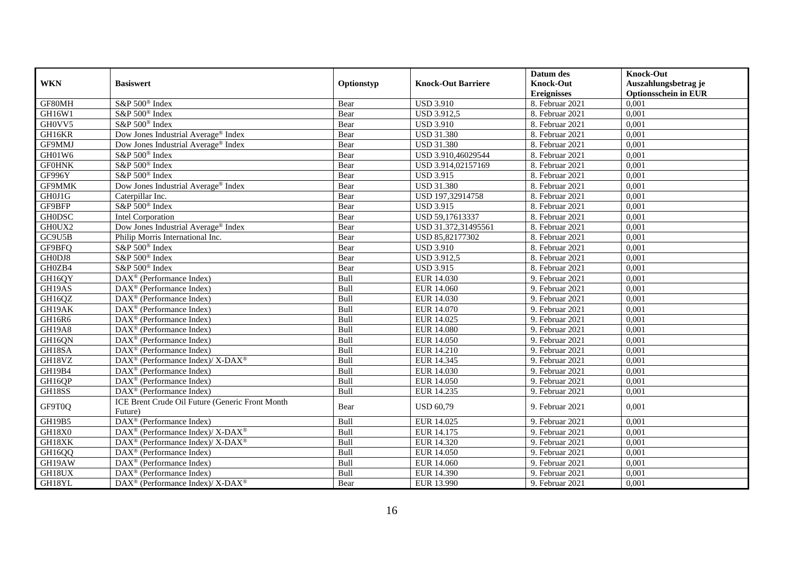|               |                                                                                        |            |                           | Datum des          | <b>Knock-Out</b>            |
|---------------|----------------------------------------------------------------------------------------|------------|---------------------------|--------------------|-----------------------------|
| <b>WKN</b>    | <b>Basiswert</b>                                                                       | Optionstyp | <b>Knock-Out Barriere</b> | <b>Knock-Out</b>   | Auszahlungsbetrag je        |
|               |                                                                                        |            |                           | <b>Ereignisses</b> | <b>Optionsschein in EUR</b> |
| GF80MH        | S&P 500 <sup>®</sup> Index                                                             | Bear       | <b>USD 3.910</b>          | 8. Februar 2021    | 0,001                       |
| GH16W1        | S&P 500 <sup>®</sup> Index                                                             | Bear       | <b>USD 3.912,5</b>        | 8. Februar 2021    | 0,001                       |
| GH0VV5        | S&P 500 <sup>®</sup> Index                                                             | Bear       | <b>USD 3.910</b>          | 8. Februar 2021    | 0,001                       |
| GH16KR        | Dow Jones Industrial Average <sup>®</sup> Index                                        | Bear       | <b>USD 31.380</b>         | 8. Februar 2021    | 0,001                       |
| GF9MMJ        | Dow Jones Industrial Average® Index                                                    | Bear       | <b>USD 31.380</b>         | 8. Februar 2021    | 0,001                       |
| GH01W6        | S&P 500 <sup>®</sup> Index                                                             | Bear       | USD 3.910,46029544        | 8. Februar 2021    | 0,001                       |
| <b>GF0HNK</b> | S&P 500 <sup>®</sup> Index                                                             | Bear       | USD 3.914,02157169        | 8. Februar 2021    | 0,001                       |
| GF996Y        | S&P 500 <sup>®</sup> Index                                                             | Bear       | <b>USD 3.915</b>          | 8. Februar 2021    | 0,001                       |
| GF9MMK        | Dow Jones Industrial Average® Index                                                    | Bear       | <b>USD 31.380</b>         | 8. Februar 2021    | 0,001                       |
| GH0J1G        | Caterpillar Inc.                                                                       | Bear       | USD 197,32914758          | 8. Februar 2021    | 0,001                       |
| GF9BFP        | S&P 500 <sup>®</sup> Index                                                             | Bear       | <b>USD 3.915</b>          | 8. Februar 2021    | 0,001                       |
| <b>GH0DSC</b> | Intel Corporation                                                                      | Bear       | USD 59,17613337           | 8. Februar 2021    | 0,001                       |
| GH0UX2        | Dow Jones Industrial Average <sup>®</sup> Index                                        | Bear       | USD 31.372,31495561       | 8. Februar 2021    | 0,001                       |
| GC9U5B        | Philip Morris International Inc.                                                       | Bear       | USD 85,82177302           | 8. Februar 2021    | 0,001                       |
| GF9BFQ        | S&P 500 <sup>®</sup> Index                                                             | Bear       | <b>USD 3.910</b>          | 8. Februar 2021    | 0,001                       |
| GH0DJ8        | S&P 500 <sup>®</sup> Index                                                             | Bear       | <b>USD 3.912,5</b>        | 8. Februar 2021    | 0,001                       |
| GH0ZB4        | S&P 500 <sup>®</sup> Index                                                             | Bear       | <b>USD 3.915</b>          | 8. Februar 2021    | 0,001                       |
| GH16QY        | DAX <sup>®</sup> (Performance Index)                                                   | Bull       | EUR 14.030                | 9. Februar 2021    | 0,001                       |
| GH19AS        | $\text{DAX}^{\textcircled{p}}$ (Performance Index)                                     | Bull       | EUR 14.060                | 9. Februar 2021    | 0,001                       |
| GH16QZ        | $\text{DAX}^{\textcircled{D}}$ (Performance Index)                                     | Bull       | EUR 14.030                | 9. Februar 2021    | 0,001                       |
| GH19AK        | DAX <sup>®</sup> (Performance Index)                                                   | Bull       | EUR 14.070                | 9. Februar 2021    | 0,001                       |
| GH16R6        | $\overline{\text{DAX}}^{\textcircled{}}$ (Performance Index)                           | Bull       | EUR 14.025                | 9. Februar 2021    | 0,001                       |
| <b>GH19A8</b> | $\text{DAX}^{\textcircled{D}}$ (Performance Index)                                     | Bull       | <b>EUR 14.080</b>         | 9. Februar 2021    | 0,001                       |
| GH16QN        | $\text{DAX}^{\textcircled{D}}$ (Performance Index)                                     | Bull       | EUR 14.050                | 9. Februar 2021    | 0,001                       |
| GH18SA        | DAX <sup>®</sup> (Performance Index)                                                   | Bull       | EUR 14.210                | 9. Februar 2021    | 0,001                       |
| GH18VZ        | $\text{DAX}^{\circledast}$ (Performance Index)/ X-DAX <sup>®</sup>                     | Bull       | EUR 14.345                | 9. Februar 2021    | 0,001                       |
| GH19B4        | DAX <sup>®</sup> (Performance Index)                                                   | Bull       | EUR 14.030                | 9. Februar 2021    | 0,001                       |
| GH16QP        | $\overline{\text{DAX}^{\otimes}}$ (Performance Index)                                  | Bull       | <b>EUR 14.050</b>         | 9. Februar 2021    | 0,001                       |
| GH18SS        | $\overline{\text{DAX}}^{\textcirc}$ (Performance Index)                                | Bull       | EUR 14.235                | 9. Februar 2021    | 0,001                       |
| GF9T0Q        | ICE Brent Crude Oil Future (Generic Front Month<br>Future)                             | Bear       | <b>USD 60,79</b>          | 9. Februar 2021    | 0,001                       |
| GH19B5        | DAX <sup>®</sup> (Performance Index)                                                   | Bull       | EUR 14.025                | 9. Februar 2021    | 0,001                       |
| GH18X0        | DAX <sup>®</sup> (Performance Index)/ X-DAX <sup>®</sup>                               | Bull       | EUR 14.175                | 9. Februar 2021    | 0,001                       |
| GH18XK        | DAX <sup>®</sup> (Performance Index)/X-DAX <sup>®</sup>                                | Bull       | EUR 14.320                | 9. Februar 2021    | 0,001                       |
| GH16QQ        | $\text{DAX}^{\textcircled{D}}$ (Performance Index)                                     | Bull       | <b>EUR 14.050</b>         | 9. Februar 2021    | 0,001                       |
| GH19AW        | $\text{DAX}^{\textcircled{D}}$ (Performance Index)                                     | Bull       | EUR 14.060                | 9. Februar 2021    | 0,001                       |
| GH18UX        | $\text{DAX}^{\otimes}$ (Performance Index)                                             | Bull       | EUR 14.390                | 9. Februar 2021    | 0,001                       |
| GH18YL        | $\overline{\text{DAX}^{\textcircled{\tiny 0}}}$ (Performance Index)/X-DAX <sup>®</sup> | Bear       | EUR 13.990                | 9. Februar 2021    | 0,001                       |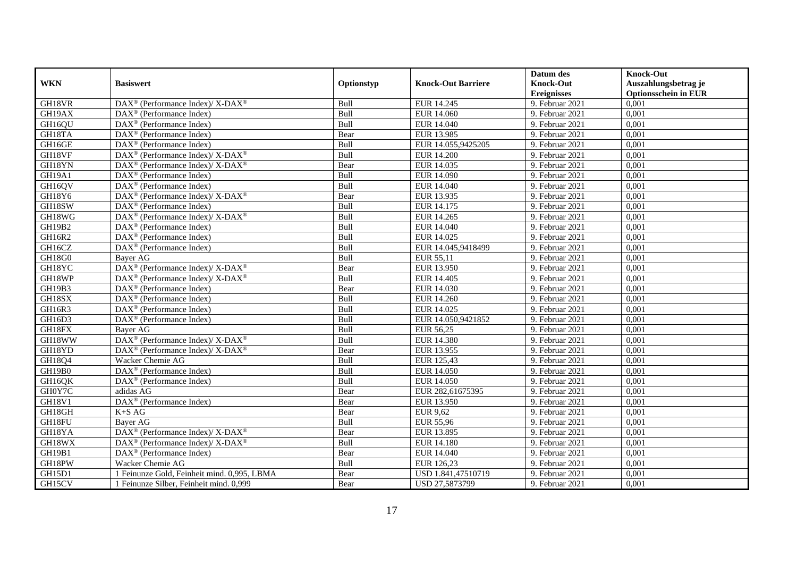|               |                                                                           |             |                           | Datum des          | <b>Knock-Out</b>            |
|---------------|---------------------------------------------------------------------------|-------------|---------------------------|--------------------|-----------------------------|
| <b>WKN</b>    | <b>Basiswert</b>                                                          | Optionstyp  | <b>Knock-Out Barriere</b> | <b>Knock-Out</b>   | Auszahlungsbetrag je        |
|               |                                                                           |             |                           | <b>Ereignisses</b> | <b>Optionsschein in EUR</b> |
| GH18VR        | DAX <sup>®</sup> (Performance Index)/ X-DAX <sup>®</sup>                  | Bull        | EUR 14.245                | 9. Februar 2021    | 0,001                       |
| GH19AX        | $\text{DAX}^{\textcircled{n}}$ (Performance Index)                        | Bull        | EUR 14.060                | 9. Februar 2021    | 0,001                       |
| GH16QU        | $DAX^{\circledR}$ (Performance Index)                                     | Bull        | EUR 14.040                | 9. Februar 2021    | 0,001                       |
| GH18TA        | $DAX^{\circledast}$ (Performance Index)                                   | Bear        | EUR 13.985                | 9. Februar 2021    | 0,001                       |
| GH16GE        | $\overline{\text{DAX}}^{\textcirc}$ (Performance Index)                   | Bull        | EUR 14.055,9425205        | 9. Februar 2021    | 0,001                       |
| GH18VF        | DAX <sup>®</sup> (Performance Index)/ X-DAX <sup>®</sup>                  | Bull        | <b>EUR 14.200</b>         | 9. Februar 2021    | 0,001                       |
| GH18YN        | DAX <sup>®</sup> (Performance Index)/ X-DAX <sup>®</sup>                  | Bear        | EUR 14.035                | 9. Februar 2021    | 0,001                       |
| GH19A1        | $\text{DAX}^{\otimes}$ (Performance Index)                                | Bull        | EUR 14.090                | 9. Februar 2021    | 0,001                       |
| GH16QV        | $\text{DAX}^{\textcircled{}}$ (Performance Index)                         | Bull        | EUR 14.040                | 9. Februar 2021    | 0,001                       |
| GH18Y6        | DAX <sup>®</sup> (Performance Index)/X-DAX <sup>®</sup>                   | Bear        | EUR 13.935                | 9. Februar 2021    | 0,001                       |
| GH18SW        | $DAX^{\circledR}$ (Performance Index)                                     | Bull        | EUR 14.175                | 9. Februar 2021    | 0,001                       |
| GH18WG        | $DAX^{\circledast}$ (Performance Index)/ $\overline{X-DAX^{\circledast}}$ | Bull        | EUR 14.265                | 9. Februar 2021    | 0,001                       |
| GH19B2        | DAX <sup>®</sup> (Performance Index)                                      | Bull        | EUR 14.040                | 9. Februar 2021    | 0,001                       |
| GH16R2        | $DAX^{\circledast}$ (Performance Index)                                   | Bull        | EUR 14.025                | 9. Februar 2021    | 0,001                       |
| GH16CZ        | DAX <sup>®</sup> (Performance Index)                                      | Bull        | EUR 14.045,9418499        | 9. Februar 2021    | 0,001                       |
| GH18G0        | Bayer AG                                                                  | Bull        | EUR 55,11                 | 9. Februar 2021    | 0,001                       |
| GH18YC        | $\overline{\text{DAX}^{\otimes}}$ (Performance Index)/X-DAX <sup>®</sup>  | Bear        | EUR 13.950                | 9. Februar 2021    | 0,001                       |
| GH18WP        | $DAX^{\circledcirc}$ (Performance Index)/X-DAX <sup>®</sup>               | Bull        | EUR 14.405                | 9. Februar 2021    | 0,001                       |
| GH19B3        | $DAX^{\circledR}$ (Performance Index)                                     | Bear        | EUR 14.030                | 9. Februar 2021    | 0,001                       |
| GH18SX        | $\overline{\text{DAX}^{\otimes}}$ (Performance Index)                     | Bull        | <b>EUR 14.260</b>         | 9. Februar 2021    | 0,001                       |
| GH16R3        | $\overline{\text{DAX}^{\otimes}}$ (Performance Index)                     | Bull        | EUR 14.025                | 9. Februar 2021    | 0,001                       |
| GH16D3        | DAX <sup>®</sup> (Performance Index)                                      | Bull        | EUR 14.050,9421852        | 9. Februar 2021    | 0,001                       |
| GH18FX        | Bayer AG                                                                  | Bull        | EUR 56,25                 | 9. Februar 2021    | 0,001                       |
| GH18WW        | DAX <sup>®</sup> (Performance Index)/ X-DAX <sup>®</sup>                  | Bull        | <b>EUR 14.380</b>         | 9. Februar 2021    | 0,001                       |
| GH18YD        | $DAX^{\circledcirc}$ (Performance Index)/X-DAX <sup>®</sup>               | Bear        | EUR 13.955                | 9. Februar 2021    | 0.001                       |
| GH18Q4        | Wacker Chemie AG                                                          | Bull        | EUR 125,43                | 9. Februar 2021    | 0,001                       |
| GH19B0        | DAX <sup>®</sup> (Performance Index)                                      | Bull        | <b>EUR 14.050</b>         | 9. Februar 2021    | 0,001                       |
| GH16QK        | $DAX^{\circledR}$ (Performance Index)                                     | Bull        | <b>EUR 14.050</b>         | 9. Februar 2021    | 0,001                       |
| GH0Y7C        | adidas AG                                                                 | Bear        | EUR 282,61675395          | 9. Februar 2021    | 0,001                       |
| <b>GH18V1</b> | DAX <sup>®</sup> (Performance Index)                                      | Bear        | EUR 13.950                | 9. Februar 2021    | 0,001                       |
| GH18GH        | $K+SAG$                                                                   | Bear        | <b>EUR 9,62</b>           | 9. Februar 2021    | 0,001                       |
| GH18FU        | <b>Baver AG</b>                                                           | <b>Bull</b> | <b>EUR 55,96</b>          | 9. Februar 2021    | 0,001                       |
| GH18YA        | DAX <sup>®</sup> (Performance Index)/X-DAX <sup>®</sup>                   | Bear        | EUR 13.895                | 9. Februar 2021    | 0,001                       |
| GH18WX        | DAX <sup>®</sup> (Performance Index)/ X-DAX <sup>®</sup>                  | Bull        | <b>EUR 14.180</b>         | 9. Februar 2021    | 0,001                       |
| GH19B1        | DAX <sup>®</sup> (Performance Index)                                      | Bear        | EUR 14.040                | 9. Februar 2021    | 0,001                       |
| GH18PW        | Wacker Chemie AG                                                          | Bull        | EUR 126,23                | 9. Februar 2021    | 0,001                       |
| GH15D1        | Feinunze Gold, Feinheit mind. 0,995, LBMA                                 | Bear        | USD 1.841,47510719        | 9. Februar 2021    | 0,001                       |
| GH15CV        | 1 Feinunze Silber, Feinheit mind. 0,999                                   | Bear        | USD 27,5873799            | 9. Februar 2021    | 0,001                       |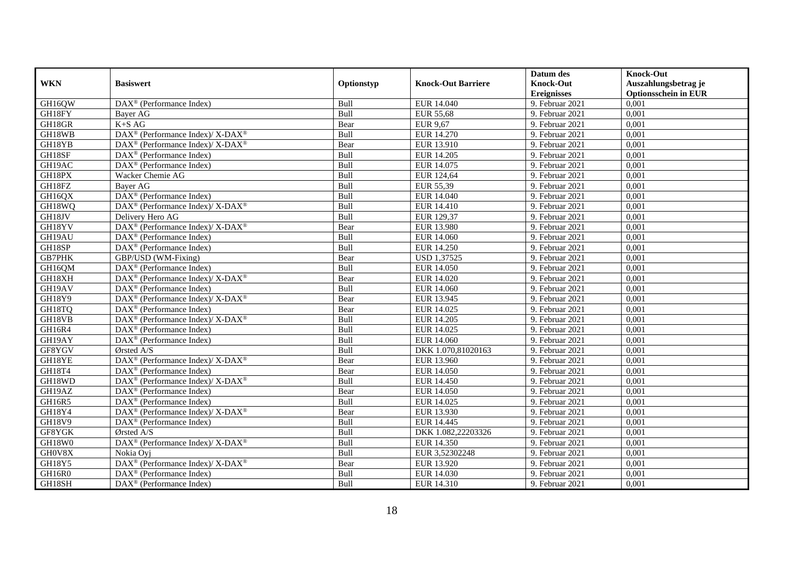|               |                                                                           |            |                           | Datum des          | <b>Knock-Out</b>            |
|---------------|---------------------------------------------------------------------------|------------|---------------------------|--------------------|-----------------------------|
| <b>WKN</b>    | <b>Basiswert</b>                                                          | Optionstyp | <b>Knock-Out Barriere</b> | <b>Knock-Out</b>   | Auszahlungsbetrag je        |
|               |                                                                           |            |                           | <b>Ereignisses</b> | <b>Optionsschein in EUR</b> |
| GH16QW        | $\overline{\text{DAX}^{\otimes}(\text{Performance Index})}$               | Bull       | EUR 14.040                | 9. Februar 2021    | 0,001                       |
| GH18FY        | Bayer AG                                                                  | Bull       | <b>EUR 55,68</b>          | 9. Februar 2021    | 0,001                       |
| GH18GR        | $K+SAG$                                                                   | Bear       | <b>EUR 9,67</b>           | 9. Februar 2021    | 0,001                       |
| GH18WB        | DAX <sup>®</sup> (Performance Index)/ X-DAX <sup>®</sup>                  | Bull       | <b>EUR 14.270</b>         | 9. Februar 2021    | 0,001                       |
| GH18YB        | $\text{DAX}^{\circledast}$ (Performance Index)/ X-DAX <sup>®</sup>        | Bear       | EUR 13.910                | 9. Februar 2021    | 0,001                       |
| GH18SF        | $\text{DAX}^{\circledast}$ (Performance Index)                            | Bull       | EUR 14.205                | 9. Februar 2021    | 0,001                       |
| GH19AC        | DAX <sup>®</sup> (Performance Index)                                      | Bull       | EUR 14.075                | 9. Februar 2021    | 0,001                       |
| GH18PX        | Wacker Chemie AG                                                          | Bull       | EUR 124,64                | 9. Februar 2021    | 0,001                       |
| GH18FZ        | Bayer AG                                                                  | Bull       | EUR 55,39                 | 9. Februar 2021    | 0,001                       |
| GH16QX        | DAX <sup>®</sup> (Performance Index)                                      | Bull       | EUR 14.040                | 9. Februar 2021    | 0,001                       |
| GH18WQ        | DAX <sup>®</sup> (Performance Index)/ X-DAX <sup>®</sup>                  | Bull       | EUR 14.410                | 9. Februar 2021    | 0,001                       |
| GH18JV        | Delivery Hero AG                                                          | Bull       | EUR 129,37                | 9. Februar 2021    | 0,001                       |
| GH18YV        | DAX <sup>®</sup> (Performance Index)/ X-DAX <sup>®</sup>                  | Bear       | <b>EUR 13.980</b>         | 9. Februar 2021    | 0,001                       |
| GH19AU        | $DAX^{\circledR}$ (Performance Index)                                     | Bull       | EUR 14.060                | 9. Februar 2021    | 0.001                       |
| GH18SP        | $DAX^{\circledast}$ (Performance Index)                                   | Bull       | <b>EUR 14.250</b>         | 9. Februar 2021    | 0,001                       |
| <b>GB7PHK</b> | GBP/USD (WM-Fixing)                                                       | Bear       | <b>USD 1,37525</b>        | 9. Februar 2021    | 0,001                       |
| GH16QM        | DAX <sup>®</sup> (Performance Index)                                      | Bull       | <b>EUR 14.050</b>         | 9. Februar 2021    | 0,001                       |
| GH18XH        | DAX <sup>®</sup> (Performance Index)/ X-DAX <sup>®</sup>                  | Bear       | EUR 14.020                | 9. Februar 2021    | 0,001                       |
| GH19AV        | DAX <sup>®</sup> (Performance Index)                                      | Bull       | EUR 14.060                | 9. Februar 2021    | 0,001                       |
| GH18Y9        | DAX <sup>®</sup> (Performance Index)/ X-DAX <sup>®</sup>                  | Bear       | EUR 13.945                | 9. Februar 2021    | 0,001                       |
| GH18TQ        | $DAX^{\circledast}$ (Performance Index)                                   | Bear       | EUR 14.025                | 9. Februar 2021    | 0,001                       |
| GH18VB        | $DAX^{\circledast}$ (Performance Index)/ $\overline{X-DAX^{\circledast}}$ | Bull       | EUR 14.205                | 9. Februar 2021    | 0,001                       |
| GH16R4        | $\text{DAX}^{\circledast}$ (Performance Index)                            | Bull       | EUR 14.025                | 9. Februar 2021    | 0,001                       |
| GH19AY        | DAX <sup>®</sup> (Performance Index)                                      | Bull       | EUR 14.060                | 9. Februar 2021    | 0,001                       |
| GF8YGV        | Ørsted A/S                                                                | Bull       | DKK 1.070,81020163        | 9. Februar 2021    | 0,001                       |
| GH18YE        | DAX <sup>®</sup> (Performance Index)/ X-DAX <sup>®</sup>                  | Bear       | EUR 13.960                | 9. Februar 2021    | 0,001                       |
| GH18T4        | DAX <sup>®</sup> (Performance Index)                                      | Bear       | <b>EUR 14.050</b>         | 9. Februar 2021    | 0,001                       |
| GH18WD        | DAX <sup>®</sup> (Performance Index)/ X-DAX <sup>®</sup>                  | Bull       | EUR 14.450                | 9. Februar 2021    | 0,001                       |
| GH19AZ        | $DAX^{\circledast}$ (Performance Index)                                   | Bear       | EUR 14.050                | 9. Februar 2021    | 0,001                       |
| GH16R5        | $DAX^{\circledast}$ (Performance Index)                                   | Bull       | EUR 14.025                | 9. Februar 2021    | 0,001                       |
| GH18Y4        | DAX <sup>®</sup> (Performance Index)/ X-DAX <sup>®</sup>                  | Bear       | EUR 13.930                | 9. Februar 2021    | 0,001                       |
| <b>GH18V9</b> | DAX <sup>®</sup> (Performance Index)                                      | Bull       | EUR 14.445                | 9. Februar 2021    | 0,001                       |
| GF8YGK        | Ørsted A/S                                                                | Bull       | DKK 1.082,22203326        | 9. Februar 2021    | 0,001                       |
| GH18W0        | DAX <sup>®</sup> (Performance Index)/ X-DAX <sup>®</sup>                  | Bull       | EUR 14.350                | 9. Februar 2021    | 0,001                       |
| GH0V8X        | Nokia Ovi                                                                 | Bull       | EUR 3,52302248            | 9. Februar 2021    | 0,001                       |
| GH18Y5        | DAX <sup>®</sup> (Performance Index)/ X-DAX <sup>®</sup>                  | Bear       | EUR 13.920                | 9. Februar 2021    | 0,001                       |
| GH16R0        | DAX <sup>®</sup> (Performance Index)                                      | Bull       | EUR 14.030                | 9. Februar 2021    | 0,001                       |
| GH18SH        | $\text{DAX}^{\textcircled{}}$ (Performance Index)                         | Bull       | EUR 14.310                | 9. Februar 2021    | 0,001                       |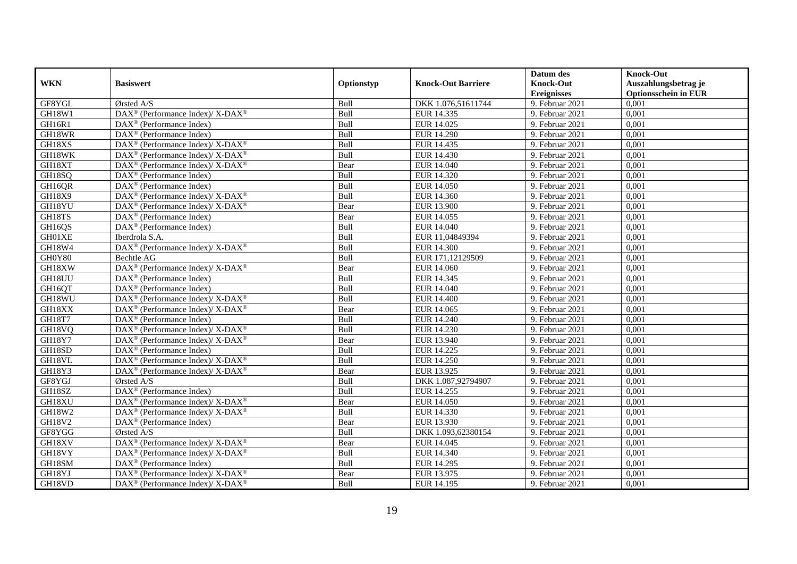|               |                                                                                         |             |                           | Datum des          | <b>Knock-Out</b>            |
|---------------|-----------------------------------------------------------------------------------------|-------------|---------------------------|--------------------|-----------------------------|
| <b>WKN</b>    | <b>Basiswert</b>                                                                        | Optionstyp  | <b>Knock-Out Barriere</b> | <b>Knock-Out</b>   | Auszahlungsbetrag je        |
|               |                                                                                         |             |                           | <b>Ereignisses</b> | <b>Optionsschein in EUR</b> |
| GF8YGL        | Ørsted A/S                                                                              | Bull        | DKK 1.076,51611744        | 9. Februar 2021    | 0,001                       |
| GH18W1        | $\text{DAX}^{\circledR}$ (Performance Index)/ X-DAX <sup>®</sup>                        | Bull        | EUR 14.335                | 9. Februar 2021    | 0,001                       |
| GH16R1        | DAX <sup>®</sup> (Performance Index)                                                    | Bull        | EUR 14.025                | 9. Februar 2021    | 0,001                       |
| GH18WR        | $\text{DAX}^{\circledast}$ (Performance Index)                                          | Bull        | EUR 14.290                | 9. Februar 2021    | 0,001                       |
| GH18XS        | $\text{DAX}^{\circledR}$ (Performance Index)/ X-DAX <sup>®</sup>                        | Bull        | EUR 14.435                | 9. Februar 2021    | 0,001                       |
| GH18WK        | DAX <sup>®</sup> (Performance Index)/ X-DAX <sup>®</sup>                                | Bull        | EUR 14.430                | 9. Februar 2021    | 0,001                       |
| GH18XT        | $\text{DAX}^{\circledast}$ (Performance Index)/ X-DAX <sup>®</sup>                      | Bear        | EUR 14.040                | 9. Februar 2021    | 0,001                       |
| GH18SQ        | $\text{DAX}^{\textcircled{p}}$ (Performance Index)                                      | Bull        | EUR 14.320                | 9. Februar 2021    | 0,001                       |
| GH16QR        | $\text{DAX}^{\textcircled{p}}$ (Performance Index)                                      | Bull        | <b>EUR 14.050</b>         | 9. Februar 2021    | 0,001                       |
| <b>GH18X9</b> | DAX <sup>®</sup> (Performance Index)/ X-DAX <sup>®</sup>                                | Bull        | EUR 14.360                | 9. Februar 2021    | 0,001                       |
| GH18YU        | DAX <sup>®</sup> (Performance Index)/ X-DAX <sup>®</sup>                                | Bear        | <b>EUR 13.900</b>         | 9. Februar 2021    | 0,001                       |
| GH18TS        | $\overline{\text{DAX}^{\otimes}}$ (Performance Index)                                   | Bear        | EUR 14.055                | 9. Februar 2021    | 0,001                       |
| GH16QS        | $\text{DAX}^{\textcircled{n}}$ (Performance Index)                                      | Bull        | EUR 14.040                | 9. Februar 2021    | 0,001                       |
| GH01XE        | Iberdrola S.A.                                                                          | Bull        | EUR 11,04849394           | 9. Februar 2021    | 0,001                       |
| GH18W4        | DAX <sup>®</sup> (Performance Index)/ X-DAX <sup>®</sup>                                | Bull        | EUR 14.300                | 9. Februar 2021    | 0,001                       |
| GH0Y80        | Bechtle AG                                                                              | Bull        | EUR 171,12129509          | 9. Februar 2021    | 0,001                       |
| GH18XW        | $\text{DAX}^{\circledR}$ (Performance Index)/ X-DAX <sup>®</sup>                        | Bear        | <b>EUR 14.060</b>         | 9. Februar 2021    | 0,001                       |
| GH18UU        | $DAX^{\circledR}$ (Performance Index)                                                   | <b>Bull</b> | EUR 14.345                | 9. Februar 2021    | 0,001                       |
| GH16QT        | DAX <sup>®</sup> (Performance Index)                                                    | Bull        | EUR 14.040                | 9. Februar 2021    | 0,001                       |
| GH18WU        | $\text{DAX}^{\circledast}$ (Performance Index)/ X-DAX <sup>®</sup>                      | Bull        | <b>EUR 14.400</b>         | 9. Februar 2021    | 0,001                       |
| GH18XX        | $\text{DAX}^{\circledR}$ (Performance Index)/ X-DAX <sup>®</sup>                        | Bear        | EUR 14.065                | 9. Februar 2021    | 0,001                       |
| <b>GH18T7</b> | $\overline{\text{DAX}^{\otimes}}$ (Performance Index)                                   | Bull        | EUR 14.240                | 9. Februar 2021    | 0,001                       |
| GH18VQ        | $\text{DAX}^{\circledR}$ (Performance Index)/ X-DAX <sup>®</sup>                        | Bull        | EUR 14.230                | 9. Februar 2021    | 0,001                       |
| <b>GH18Y7</b> | $\text{DAX}^{\circledR}$ (Performance Index)/ X-DAX <sup>®</sup>                        | Bear        | EUR 13.940                | 9. Februar 2021    | 0,001                       |
| GH18SD        | $\text{DAX}^{\textcircled{n}}$ (Performance Index)                                      | Bull        | EUR 14.225                | 9. Februar 2021    | 0,001                       |
| GH18VL        | DAX <sup>®</sup> (Performance Index)/ X-DAX <sup>®</sup>                                | Bull        | EUR 14.250                | 9. Februar 2021    | 0,001                       |
| GH18Y3        | DAX <sup>®</sup> (Performance Index)/ X-DAX <sup>®</sup>                                | Bear        | EUR 13.925                | 9. Februar 2021    | 0,001                       |
| GF8YGJ        | Ørsted A/S                                                                              | Bull        | DKK 1.087,92794907        | 9. Februar 2021    | 0,001                       |
| GH18SZ        | $\text{DAX}^{\textcircled{p}}$ (Performance Index)                                      | Bull        | EUR 14.255                | 9. Februar 2021    | 0,001                       |
| GH18XU        | $\text{DAX}^{\textcircled{\tiny{\textcircled{\tiny \dag}}}}$ (Performance Index)/X-DAX® | Bear        | <b>EUR 14.050</b>         | 9. Februar 2021    | 0,001                       |
| GH18W2        | $DAX^{\circledast}$ (Performance Index)/X-DAX <sup>®</sup>                              | Bull        | EUR 14.330                | 9. Februar 2021    | 0,001                       |
| GH18V2        | $\text{DAX}^{\circledast}$ (Performance Index)                                          | Bear        | EUR 13.930                | 9. Februar 2021    | 0,001                       |
| GF8YGG        | Ørsted A/S                                                                              | Bull        | DKK 1.093,62380154        | 9. Februar 2021    | 0,001                       |
| GH18XV        | $\text{DAX}^{\circledR}$ (Performance Index)/ X-DAX <sup>®</sup>                        | Bear        | EUR 14.045                | 9. Februar 2021    | 0,001                       |
| GH18VY        | $\text{DAX}^{\circledast}$ (Performance Index)/ X-DAX <sup>®</sup>                      | Bull        | EUR 14.340                | 9. Februar 2021    | 0,001                       |
| GH18SM        | DAX <sup>®</sup> (Performance Index)                                                    | Bull        | EUR 14.295                | 9. Februar 2021    | 0,001                       |
| GH18YJ        | DAX <sup>®</sup> (Performance Index)/ X-DAX <sup>®</sup>                                | Bear        | EUR 13.975                | 9. Februar 2021    | 0,001                       |
| GH18VD        | $\text{DAX}^{\circledast}$ (Performance Index)/ X-DAX <sup>®</sup>                      | Bull        | EUR 14.195                | 9. Februar 2021    | 0,001                       |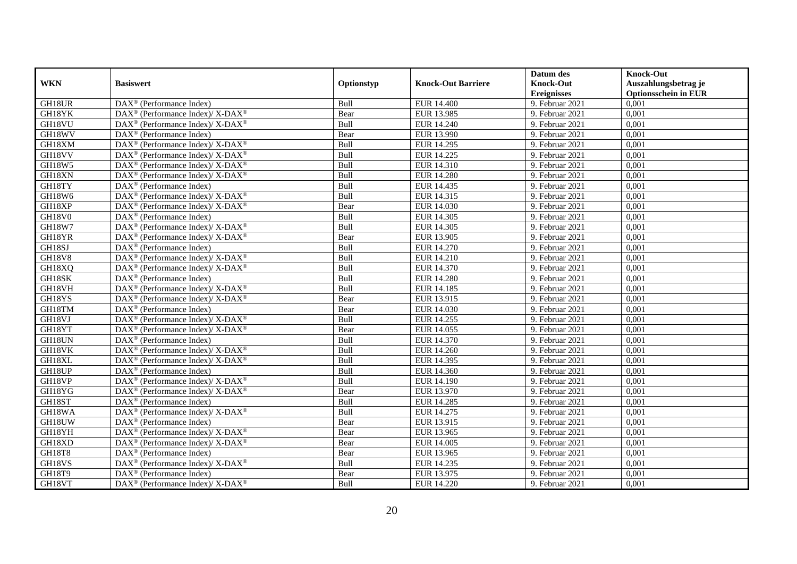|               |                                                                                         |            |                           | Datum des          | <b>Knock-Out</b>            |
|---------------|-----------------------------------------------------------------------------------------|------------|---------------------------|--------------------|-----------------------------|
| <b>WKN</b>    | <b>Basiswert</b>                                                                        | Optionstyp | <b>Knock-Out Barriere</b> | <b>Knock-Out</b>   | Auszahlungsbetrag je        |
|               |                                                                                         |            |                           | <b>Ereignisses</b> | <b>Optionsschein in EUR</b> |
| GH18UR        | DAX <sup>®</sup> (Performance Index)                                                    | Bull       | <b>EUR 14.400</b>         | 9. Februar 2021    | 0,001                       |
| GH18YK        | $\text{DAX}^{\circledR}$ (Performance Index)/ X-DAX <sup>®</sup>                        | Bear       | EUR 13.985                | 9. Februar 2021    | 0,001                       |
| GH18VU        | $\text{DAX}^{\circledast}$ (Performance Index)/ X-DAX <sup>®</sup>                      | Bull       | EUR 14.240                | 9. Februar 2021    | 0,001                       |
| GH18WV        | $\text{DAX}^{\otimes}$ (Performance Index)                                              | Bear       | EUR 13.990                | 9. Februar 2021    | 0,001                       |
| GH18XM        | $\text{DAX}^{\circledR}$ (Performance Index)/ X-DAX <sup>®</sup>                        | Bull       | EUR 14.295                | 9. Februar 2021    | 0,001                       |
| GH18VV        | DAX <sup>®</sup> (Performance Index)/ X-DAX <sup>®</sup>                                | Bull       | EUR 14.225                | 9. Februar 2021    | 0,001                       |
| <b>GH18W5</b> | $DAX^{\circledcirc}$ (Performance Index)/ X-DAX <sup>®</sup>                            | Bull       | EUR 14.310                | 9. Februar 2021    | 0,001                       |
| GH18XN        | $\text{DAX}^{\otimes}$ (Performance Index)/X-DAX <sup>®</sup>                           | Bull       | <b>EUR 14.280</b>         | 9. Februar 2021    | 0,001                       |
| GH18TY        | $\text{DAX}^{\textcircled{n}}$ (Performance Index)                                      | Bull       | EUR 14.435                | 9. Februar 2021    | 0,001                       |
| GH18W6        | DAX <sup>®</sup> (Performance Index)/ X-DAX <sup>®</sup>                                | Bull       | EUR 14.315                | 9. Februar 2021    | 0,001                       |
| GH18XP        | $\text{DAX}^{\otimes}$ (Performance Index)/X-DAX <sup>®</sup>                           | Bear       | EUR 14.030                | 9. Februar 2021    | 0,001                       |
| <b>GH18V0</b> | DAX <sup>®</sup> (Performance Index)                                                    | Bull       | EUR 14.305                | 9. Februar 2021    | 0,001                       |
| <b>GH18W7</b> | $\text{DAX}^{\circledast}$ (Performance Index)/ X-DAX <sup>®</sup>                      | Bull       | EUR 14.305                | 9. Februar 2021    | 0,001                       |
| GH18YR        | DAX <sup>®</sup> (Performance Index)/X-DAX <sup>®</sup>                                 | Bear       | EUR 13.905                | 9. Februar 2021    | 0,001                       |
| GH18SJ        | $\text{DAX}^{\otimes}$ (Performance Index)                                              | Bull       | EUR 14.270                | 9. Februar 2021    | 0,001                       |
| <b>GH18V8</b> | DAX <sup>®</sup> (Performance Index)/ X-DAX <sup>®</sup>                                | Bull       | EUR 14.210                | 9. Februar 2021    | 0,001                       |
| GH18XQ        | DAX <sup>®</sup> (Performance Index)/ X-DAX <sup>®</sup>                                | Bull       | EUR 14.370                | 9. Februar 2021    | 0,001                       |
| GH18SK        | $DAX^{\circledR}$ (Performance Index)                                                   | Bull       | EUR 14.280                | 9. Februar 2021    | 0,001                       |
| GH18VH        | $\text{DAX}^{\circledR}$ (Performance Index)/ X-DAX <sup>®</sup>                        | Bull       | EUR 14.185                | 9. Februar 2021    | 0,001                       |
| GH18YS        | DAX <sup>®</sup> (Performance Index)/ X-DAX <sup>®</sup>                                | Bear       | EUR 13.915                | 9. Februar 2021    | 0,001                       |
| GH18TM        | DAX <sup>®</sup> (Performance Index)                                                    | Bear       | EUR 14.030                | 9. Februar 2021    | 0,001                       |
| GH18VJ        | DAX <sup>®</sup> (Performance Index)/ X-DAX <sup>®</sup>                                | Bull       | EUR 14.255                | 9. Februar 2021    | 0,001                       |
| GH18YT        | $\overline{\text{DAX}^{\otimes}}$ (Performance Index)/X-DAX <sup>®</sup>                | Bear       | EUR 14.055                | 9. Februar 2021    | 0,001                       |
| GH18UN        | DAX <sup>®</sup> (Performance Index)                                                    | Bull       | EUR 14.370                | 9. Februar 2021    | 0,001                       |
| GH18VK        | $DAX^{\circledcirc}$ (Performance Index)/ X-DAX <sup>®</sup>                            | Bull       | EUR 14.260                | 9. Februar 2021    | 0.001                       |
| GH18XL        | $\text{DAX}^{\circledR}$ (Performance Index)/ X-DAX <sup>®</sup>                        | Bull       | EUR 14.395                | 9. Februar 2021    | 0,001                       |
| GH18UP        | DAX <sup>®</sup> (Performance Index)                                                    | Bull       | EUR 14.360                | 9. Februar 2021    | 0,001                       |
| GH18VP        | DAX <sup>®</sup> (Performance Index)/X-DAX <sup>®</sup>                                 | Bull       | EUR 14.190                | 9. Februar 2021    | 0,001                       |
| GH18YG        | DAX <sup>®</sup> (Performance Index)/ X-DAX <sup>®</sup>                                | Bear       | EUR 13.970                | 9. Februar 2021    | 0,001                       |
| GH18ST        | $\text{DAX}^{\circledast}$ (Performance Index)                                          | Bull       | EUR 14.285                | 9. Februar 2021    | 0,001                       |
| GH18WA        | $\text{DAX}^{\circledast}$ (Performance Index)/ X-DAX <sup>®</sup>                      | Bull       | EUR 14.275                | 9. Februar 2021    | 0,001                       |
| GH18UW        | $DAX^{\circledR}$ (Performance Index)                                                   | Bear       | EUR 13.915                | 9. Februar 2021    | 0,001                       |
| GH18YH        | $\text{DAX}^{\textcircled{\tiny{\textcircled{\tiny \dag}}}}$ (Performance Index)/X-DAX® | Bear       | EUR 13.965                | 9. Februar 2021    | 0,001                       |
| GH18XD        | DAX <sup>®</sup> (Performance Index)/ X-DAX <sup>®</sup>                                | Bear       | EUR 14.005                | 9. Februar 2021    | 0,001                       |
| <b>GH18T8</b> | DAX <sup>®</sup> (Performance Index)                                                    | Bear       | EUR 13.965                | 9. Februar 2021    | 0,001                       |
| GH18VS        | $\text{DAX}^{\otimes}$ (Performance Index)/X-DAX <sup>®</sup>                           | Bull       | EUR 14.235                | 9. Februar 2021    | 0,001                       |
| GH18T9        | $\text{DAX}^{\circledast}$ (Performance Index)                                          | Bear       | EUR 13.975                | 9. Februar 2021    | 0,001                       |
| GH18VT        | $\overline{\text{DAX}^{\textcircled{\tiny 0}}}$ (Performance Index)/X-DAX <sup>®</sup>  | Bull       | EUR 14.220                | 9. Februar 2021    | 0,001                       |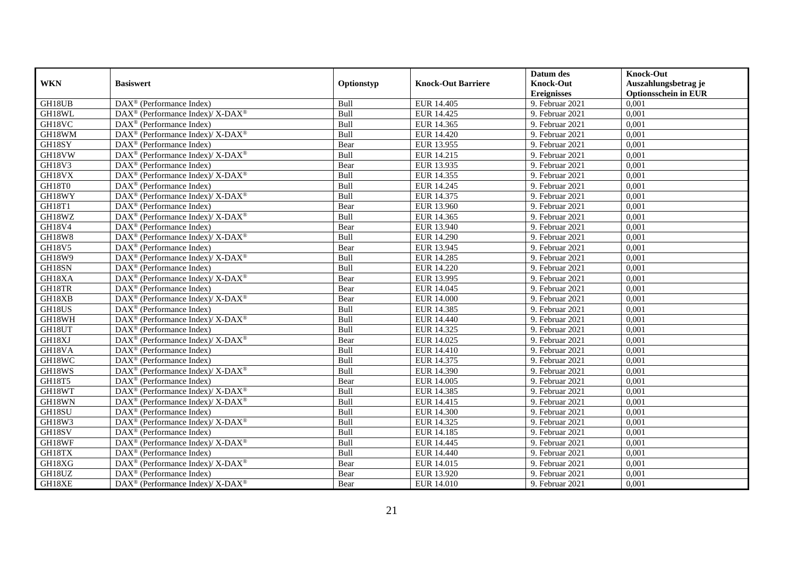|               |                                                                           |             |                           | Datum des          | <b>Knock-Out</b>            |
|---------------|---------------------------------------------------------------------------|-------------|---------------------------|--------------------|-----------------------------|
| <b>WKN</b>    | <b>Basiswert</b>                                                          | Optionstyp  | <b>Knock-Out Barriere</b> | <b>Knock-Out</b>   | Auszahlungsbetrag je        |
|               |                                                                           |             |                           | <b>Ereignisses</b> | <b>Optionsschein in EUR</b> |
| GH18UB        | $\overline{\text{DAX}}^{\textcirc}$ (Performance Index)                   | Bull        | EUR 14.405                | 9. Februar 2021    | 0,001                       |
| GH18WL        | DAX <sup>®</sup> (Performance Index)/ X-DAX <sup>®</sup>                  | Bull        | EUR 14.425                | 9. Februar 2021    | 0,001                       |
| GH18VC        | $DAX^{\circledR}$ (Performance Index)                                     | Bull        | EUR 14.365                | 9. Februar 2021    | 0,001                       |
| GH18WM        | DAX <sup>®</sup> (Performance Index)/ X-DAX <sup>®</sup>                  | Bull        | EUR 14.420                | 9. Februar 2021    | 0,001                       |
| GH18SY        | DAX <sup>®</sup> (Performance Index)                                      | Bear        | EUR 13.955                | 9. Februar 2021    | 0,001                       |
| GH18VW        | DAX <sup>®</sup> (Performance Index)/X-DAX <sup>®</sup>                   | Bull        | EUR 14.215                | 9. Februar 2021    | 0,001                       |
| GH18V3        | $\text{DAX}^{\textcircled{}}$ (Performance Index)                         | Bear        | EUR 13.935                | 9. Februar 2021    | 0,001                       |
| GH18VX        | DAX <sup>®</sup> (Performance Index)/ X-DAX <sup>®</sup>                  | Bull        | EUR 14.355                | 9. Februar 2021    | 0,001                       |
| GH18T0        | $DAX^{\circledR}$ (Performance Index)                                     | Bull        | EUR 14.245                | 9. Februar 2021    | 0,001                       |
| GH18WY        | DAX <sup>®</sup> (Performance Index)/ X-DAX <sup>®</sup>                  | Bull        | EUR 14.375                | 9. Februar 2021    | 0,001                       |
| <b>GH18T1</b> | $\text{DAX}^{\textcircled{}}$ (Performance Index)                         | Bear        | EUR 13.960                | 9. Februar 2021    | 0,001                       |
| GH18WZ        | DAX <sup>®</sup> (Performance Index)/ X-DAX <sup>®</sup>                  | Bull        | EUR 14.365                | 9. Februar 2021    | 0,001                       |
| <b>GH18V4</b> | $DAX^{\circledast}$ (Performance Index)                                   | Bear        | EUR 13.940                | 9. Februar 2021    | 0,001                       |
| <b>GH18W8</b> | $DAX^{\circledast}$ (Performance Index)/ X-DAX <sup>®</sup>               | Bull        | EUR 14.290                | 9. Februar 2021    | 0,001                       |
| GH18V5        | $DAX^{\circledast}$ (Performance Index)                                   | Bear        | EUR 13.945                | 9. Februar 2021    | 0,001                       |
| GH18W9        | DAX <sup>®</sup> (Performance Index)/X-DAX <sup>®</sup>                   | Bull        | EUR 14.285                | 9. Februar 2021    | 0,001                       |
| GH18SN        | DAX <sup>®</sup> (Performance Index)                                      | Bull        | EUR 14.220                | 9. Februar 2021    | 0,001                       |
| GH18XA        | $DAX^{\circledcirc}$ (Performance Index)/X-DAX <sup>®</sup>               | Bear        | EUR 13.995                | 9. Februar 2021    | 0,001                       |
| GH18TR        | $DAX^{\circledR}$ (Performance Index)                                     | Bear        | EUR 14.045                | 9. Februar 2021    | 0,001                       |
| GH18XB        | DAX <sup>®</sup> (Performance Index)/ X-DAX <sup>®</sup>                  | Bear        | <b>EUR 14.000</b>         | 9. Februar 2021    | 0,001                       |
| GH18US        | DAX <sup>®</sup> (Performance Index)                                      | Bull        | EUR 14.385                | 9. Februar 2021    | 0,001                       |
| GH18WH        | $DAX^{\circledast}$ (Performance Index)/ $\overline{X-DAX^{\circledast}}$ | Bull        | EUR 14.440                | 9. Februar 2021    | 0,001                       |
| GH18UT        | $\text{DAX}^{\textcircled{}}$ (Performance Index)                         | Bull        | EUR 14.325                | 9. Februar 2021    | 0,001                       |
| GH18XJ        | DAX <sup>®</sup> (Performance Index)/ X-DAX <sup>®</sup>                  | Bear        | EUR 14.025                | 9. Februar 2021    | 0,001                       |
| GH18VA        | DAX <sup>®</sup> (Performance Index)                                      | Bull        | EUR 14.410                | 9. Februar 2021    | 0,001                       |
| GH18WC        | $DAX^{\circledast}$ (Performance Index)                                   | Bull        | EUR 14.375                | 9. Februar 2021    | 0,001                       |
| GH18WS        | DAX <sup>®</sup> (Performance Index)/ X-DAX <sup>®</sup>                  | Bull        | EUR 14.390                | 9. Februar 2021    | 0,001                       |
| GH18T5        | $DAX^{\circledR}$ (Performance Index)                                     | Bear        | EUR 14.005                | 9. Februar 2021    | 0,001                       |
| GH18WT        | DAX <sup>®</sup> (Performance Index)/X-DAX <sup>®</sup>                   | <b>Bull</b> | EUR 14.385                | 9. Februar 2021    | 0,001                       |
| GH18WN        | DAX <sup>®</sup> (Performance Index)/ X-DAX <sup>®</sup>                  | Bull        | EUR 14.415                | 9. Februar 2021    | 0,001                       |
| GH18SU        | $DAX^{\circledR}$ (Performance Index)                                     | Bull        | EUR 14.300                | 9. Februar 2021    | 0,001                       |
| GH18W3        | DAX <sup>®</sup> (Performance Index)/ X-DAX <sup>®</sup>                  | Bull        | EUR 14.325                | 9. Februar 2021    | 0,001                       |
| GH18SV        | $\overline{\text{DAX}^{\otimes}}$ (Performance Index)                     | Bull        | EUR 14.185                | 9. Februar 2021    | 0,001                       |
| GH18WF        | DAX <sup>®</sup> (Performance Index)/ X-DAX <sup>®</sup>                  | Bull        | EUR 14.445                | 9. Februar 2021    | 0,001                       |
| GH18TX        | $DAX^{\circledast}$ (Performance Index)                                   | Bull        | EUR 14.440                | 9. Februar 2021    | 0,001                       |
| GH18XG        | DAX <sup>®</sup> (Performance Index)/ X-DAX <sup>®</sup>                  | Bear        | EUR 14.015                | 9. Februar 2021    | 0,001                       |
| GH18UZ        | DAX <sup>®</sup> (Performance Index)                                      | Bear        | EUR 13.920                | 9. Februar 2021    | 0,001                       |
| GH18XE        | $\text{DAX}^{\circledR}$ (Performance Index)/ X-DAX <sup>®</sup>          | Bear        | <b>EUR 14.010</b>         | 9. Februar 2021    | 0,001                       |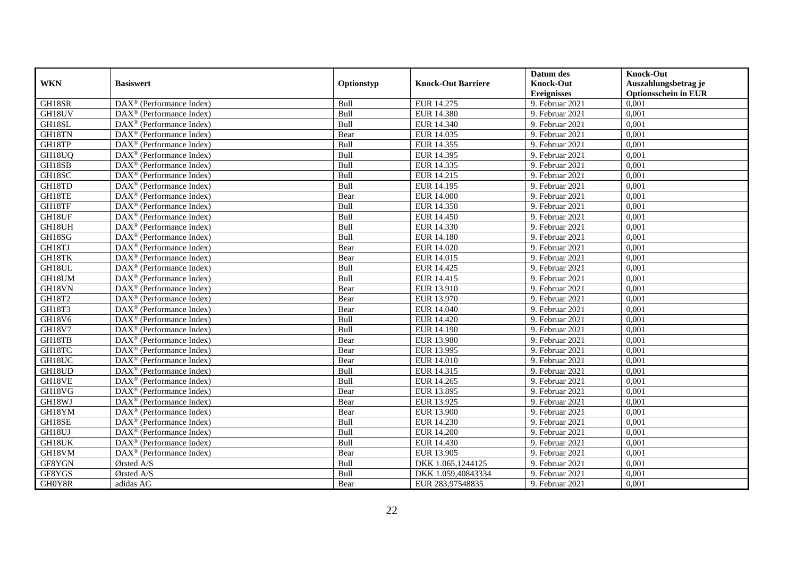|               |                                                              |             |                           | Datum des          | <b>Knock-Out</b>            |
|---------------|--------------------------------------------------------------|-------------|---------------------------|--------------------|-----------------------------|
| <b>WKN</b>    | <b>Basiswert</b>                                             | Optionstyp  | <b>Knock-Out Barriere</b> | <b>Knock-Out</b>   | Auszahlungsbetrag je        |
|               |                                                              |             |                           | <b>Ereignisses</b> | <b>Optionsschein in EUR</b> |
| GH18SR        | DAX <sup>®</sup> (Performance Index)                         | Bull        | EUR 14.275                | 9. Februar 2021    | 0,001                       |
| GH18UV        | $DAX^{\circledR}$ (Performance Index)                        | Bull        | <b>EUR 14.380</b>         | 9. Februar 2021    | 0,001                       |
| GH18SL        | DAX <sup>®</sup> (Performance Index)                         | Bull        | EUR 14.340                | 9. Februar 2021    | 0,001                       |
| GH18TN        | $\text{DAX}^{\otimes}$ (Performance Index)                   | Bear        | EUR 14.035                | 9. Februar 2021    | 0,001                       |
| GH18TP        | DAX <sup>®</sup> (Performance Index)                         | Bull        | EUR 14.355                | 9. Februar 2021    | 0,001                       |
| GH18UQ        | $\text{DAX}^{\textcircled{n}}$ (Performance Index)           | Bull        | EUR 14.395                | 9. Februar 2021    | 0,001                       |
| GH18SB        | $\text{DAX}^{\textcircled{n}}$ (Performance Index)           | Bull        | EUR 14.335                | 9. Februar 2021    | 0,001                       |
| GH18SC        | $DAX^{\otimes}$ (Performance Index)                          | Bull        | EUR 14.215                | 9. Februar 2021    | 0,001                       |
| GH18TD        | $\text{DAX}^{\textcircled{p}}$ (Performance Index)           | Bull        | EUR 14.195                | 9. Februar 2021    | 0,001                       |
| GH18TE        | $DAX^{\otimes}$ (Performance Index)                          | Bear        | <b>EUR 14.000</b>         | 9. Februar 2021    | 0,001                       |
| GH18TF        | $\overline{\text{DAX}}^{\textcircled{}}$ (Performance Index) | Bull        | EUR 14.350                | 9. Februar 2021    | 0,001                       |
| GH18UF        | $\overline{\text{DAX}^{\otimes}}$ (Performance Index)        | Bull        | <b>EUR 14.450</b>         | 9. Februar 2021    | 0,001                       |
| GH18UH        | $\text{DAX}^{\textcircled{n}}$ (Performance Index)           | Bull        | EUR 14.330                | 9. Februar 2021    | 0,001                       |
| GH18SG        | DAX <sup>®</sup> (Performance Index)                         | Bull        | <b>EUR 14.180</b>         | 9. Februar 2021    | 0,001                       |
| GH18TJ        | DAX <sup>®</sup> (Performance Index)                         | Bear        | EUR 14.020                | 9. Februar 2021    | 0,001                       |
| GH18TK        | DAX <sup>®</sup> (Performance Index)                         | Bear        | EUR 14.015                | 9. Februar 2021    | 0,001                       |
| GH18UL        | DAX <sup>®</sup> (Performance Index)                         | Bull        | EUR 14.425                | 9. Februar 2021    | 0,001                       |
| GH18UM        | $\overline{\text{DAX}}^{\textcirc}$ (Performance Index)      | <b>Bull</b> | EUR 14.415                | 9. Februar 2021    | 0,001                       |
| GH18VN        | DAX <sup>®</sup> (Performance Index)                         | Bear        | EUR 13.910                | 9. Februar 2021    | 0,001                       |
| GH18T2        | DAX <sup>®</sup> (Performance Index)                         | Bear        | EUR 13.970                | 9. Februar 2021    | 0,001                       |
| GH18T3        | DAX <sup>®</sup> (Performance Index)                         | Bear        | EUR 14.040                | 9. Februar 2021    | 0,001                       |
| <b>GH18V6</b> | $\overline{\text{DAX}^{\otimes}}$ (Performance Index)        | Bull        | <b>EUR 14.420</b>         | 9. Februar 2021    | 0,001                       |
| <b>GH18V7</b> | $\text{DAX}^{\circledast}$ (Performance Index)               | Bull        | EUR 14.190                | 9. Februar 2021    | 0,001                       |
| GH18TB        | DAX <sup>®</sup> (Performance Index)                         | Bear        | <b>EUR 13.980</b>         | 9. Februar 2021    | 0,001                       |
| GH18TC        | DAX <sup>®</sup> (Performance Index)                         | Bear        | EUR 13.995                | 9. Februar 2021    | 0,001                       |
| GH18UC        | $\text{DAX}^{\otimes}$ (Performance Index)                   | Bear        | <b>EUR 14.010</b>         | 9. Februar 2021    | 0,001                       |
| GH18UD        | $\text{DAX}^{\circledast}$ (Performance Index)               | Bull        | EUR 14.315                | 9. Februar 2021    | 0,001                       |
| GH18VE        | $\text{DAX}^{\textcircled{D}}$ (Performance Index)           | Bull        | EUR 14.265                | 9. Februar 2021    | 0,001                       |
| GH18VG        | $\text{DAX}^{\textcircled{D}}$ (Performance Index)           | Bear        | EUR 13.895                | 9. Februar 2021    | 0,001                       |
| GH18WJ        | $\text{DAX}^{\circledR}$ (Performance Index)                 | Bear        | EUR 13.925                | 9. Februar 2021    | 0,001                       |
| GH18YM        | DAX <sup>®</sup> (Performance Index)                         | Bear        | EUR 13.900                | 9. Februar 2021    | 0,001                       |
| GH18SE        | DAX <sup>®</sup> (Performance Index)                         | Bull        | EUR 14.230                | 9. Februar 2021    | 0,001                       |
| GH18UJ        | $\overline{\text{DAX}^{\otimes}}$ (Performance Index)        | Bull        | <b>EUR 14.200</b>         | 9. Februar 2021    | 0,001                       |
| GH18UK        | DAX <sup>®</sup> (Performance Index)                         | Bull        | EUR 14.430                | 9. Februar 2021    | 0,001                       |
| GH18VM        | DAX <sup>®</sup> (Performance Index)                         | Bear        | EUR 13.905                | 9. Februar 2021    | 0,001                       |
| GF8YGN        | Ørsted A/S                                                   | Bull        | DKK 1.065,1244125         | 9. Februar 2021    | 0,001                       |
| GF8YGS        | Ørsted A/S                                                   | Bull        | DKK 1.059,40843334        | 9. Februar 2021    | 0,001                       |
| GH0Y8R        | adidas AG                                                    | Bear        | EUR 283,97548835          | 9. Februar 2021    | 0,001                       |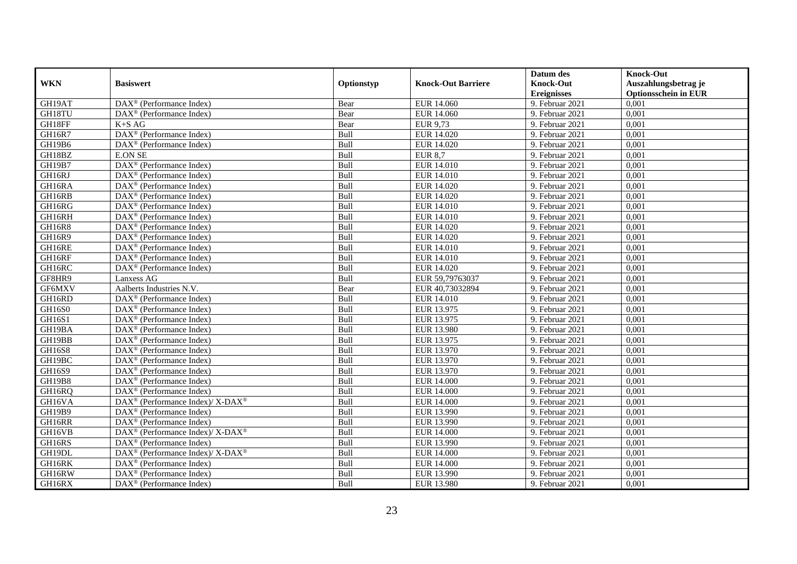|               |                                                                    |             |                           | Datum des          | <b>Knock-Out</b>            |
|---------------|--------------------------------------------------------------------|-------------|---------------------------|--------------------|-----------------------------|
| <b>WKN</b>    | <b>Basiswert</b>                                                   | Optionstyp  | <b>Knock-Out Barriere</b> | <b>Knock-Out</b>   | Auszahlungsbetrag je        |
|               |                                                                    |             |                           | <b>Ereignisses</b> | <b>Optionsschein in EUR</b> |
| GH19AT        | DAX <sup>®</sup> (Performance Index)                               | Bear        | EUR 14.060                | 9. Februar 2021    | 0,001                       |
| GH18TU        | $\text{DAX}^{\circledast}$ (Performance Index)                     | Bear        | EUR 14.060                | 9. Februar 2021    | 0,001                       |
| GH18FF        | $K+SAG$                                                            | Bear        | <b>EUR 9,73</b>           | 9. Februar 2021    | 0,001                       |
| GH16R7        | DAX <sup>®</sup> (Performance Index)                               | Bull        | EUR 14.020                | 9. Februar 2021    | 0,001                       |
| GH19B6        | DAX <sup>®</sup> (Performance Index)                               | Bull        | EUR 14.020                | 9. Februar 2021    | 0,001                       |
| GH18BZ        | <b>E.ON SE</b>                                                     | Bull        | <b>EUR 8,7</b>            | 9. Februar 2021    | 0,001                       |
| GH19B7        | DAX <sup>®</sup> (Performance Index)                               | Bull        | EUR 14.010                | 9. Februar 2021    | 0,001                       |
| GH16RJ        | $\overline{\text{DAX}}^{\textcirc}$ (Performance Index)            | Bull        | <b>EUR 14.010</b>         | 9. Februar 2021    | 0,001                       |
| GH16RA        | DAX <sup>®</sup> (Performance Index)                               | Bull        | EUR 14.020                | 9. Februar 2021    | 0,001                       |
| GH16RB        | DAX <sup>®</sup> (Performance Index)                               | Bull        | EUR 14.020                | 9. Februar 2021    | 0,001                       |
| GH16RG        | $\overline{\text{DAX}^{\otimes}}$ (Performance Index)              | Bull        | <b>EUR 14.010</b>         | 9. Februar 2021    | 0,001                       |
| GH16RH        | DAX <sup>®</sup> (Performance Index)                               | Bull        | <b>EUR 14.010</b>         | 9. Februar 2021    | 0,001                       |
| <b>GH16R8</b> | $\text{DAX}^{\textcircled{n}}$ (Performance Index)                 | Bull        | EUR 14.020                | 9. Februar 2021    | 0,001                       |
| GH16R9        | DAX <sup>®</sup> (Performance Index)                               | <b>Bull</b> | EUR 14.020                | 9. Februar 2021    | 0.001                       |
| GH16RE        | $DAX^{\otimes}$ (Performance Index)                                | Bull        | <b>EUR 14.010</b>         | 9. Februar 2021    | 0,001                       |
| GH16RF        | DAX <sup>®</sup> (Performance Index)                               | Bull        | <b>EUR 14.010</b>         | 9. Februar 2021    | 0,001                       |
| GH16RC        | DAX <sup>®</sup> (Performance Index)                               | Bull        | EUR 14.020                | 9. Februar 2021    | 0,001                       |
| GF8HR9        | Lanxess AG                                                         | Bull        | EUR 59,79763037           | 9. Februar 2021    | 0,001                       |
| GF6MXV        | Aalberts Industries N.V.                                           | Bear        | EUR 40,73032894           | 9. Februar 2021    | 0,001                       |
| GH16RD        | $\text{DAX}^{\otimes}$ (Performance Index)                         | Bull        | <b>EUR 14.010</b>         | 9. Februar 2021    | 0,001                       |
| GH16S0        | DAX <sup>®</sup> (Performance Index)                               | Bull        | EUR 13.975                | 9. Februar 2021    | 0,001                       |
| <b>GH16S1</b> | $DAX^{\circledR}$ (Performance Index)                              | Bull        | EUR 13.975                | 9. Februar 2021    | 0,001                       |
| GH19BA        | $\text{DAX}^{\textcircled{D}}$ (Performance Index)                 | Bull        | <b>EUR 13.980</b>         | 9. Februar 2021    | 0,001                       |
| GH19BB        | $\text{DAX}^{\textcircled{p}}$ (Performance Index)                 | Bull        | EUR 13.975                | 9. Februar 2021    | 0,001                       |
| GH16S8        | $DAX^{\circledR}$ (Performance Index)                              | Bull        | EUR 13.970                | 9. Februar 2021    | 0,001                       |
| GH19BC        | DAX <sup>®</sup> (Performance Index)                               | Bull        | EUR 13.970                | 9. Februar 2021    | 0,001                       |
| <b>GH16S9</b> | DAX <sup>®</sup> (Performance Index)                               | Bull        | EUR 13.970                | 9. Februar 2021    | 0,001                       |
| GH19B8        | DAX <sup>®</sup> (Performance Index)                               | Bull        | <b>EUR 14.000</b>         | 9. Februar 2021    | 0,001                       |
| GH16RQ        | $\text{DAX}^{\textcircled{n}}$ (Performance Index)                 | Bull        | <b>EUR 14.000</b>         | 9. Februar 2021    | 0,001                       |
| GH16VA        | $\text{DAX}^{\circledast}$ (Performance Index)/ X-DAX <sup>®</sup> | Bull        | <b>EUR 14.000</b>         | 9. Februar 2021    | 0,001                       |
| GH19B9        | $\text{DAX}^{\textcircled{D}}$ (Performance Index)                 | Bull        | EUR 13.990                | 9. Februar 2021    | 0,001                       |
| GH16RR        | DAX <sup>®</sup> (Performance Index)                               | Bull        | EUR 13.990                | 9. Februar 2021    | 0,001                       |
| GH16VB        | $\text{DAX}^{\circledR}$ (Performance Index)/ X-DAX <sup>®</sup>   | Bull        | <b>EUR 14.000</b>         | 9. Februar 2021    | 0,001                       |
| GH16RS        | DAX <sup>®</sup> (Performance Index)                               | Bull        | EUR 13.990                | 9. Februar 2021    | 0,001                       |
| GH19DL        | $\text{DAX}^{\circledast}$ (Performance Index)/ X-DAX <sup>®</sup> | Bull        | <b>EUR 14.000</b>         | 9. Februar 2021    | 0,001                       |
| GH16RK        | $\text{DAX}^{\circledast}$ (Performance Index)                     | Bull        | <b>EUR 14.000</b>         | 9. Februar 2021    | 0,001                       |
| GH16RW        | $\text{DAX}^{\otimes}$ (Performance Index)                         | Bull        | EUR 13.990                | 9. Februar 2021    | 0,001                       |
| GH16RX        | $\overline{\text{DAX}}^{\textcirc}$ (Performance Index)            | Bull        | <b>EUR 13.980</b>         | 9. Februar 2021    | 0,001                       |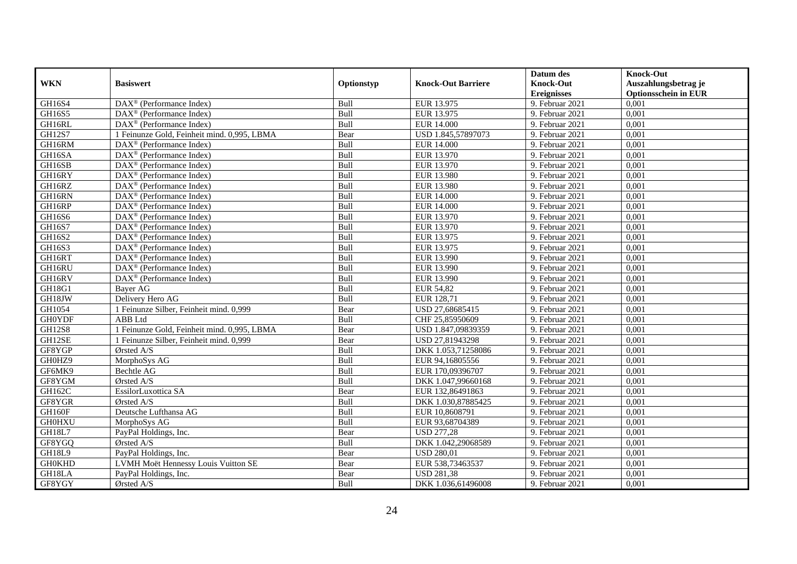|               |                                                              |            |                           | Datum des                     | <b>Knock-Out</b>            |
|---------------|--------------------------------------------------------------|------------|---------------------------|-------------------------------|-----------------------------|
| <b>WKN</b>    | <b>Basiswert</b>                                             | Optionstyp | <b>Knock-Out Barriere</b> | <b>Knock-Out</b>              | Auszahlungsbetrag je        |
|               |                                                              |            |                           | <b>Ereignisses</b>            | <b>Optionsschein in EUR</b> |
| GH16S4        | $\overline{\text{DAX}}^{\textcircled{}}$ (Performance Index) | Bull       | EUR 13.975                | 9. Februar 2021               | 0,001                       |
| GH16S5        | $\text{DAX}^{\textcircled{p}}$ (Performance Index)           | Bull       | EUR 13.975                | 9. Februar 2021               | 0,001                       |
| GH16RL        | $\text{DAX}^{\textcircled{}}$ (Performance Index)            | Bull       | <b>EUR 14.000</b>         | 9. Februar 2021               | 0,001                       |
| <b>GH12S7</b> | 1 Feinunze Gold, Feinheit mind. 0,995, LBMA                  | Bear       | USD 1.845,57897073        | 9. Februar 2021               | 0,001                       |
| GH16RM        | DAX <sup>®</sup> (Performance Index)                         | Bull       | <b>EUR 14.000</b>         | 9. Februar 2021               | 0,001                       |
| GH16SA        | DAX <sup>®</sup> (Performance Index)                         | Bull       | EUR 13.970                | 9. Februar 2021               | 0,001                       |
| GH16SB        | $\text{DAX}^{\textcircled{n}}$ (Performance Index)           | Bull       | EUR 13.970                | 9. Februar 2021               | 0,001                       |
| GH16RY        | $\overline{\text{DAX}}^{\textcirc}$ (Performance Index)      | Bull       | EUR 13.980                | 9. Februar 2021               | 0,001                       |
| GH16RZ        | $\overline{\text{DAX}^{\otimes}}$ (Performance Index)        | Bull       | <b>EUR 13.980</b>         | 9. Februar 2021               | 0,001                       |
| GH16RN        | $\text{DAX}^{\textcircled{p}}$ (Performance Index)           | Bull       | <b>EUR 14.000</b>         | 9. Februar 2021               | 0,001                       |
| GH16RP        | $\text{DAX}^{\textcircled{D}}$ (Performance Index)           | Bull       | <b>EUR 14.000</b>         | 9. Februar 2021               | 0,001                       |
| GH16S6        | $\overline{\text{DAX}^{\otimes}}$ (Performance Index)        | Bull       | EUR 13.970                | 9. Februar 2021               | 0,001                       |
| <b>GH16S7</b> | DAX <sup>®</sup> (Performance Index)                         | Bull       | EUR 13.970                | 9. Februar 2021               | 0,001                       |
| GH16S2        | $DAX^{\circledR}$ (Performance Index)                        | Bull       | EUR 13.975                | 9. Februar 2021               | 0,001                       |
| GH16S3        | DAX <sup>®</sup> (Performance Index)                         | Bull       | EUR 13.975                | 9. Februar 2021               | 0,001                       |
| GH16RT        | DAX <sup>®</sup> (Performance Index)                         | Bull       | EUR 13.990                | 9. Februar 2021               | 0,001                       |
| GH16RU        | DAX <sup>®</sup> (Performance Index)                         | Bull       | EUR 13.990                | 9. Februar 2021               | 0,001                       |
| GH16RV        | $\text{DAX}^{\textcircled{n}}$ (Performance Index)           | Bull       | EUR 13.990                | 9. Februar 2021               | 0.001                       |
| GH18G1        | <b>Bayer AG</b>                                              | Bull       | <b>EUR 54,82</b>          | 9. Februar 2021               | 0,001                       |
| GH18JW        | Delivery Hero AG                                             | Bull       | EUR 128,71                | 9. Februar 2021               | 0,001                       |
| GH1054        | 1 Feinunze Silber, Feinheit mind. 0,999                      | Bear       | USD 27,68685415           | 9. Februar 2021               | 0,001                       |
| <b>GH0YDF</b> | ABB Ltd                                                      | Bull       | CHF 25,85950609           | 9. Februar 2021               | 0,001                       |
| <b>GH12S8</b> | 1 Feinunze Gold, Feinheit mind. 0,995, LBMA                  | Bear       | USD 1.847,09839359        | 9. Februar 2021               | 0,001                       |
| GH12SE        | 1 Feinunze Silber, Feinheit mind. 0,999                      | Bear       | USD 27,81943298           | 9. Februar 2021               | 0,001                       |
| GF8YGP        | Ørsted A/S                                                   | Bull       | DKK 1.053,71258086        | 9. Februar 2021               | 0,001                       |
| GH0HZ9        | MorphoSys AG                                                 | Bull       | EUR 94,16805556           | 9. Februar 2021               | 0,001                       |
| GF6MK9        | Bechtle AG                                                   | Bull       | EUR 170,09396707          | 9. Februar 2021               | 0,001                       |
| GF8YGM        | Ørsted A/S                                                   | Bull       | DKK 1.047,99660168        | $\overline{9}$ . Februar 2021 | 0,001                       |
| GH162C        | EssilorLuxottica SA                                          | Bear       | EUR 132,86491863          | 9. Februar 2021               | 0,001                       |
| GF8YGR        | Ørsted A/S                                                   | Bull       | DKK 1.030,87885425        | 9. Februar 2021               | 0,001                       |
| GH160F        | Deutsche Lufthansa AG                                        | Bull       | EUR 10,8608791            | 9. Februar 2021               | 0,001                       |
| <b>GH0HXU</b> | MorphoSys AG                                                 | Bull       | EUR 93,68704389           | 9. Februar 2021               | 0,001                       |
| GH18L7        | PayPal Holdings, Inc.                                        | Bear       | <b>USD 277,28</b>         | 9. Februar 2021               | 0,001                       |
| GF8YGQ        | Ørsted A/S                                                   | Bull       | DKK 1.042,29068589        | 9. Februar 2021               | 0,001                       |
| GH18L9        | PayPal Holdings, Inc.                                        | Bear       | <b>USD 280,01</b>         | 9. Februar 2021               | 0,001                       |
| <b>GH0KHD</b> | LVMH Moët Hennessy Louis Vuitton SE                          | Bear       | EUR 538,73463537          | 9. Februar 2021               | 0,001                       |
| GH18LA        | PayPal Holdings, Inc.                                        | Bear       | <b>USD 281,38</b>         | 9. Februar 2021               | 0,001                       |
| GF8YGY        | Ørsted A/S                                                   | Bull       | DKK 1.036,61496008        | 9. Februar 2021               | 0,001                       |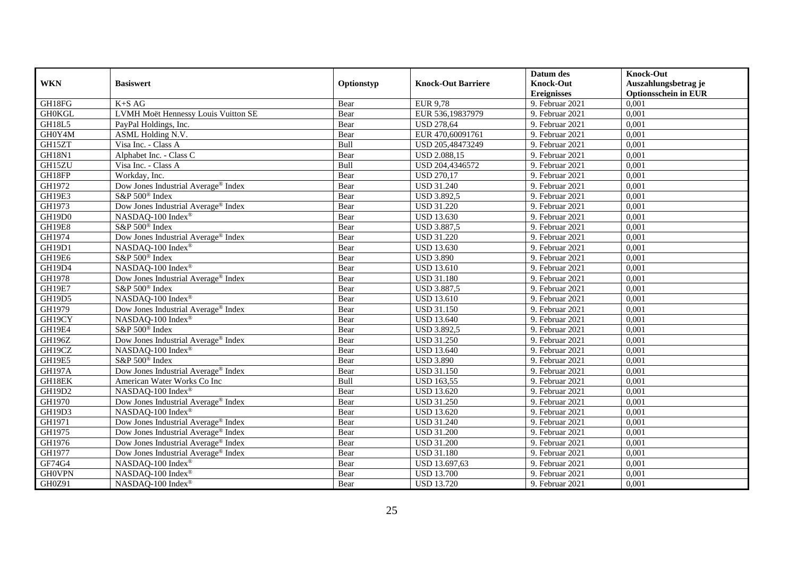|               |                                                 |            |                           | Datum des          | <b>Knock-Out</b>            |
|---------------|-------------------------------------------------|------------|---------------------------|--------------------|-----------------------------|
| <b>WKN</b>    | <b>Basiswert</b>                                | Optionstyp | <b>Knock-Out Barriere</b> | <b>Knock-Out</b>   | Auszahlungsbetrag je        |
|               |                                                 |            |                           | <b>Ereignisses</b> | <b>Optionsschein in EUR</b> |
| GH18FG        | $K+SAG$                                         | Bear       | <b>EUR 9,78</b>           | 9. Februar 2021    | 0,001                       |
| <b>GH0KGL</b> | <b>LVMH Moët Hennessy Louis Vuitton SE</b>      | Bear       | EUR 536,19837979          | 9. Februar 2021    | 0,001                       |
| GH18L5        | PayPal Holdings, Inc.                           | Bear       | <b>USD 278,64</b>         | 9. Februar 2021    | 0,001                       |
| GH0Y4M        | ASML Holding N.V.                               | Bear       | EUR 470,60091761          | 9. Februar 2021    | 0,001                       |
| GH15ZT        | Visa Inc. - Class A                             | Bull       | USD 205,48473249          | 9. Februar 2021    | 0,001                       |
| GH18N1        | Alphabet Inc. - Class C                         | Bear       | <b>USD 2.088,15</b>       | 9. Februar 2021    | 0,001                       |
| GH15ZU        | Visa Inc. - Class A                             | Bull       | USD 204,4346572           | 9. Februar 2021    | 0,001                       |
| GH18FP        | Workday, Inc.                                   | Bear       | <b>USD 270,17</b>         | 9. Februar 2021    | 0,001                       |
| GH1972        | Dow Jones Industrial Average® Index             | Bear       | <b>USD 31.240</b>         | 9. Februar 2021    | 0,001                       |
| GH19E3        | S&P 500 <sup>®</sup> Index                      | Bear       | <b>USD 3.892,5</b>        | 9. Februar 2021    | 0,001                       |
| GH1973        | Dow Jones Industrial Average <sup>®</sup> Index | Bear       | <b>USD 31.220</b>         | 9. Februar 2021    | 0,001                       |
| GH19D0        | NASDAQ-100 Index®                               | Bear       | <b>USD 13.630</b>         | 9. Februar 2021    | 0,001                       |
| <b>GH19E8</b> | S&P 500 <sup>®</sup> Index                      | Bear       | <b>USD 3.887,5</b>        | 9. Februar 2021    | 0,001                       |
| GH1974        | Dow Jones Industrial Average <sup>®</sup> Index | Bear       | <b>USD 31.220</b>         | 9. Februar 2021    | 0,001                       |
| GH19D1        | NASDAQ-100 Index®                               | Bear       | <b>USD 13.630</b>         | 9. Februar 2021    | 0,001                       |
| GH19E6        | S&P 500 <sup>®</sup> Index                      | Bear       | <b>USD 3.890</b>          | 9. Februar 2021    | 0,001                       |
| GH19D4        | NASDAQ-100 Index®                               | Bear       | <b>USD 13.610</b>         | 9. Februar 2021    | 0,001                       |
| GH1978        | Dow Jones Industrial Average® Index             | Bear       | <b>USD 31.180</b>         | 9. Februar 2021    | 0,001                       |
| GH19E7        | S&P 500 <sup>®</sup> Index                      | Bear       | <b>USD 3.887,5</b>        | 9. Februar 2021    | 0,001                       |
| GH19D5        | NASDAQ-100 Index®                               | Bear       | <b>USD 13.610</b>         | 9. Februar 2021    | 0,001                       |
| GH1979        | Dow Jones Industrial Average® Index             | Bear       | <b>USD 31.150</b>         | 9. Februar 2021    | 0,001                       |
| GH19CY        | NASDAQ-100 Index®                               | Bear       | <b>USD</b> 13.640         | 9. Februar 2021    | 0,001                       |
| GH19E4        | S&P 500 <sup>®</sup> Index                      | Bear       | <b>USD 3.892,5</b>        | 9. Februar 2021    | 0,001                       |
| <b>GH196Z</b> | Dow Jones Industrial Average® Index             | Bear       | <b>USD 31.250</b>         | 9. Februar 2021    | 0,001                       |
| GH19CZ        | NASDAQ-100 Index®                               | Bear       | <b>USD 13.640</b>         | 9. Februar 2021    | 0,001                       |
| <b>GH19E5</b> | S&P 500 <sup>®</sup> Index                      | Bear       | <b>USD 3.890</b>          | 9. Februar 2021    | 0,001                       |
| <b>GH197A</b> | Dow Jones Industrial Average® Index             | Bear       | <b>USD 31.150</b>         | 9. Februar 2021    | 0,001                       |
| GH18EK        | American Water Works Co Inc                     | Bull       | <b>USD 163,55</b>         | 9. Februar 2021    | 0,001                       |
| GH19D2        | NASDAQ-100 Index®                               | Bear       | <b>USD 13.620</b>         | 9. Februar 2021    | 0,001                       |
| GH1970        | Dow Jones Industrial Average <sup>®</sup> Index | Bear       | <b>USD 31.250</b>         | 9. Februar 2021    | 0,001                       |
| GH19D3        | NASDAQ-100 Index®                               | Bear       | <b>USD 13.620</b>         | 9. Februar 2021    | 0,001                       |
| GH1971        | Dow Jones Industrial Average <sup>®</sup> Index | Bear       | <b>USD 31.240</b>         | 9. Februar 2021    | 0,001                       |
| GH1975        | Dow Jones Industrial Average® Index             | Bear       | <b>USD 31.200</b>         | 9. Februar 2021    | 0,001                       |
| GH1976        | Dow Jones Industrial Average <sup>®</sup> Index | Bear       | <b>USD 31.200</b>         | 9. Februar 2021    | 0,001                       |
| GH1977        | Dow Jones Industrial Average® Index             | Bear       | <b>USD 31.180</b>         | 9. Februar 2021    | 0,001                       |
| GF74G4        | NASDAQ-100 Index®                               | Bear       | USD 13.697,63             | 9. Februar 2021    | 0,001                       |
| <b>GH0VPN</b> | NASDAQ-100 Index®                               | Bear       | <b>USD 13.700</b>         | 9. Februar 2021    | 0,001                       |
| GH0Z91        | NASDAQ-100 Index®                               | Bear       | <b>USD 13.720</b>         | 9. Februar 2021    | 0,001                       |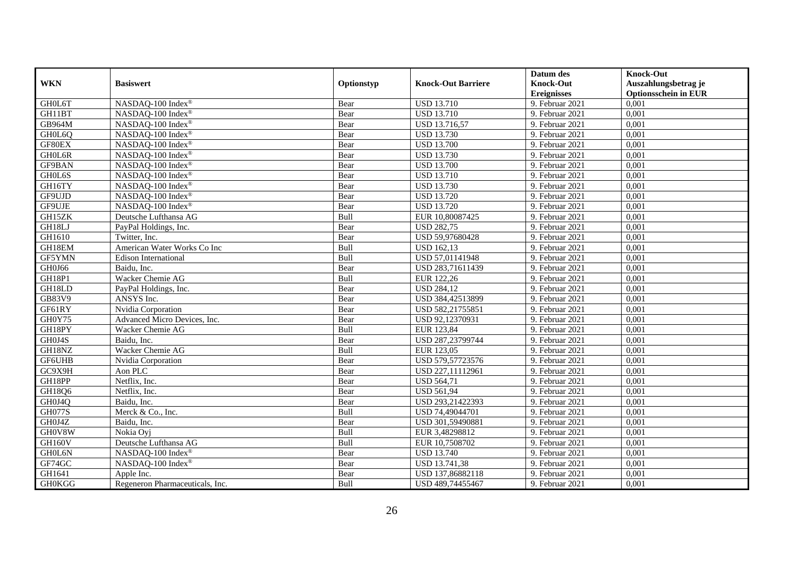|                    |                                 |            |                           | Datum des          | <b>Knock-Out</b>            |
|--------------------|---------------------------------|------------|---------------------------|--------------------|-----------------------------|
| <b>WKN</b>         | <b>Basiswert</b>                | Optionstyp | <b>Knock-Out Barriere</b> | <b>Knock-Out</b>   | Auszahlungsbetrag je        |
|                    |                                 |            |                           | <b>Ereignisses</b> | <b>Optionsschein in EUR</b> |
| GH0L6T             | NASDAQ-100 Index®               | Bear       | <b>USD 13.710</b>         | 9. Februar 2021    | 0,001                       |
| GH11BT             | NASDAQ-100 Index®               | Bear       | <b>USD 13.710</b>         | 9. Februar 2021    | 0,001                       |
| GB964M             | NASDAQ-100 Index®               | Bear       | <b>USD 13.716,57</b>      | 9. Februar 2021    | 0,001                       |
| GH0L6Q             | NASDAQ-100 Index®               | Bear       | <b>USD 13.730</b>         | 9. Februar 2021    | 0,001                       |
| GF80EX             | NASDAQ-100 Index®               | Bear       | <b>USD 13.700</b>         | 9. Februar 2021    | 0,001                       |
| GH0L6R             | NASDAQ-100 Index®               | Bear       | <b>USD 13.730</b>         | 9. Februar 2021    | 0,001                       |
| GF9BAN             | NASDAQ-100 Index®               | Bear       | <b>USD 13.700</b>         | 9. Februar 2021    | 0,001                       |
| GH0L6S             | NASDAQ-100 Index®               | Bear       | <b>USD 13.710</b>         | 9. Februar 2021    | 0,001                       |
| GH16TY             | NASDAQ-100 Index®               | Bear       | <b>USD 13.730</b>         | 9. Februar 2021    | 0,001                       |
| GF9UJD             | NASDAQ-100 Index®               | Bear       | <b>USD 13.720</b>         | 9. Februar 2021    | 0,001                       |
| GF9UJE             | NASDAQ-100 Index®               | Bear       | <b>USD 13.720</b>         | 9. Februar 2021    | 0,001                       |
| GH15ZK             | Deutsche Lufthansa AG           | Bull       | EUR 10,80087425           | 9. Februar 2021    | 0,001                       |
| GH18LJ             | PayPal Holdings, Inc.           | Bear       | <b>USD 282,75</b>         | 9. Februar 2021    | 0,001                       |
| GH1610             | Twitter, Inc.                   | Bear       | USD 59,97680428           | 9. Februar 2021    | 0.001                       |
| GH18EM             | American Water Works Co Inc     | Bull       | <b>USD 162,13</b>         | 9. Februar 2021    | 0,001                       |
| GF5YMN             | <b>Edison International</b>     | Bull       | USD 57,01141948           | 9. Februar 2021    | 0,001                       |
| GH0J66             | Baidu, Inc.                     | Bear       | USD 283,71611439          | 9. Februar 2021    | 0,001                       |
| <b>GH18P1</b>      | Wacker Chemie AG                | Bull       | EUR 122,26                | 9. Februar 2021    | 0,001                       |
| GH18LD             | PayPal Holdings, Inc.           | Bear       | <b>USD 284,12</b>         | 9. Februar 2021    | 0,001                       |
| GB83V9             | ANSYS Inc.                      | Bear       | USD 384,42513899          | 9. Februar 2021    | 0,001                       |
| GF61RY             | Nvidia Corporation              | Bear       | USD 582,21755851          | 9. Februar 2021    | 0,001                       |
| GH0Y75             | Advanced Micro Devices, Inc.    | Bear       | USD 92,12370931           | 9. Februar 2021    | 0,001                       |
| GH18PY             | Wacker Chemie AG                | Bull       | EUR 123,84                | 9. Februar 2021    | 0,001                       |
| GH0J4S             | Baidu, Inc.                     | Bear       | USD 287,23799744          | 9. Februar 2021    | 0,001                       |
| GH18NZ             | Wacker Chemie AG                | Bull       | EUR 123,05                | 9. Februar 2021    | 0,001                       |
| GF6UHB             | Nvidia Corporation              | Bear       | USD 579,57723576          | 9. Februar 2021    | 0,001                       |
| G <sub>C9X9H</sub> | Aon PLC                         | Bear       | USD 227,11112961          | 9. Februar 2021    | 0,001                       |
| GH18PP             | Netflix, Inc.                   | Bear       | <b>USD 564,71</b>         | 9. Februar 2021    | 0,001                       |
| GH18Q6             | Netflix, Inc.                   | Bear       | <b>USD 561,94</b>         | 9. Februar 2021    | 0,001                       |
| GH0J4Q             | Baidu, Inc.                     | Bear       | USD 293,21422393          | 9. Februar 2021    | 0,001                       |
| <b>GH077S</b>      | Merck & Co., Inc.               | Bull       | USD 74,49044701           | 9. Februar 2021    | 0,001                       |
| GH0J4Z             | Baidu, Inc.                     | Bear       | USD 301,59490881          | 9. Februar 2021    | 0,001                       |
| GH0V8W             | Nokia Ovi                       | Bull       | EUR 3,48298812            | 9. Februar 2021    | 0,001                       |
| GH160V             | Deutsche Lufthansa AG           | Bull       | EUR 10,7508702            | 9. Februar 2021    | 0,001                       |
| GH0L6N             | NASDAQ-100 Index®               | Bear       | <b>USD 13.740</b>         | 9. Februar 2021    | 0,001                       |
| GF74GC             | NASDAQ-100 Index®               | Bear       | USD 13.741,38             | 9. Februar 2021    | 0,001                       |
| GH1641             | Apple Inc.                      | Bear       | USD 137,86882118          | 9. Februar 2021    | 0,001                       |
| <b>GH0KGG</b>      | Regeneron Pharmaceuticals, Inc. | Bull       | USD 489,74455467          | 9. Februar 2021    | 0,001                       |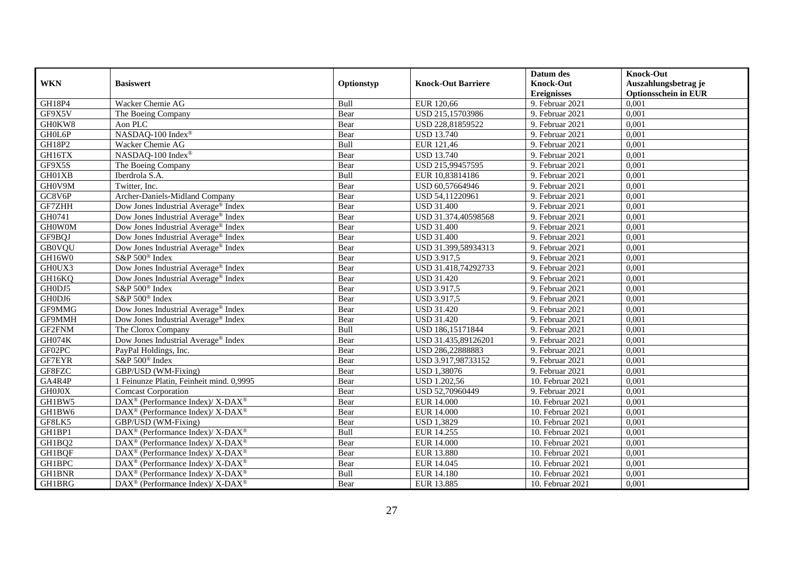|               |                                                               |            |                           | Datum des          | <b>Knock-Out</b>            |
|---------------|---------------------------------------------------------------|------------|---------------------------|--------------------|-----------------------------|
| <b>WKN</b>    | <b>Basiswert</b>                                              | Optionstyp | <b>Knock-Out Barriere</b> | <b>Knock-Out</b>   | Auszahlungsbetrag je        |
|               |                                                               |            |                           | <b>Ereignisses</b> | <b>Optionsschein in EUR</b> |
| GH18P4        | Wacker Chemie AG                                              | Bull       | EUR 120,66                | 9. Februar 2021    | 0,001                       |
| GF9X5V        | The Boeing Company                                            | Bear       | USD 215,15703986          | 9. Februar 2021    | 0,001                       |
| GH0KW8        | Aon PLC                                                       | Bear       | USD 228,81859522          | 9. Februar 2021    | 0,001                       |
| GH0L6P        | NASDAQ-100 Index®                                             | Bear       | <b>USD 13.740</b>         | 9. Februar 2021    | 0,001                       |
| GH18P2        | Wacker Chemie AG                                              | Bull       | EUR 121,46                | 9. Februar $2021$  | 0,001                       |
| GH16TX        | NASDAQ-100 Index®                                             | Bear       | <b>USD 13.740</b>         | 9. Februar 2021    | 0,001                       |
| GF9X5S        | The Boeing Company                                            | Bear       | USD 215,99457595          | 9. Februar 2021    | 0,001                       |
| GH01XB        | Iberdrola S.A.                                                | Bull       | EUR 10,83814186           | 9. Februar 2021    | 0,001                       |
| GH0V9M        | Twitter, Inc.                                                 | Bear       | USD 60,57664946           | 9. Februar 2021    | 0,001                       |
| GC8V6P        | Archer-Daniels-Midland Company                                | Bear       | USD 54,11220961           | 9. Februar 2021    | 0,001                       |
| GF7ZHH        | Dow Jones Industrial Average® Index                           | Bear       | <b>USD 31.400</b>         | 9. Februar 2021    | 0,001                       |
| GH0741        | Dow Jones Industrial Average <sup>®</sup> Index               | Bear       | USD 31.374,40598568       | 9. Februar 2021    | 0,001                       |
| <b>GHOWOM</b> | Dow Jones Industrial Average <sup>®</sup> Index               | Bear       | <b>USD 31.400</b>         | 9. Februar 2021    | 0,001                       |
| GF9BQJ        | Dow Jones Industrial Average <sup>®</sup> Index               | Bear       | <b>USD 31.400</b>         | 9. Februar 2021    | 0,001                       |
| <b>GB0VQU</b> | Dow Jones Industrial Average <sup>®</sup> Index               | Bear       | USD 31.399,58934313       | 9. Februar 2021    | 0,001                       |
| GH16W0        | S&P 500 <sup>®</sup> Index                                    | Bear       | <b>USD 3.917,5</b>        | 9. Februar 2021    | 0,001                       |
| GH0UX3        | Dow Jones Industrial Average® Index                           | Bear       | USD 31.418,74292733       | 9. Februar 2021    | 0,001                       |
| GH16KQ        | Dow Jones Industrial Average® Index                           | Bear       | <b>USD 31.420</b>         | 9. Februar 2021    | 0,001                       |
| GH0DJ5        | S&P 500 <sup>®</sup> Index                                    | Bear       | <b>USD 3.917,5</b>        | 9. Februar 2021    | 0,001                       |
| GH0DJ6        | S&P 500 <sup>®</sup> Index                                    | Bear       | <b>USD 3.917,5</b>        | 9. Februar 2021    | 0,001                       |
| GF9MMG        | Dow Jones Industrial Average <sup>®</sup> Index               | Bear       | <b>USD 31.420</b>         | 9. Februar 2021    | 0,001                       |
| GF9MMH        | Dow Jones Industrial Average <sup>®</sup> Index               | Bear       | <b>USD 31.420</b>         | 9. Februar 2021    | 0,001                       |
| GF2FNM        | The Clorox Company                                            | Bull       | USD 186,15171844          | 9. Februar 2021    | 0,001                       |
| GH074K        | Dow Jones Industrial Average® Index                           | Bear       | USD 31.435,89126201       | 9. Februar 2021    | 0,001                       |
| GF02PC        | PayPal Holdings, Inc.                                         | Bear       | USD 286,22888883          | 9. Februar 2021    | 0,001                       |
| GF7EYR        | S&P 500 <sup>®</sup> Index                                    | Bear       | USD 3.917,98733152        | 9. Februar 2021    | 0,001                       |
| GF8FZC        | GBP/USD (WM-Fixing)                                           | Bear       | <b>USD 1,38076</b>        | 9. Februar 2021    | 0,001                       |
| GA4R4P        | 1 Feinunze Platin, Feinheit mind. 0,9995                      | Bear       | <b>USD 1.202,56</b>       | $10.$ Februar 2021 | 0,001                       |
| GH0J0X        | <b>Comcast Corporation</b>                                    | Bear       | USD 52,70960449           | 9. Februar 2021    | 0,001                       |
| GH1BW5        | DAX <sup>®</sup> (Performance Index)/ X-DAX <sup>®</sup>      | Bear       | <b>EUR 14.000</b>         | 10. Februar 2021   | 0,001                       |
| GH1BW6        | DAX <sup>®</sup> (Performance Index)/ X-DAX <sup>®</sup>      | Bear       | <b>EUR 14.000</b>         | 10. Februar 2021   | 0,001                       |
| GF8LK5        | GBP/USD (WM-Fixing)                                           | Bear       | <b>USD 1,3829</b>         | 10. Februar 2021   | 0,001                       |
| GH1BP1        | DAX <sup>®</sup> (Performance Index)/ X-DAX <sup>®</sup>      | Bull       | EUR 14.255                | 10. Februar 2021   | 0,001                       |
| GH1BQ2        | DAX <sup>®</sup> (Performance Index)/ X-DAX <sup>®</sup>      | Bear       | <b>EUR 14.000</b>         | $10.$ Februar 2021 | 0,001                       |
| GH1BQF        | DAX <sup>®</sup> (Performance Index)/ X-DAX <sup>®</sup>      | Bear       | <b>EUR 13.880</b>         | 10. Februar 2021   | 0,001                       |
| GH1BPC        | $\text{DAX}^{\otimes}$ (Performance Index)/X-DAX <sup>®</sup> | Bear       | EUR 14.045                | 10. Februar 2021   | 0,001                       |
| GH1BNR        | DAX <sup>®</sup> (Performance Index)/ X-DAX <sup>®</sup>      | Bull       | <b>EUR 14.180</b>         | 10. Februar 2021   | 0,001                       |
| GH1BRG        | DAX <sup>®</sup> (Performance Index)/X-DAX <sup>®</sup>       | Bear       | EUR 13.885                | 10. Februar 2021   | 0,001                       |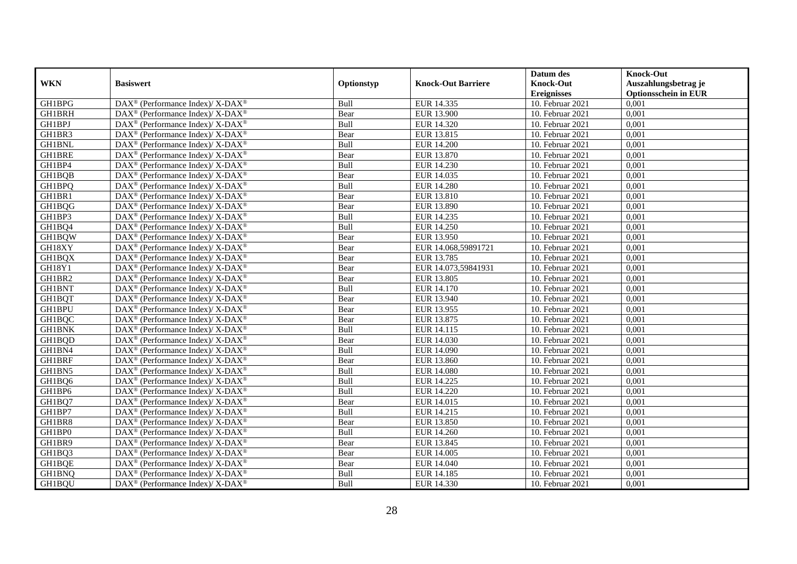|               |                                                                   |            |                           | Datum des          | <b>Knock-Out</b>            |
|---------------|-------------------------------------------------------------------|------------|---------------------------|--------------------|-----------------------------|
| <b>WKN</b>    | <b>Basiswert</b>                                                  | Optionstyp | <b>Knock-Out Barriere</b> | <b>Knock-Out</b>   | Auszahlungsbetrag je        |
|               |                                                                   |            |                           | <b>Ereignisses</b> | <b>Optionsschein in EUR</b> |
| GH1BPG        | DAX <sup>®</sup> (Performance Index)/ X-DAX <sup>®</sup>          | Bull       | EUR 14.335                | 10. Februar 2021   | 0,001                       |
| <b>GH1BRH</b> | $DAX^{\circledast}$ (Performance Index)/ X-DAX <sup>®</sup>       | Bear       | EUR 13.900                | 10. Februar 2021   | 0,001                       |
| GH1BPJ        | DAX <sup>®</sup> (Performance Index)/X-DAX <sup>®</sup>           | Bull       | EUR 14.320                | 10. Februar 2021   | 0,001                       |
| GH1BR3        | $DAX^{\circledast}$ (Performance Index)/ X-DAX <sup>®</sup>       | Bear       | EUR 13.815                | 10. Februar 2021   | 0,001                       |
| <b>GH1BNL</b> | $\text{DAX}^{\circledast}$ (Performance Index)/X-DAX <sup>®</sup> | Bull       | <b>EUR 14.200</b>         | 10. Februar 2021   | 0,001                       |
| <b>GH1BRE</b> | DAX <sup>®</sup> (Performance Index)/ X-DAX <sup>®</sup>          | Bear       | EUR 13.870                | 10. Februar 2021   | 0,001                       |
| GH1BP4        | DAX <sup>®</sup> (Performance Index)/ X-DAX <sup>®</sup>          | Bull       | EUR 14.230                | 10. Februar 2021   | 0,001                       |
| GH1BQB        | $DAX^{\circledast}$ (Performance Index)/ X-DAX <sup>®</sup>       | Bear       | EUR 14.035                | 10. Februar 2021   | 0,001                       |
| GH1BPQ        | DAX <sup>®</sup> (Performance Index)/ X-DAX <sup>®</sup>          | Bull       | <b>EUR 14.280</b>         | 10. Februar 2021   | 0,001                       |
| GH1BR1        | DAX <sup>®</sup> (Performance Index)/ X-DAX <sup>®</sup>          | Bear       | EUR 13.810                | 10. Februar 2021   | 0,001                       |
| GH1BQG        | DAX <sup>®</sup> (Performance Index)/ X-DAX <sup>®</sup>          | Bear       | <b>EUR 13.890</b>         | 10. Februar 2021   | 0,001                       |
| GH1BP3        | DAX <sup>®</sup> (Performance Index)/ X-DAX <sup>®</sup>          | Bull       | EUR 14.235                | 10. Februar 2021   | 0,001                       |
| GH1BQ4        | $DAX^{\circledast}$ (Performance Index)/ X-DAX <sup>®</sup>       | Bull       | <b>EUR 14.250</b>         | 10. Februar 2021   | 0,001                       |
| GH1BQW        | DAX <sup>®</sup> (Performance Index)/X-DAX <sup>®</sup>           | Bear       | EUR 13.950                | 10. Februar 2021   | 0,001                       |
| GH18XY        | DAX <sup>®</sup> (Performance Index)/ X-DAX <sup>®</sup>          | Bear       | EUR 14.068,59891721       | 10. Februar 2021   | 0,001                       |
| GH1BQX        | DAX <sup>®</sup> (Performance Index)/ X-DAX <sup>®</sup>          | Bear       | EUR 13.785                | 10. Februar 2021   | 0,001                       |
| GH18Y1        | DAX <sup>®</sup> (Performance Index)/ X-DAX <sup>®</sup>          | Bear       | EUR 14.073,59841931       | 10. Februar 2021   | 0,001                       |
| GH1BR2        | $DAX^{\circledast}$ (Performance Index)/ X-DAX <sup>®</sup>       | Bear       | EUR 13.805                | 10. Februar 2021   | 0,001                       |
| <b>GH1BNT</b> | $DAX^{\circledast}$ (Performance Index)/ X-DAX <sup>®</sup>       | Bull       | EUR 14.170                | 10. Februar 2021   | 0,001                       |
| GH1BQT        | DAX <sup>®</sup> (Performance Index)/X-DAX <sup>®</sup>           | Bear       | EUR 13.940                | 10. Februar 2021   | 0,001                       |
| GH1BPU        | DAX <sup>®</sup> (Performance Index)/X-DAX <sup>®</sup>           | Bear       | EUR 13.955                | 10. Februar 2021   | 0,001                       |
| GH1BQC        | $\text{DAX}^{\circledast}$ (Performance Index)/X-DAX <sup>®</sup> | Bear       | EUR 13.875                | 10. Februar 2021   | 0,001                       |
| <b>GH1BNK</b> | DAX <sup>®</sup> (Performance Index)/ X-DAX <sup>®</sup>          | Bull       | EUR 14.115                | 10. Februar 2021   | 0,001                       |
| GH1BQD        | $DAX^{\circledast}$ (Performance Index)/ X-DAX <sup>®</sup>       | Bear       | EUR 14.030                | 10. Februar 2021   | 0,001                       |
| GH1BN4        | DAX <sup>®</sup> (Performance Index)/X-DAX <sup>®</sup>           | Bull       | EUR 14.090                | 10. Februar 2021   | 0.001                       |
| GH1BRF        | $DAX^{\circledast}$ (Performance Index)/ X-DAX <sup>®</sup>       | Bear       | EUR 13.860                | 10. Februar 2021   | 0,001                       |
| GH1BN5        | DAX <sup>®</sup> (Performance Index)/ X-DAX <sup>®</sup>          | Bull       | <b>EUR 14.080</b>         | 10. Februar 2021   | 0,001                       |
| GH1BQ6        | DAX <sup>®</sup> (Performance Index)/ X-DAX <sup>®</sup>          | Bull       | EUR 14.225                | 10. Februar 2021   | 0,001                       |
| GH1BP6        | DAX <sup>®</sup> (Performance Index)/ X-DAX <sup>®</sup>          | Bull       | EUR 14.220                | 10. Februar 2021   | 0,001                       |
| GH1BQ7        | $\text{DAX}^{\circledast}$ (Performance Index)/X-DAX <sup>®</sup> | Bear       | EUR 14.015                | 10. Februar 2021   | 0,001                       |
| GH1BP7        | $DAX^{\circledast}$ (Performance Index)/ X-DAX <sup>®</sup>       | Bull       | EUR 14.215                | 10. Februar 2021   | 0,001                       |
| GH1BR8        | DAX <sup>®</sup> (Performance Index)/ X-DAX <sup>®</sup>          | Bear       | EUR 13.850                | 10. Februar 2021   | 0,001                       |
| GH1BP0        | $DAX^{\circledast}$ (Performance Index)/ X-DAX <sup>®</sup>       | Bull       | EUR 14.260                | 10. Februar 2021   | 0,001                       |
| GH1BR9        | DAX <sup>®</sup> (Performance Index)/ X-DAX <sup>®</sup>          | Bear       | EUR 13.845                | 10. Februar 2021   | 0,001                       |
| GH1BQ3        | DAX <sup>®</sup> (Performance Index)/ X-DAX <sup>®</sup>          | Bear       | EUR 14.005                | 10. Februar 2021   | 0,001                       |
| GH1BQE        | $\text{DAX}^{\circledast}$ (Performance Index)/X-DAX <sup>®</sup> | Bear       | EUR 14.040                | 10. Februar 2021   | 0,001                       |
| GH1BNQ        | DAX <sup>®</sup> (Performance Index)/ X-DAX <sup>®</sup>          | Bull       | EUR 14.185                | 10. Februar 2021   | 0,001                       |
| GH1BQU        | DAX <sup>®</sup> (Performance Index)/ X-DAX <sup>®</sup>          | Bull       | EUR 14.330                | 10. Februar 2021   | 0,001                       |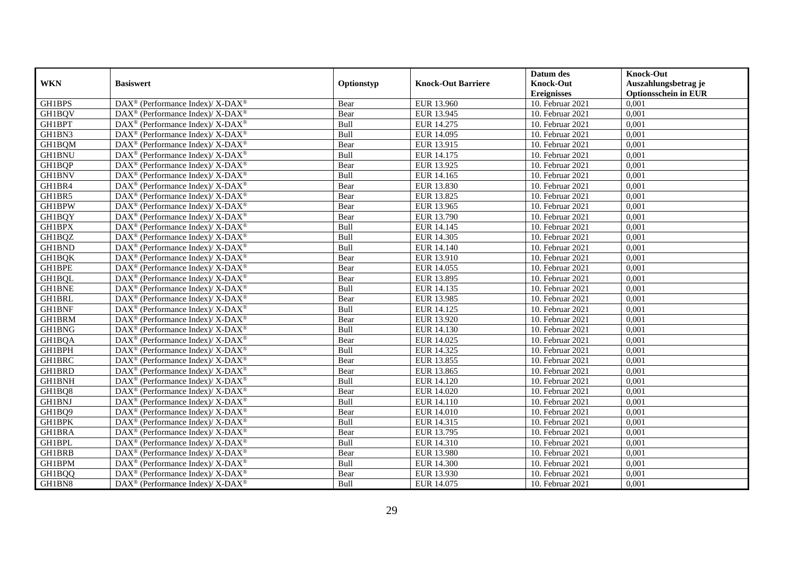|                    |                                                                    |            |                           | Datum des          | <b>Knock-Out</b>            |
|--------------------|--------------------------------------------------------------------|------------|---------------------------|--------------------|-----------------------------|
| <b>WKN</b>         | <b>Basiswert</b>                                                   | Optionstyp | <b>Knock-Out Barriere</b> | <b>Knock-Out</b>   | Auszahlungsbetrag je        |
|                    |                                                                    |            |                           | <b>Ereignisses</b> | <b>Optionsschein in EUR</b> |
| GH1BPS             | DAX <sup>®</sup> (Performance Index)/ X-DAX <sup>®</sup>           | Bear       | EUR 13.960                | 10. Februar 2021   | 0,001                       |
| GH1BQV             | $\text{DAX}^{\circledR}$ (Performance Index)/ X-DAX <sup>®</sup>   | Bear       | EUR 13.945                | 10. Februar 2021   | 0,001                       |
| GH1BPT             | DAX <sup>®</sup> (Performance Index)/X-DAX <sup>®</sup>            | Bull       | EUR 14.275                | 10. Februar 2021   | 0,001                       |
| GH1BN3             | $DAX^{\circledast}$ (Performance Index)/ X-DAX <sup>®</sup>        | Bull       | EUR 14.095                | 10. Februar 2021   | 0,001                       |
| GH1BQM             | DAX <sup>®</sup> (Performance Index)/X-DAX <sup>®</sup>            | Bear       | EUR 13.915                | 10. Februar 2021   | 0,001                       |
| <b>GH1BNU</b>      | DAX <sup>®</sup> (Performance Index)/ X-DAX <sup>®</sup>           | Bull       | EUR 14.175                | 10. Februar 2021   | 0,001                       |
| GH1BQP             | DAX <sup>®</sup> (Performance Index)/ X-DAX <sup>®</sup>           | Bear       | EUR 13.925                | 10. Februar 2021   | 0,001                       |
| <b>GH1BNV</b>      | $DAX^{\circledast}$ (Performance Index)/ X-DAX <sup>®</sup>        | Bull       | EUR 14.165                | 10. Februar 2021   | 0,001                       |
| GH1BR4             | DAX <sup>®</sup> (Performance Index)/ X-DAX <sup>®</sup>           | Bear       | EUR 13.830                | 10. Februar 2021   | 0,001                       |
| GH1BR5             | DAX <sup>®</sup> (Performance Index)/ X-DAX <sup>®</sup>           | Bear       | EUR 13.825                | 10. Februar 2021   | 0,001                       |
| GH1BPW             | DAX <sup>®</sup> (Performance Index)/ X-DAX <sup>®</sup>           | Bear       | EUR 13.965                | 10. Februar 2021   | 0,001                       |
| <b>GH1BQY</b>      | DAX <sup>®</sup> (Performance Index)/ X-DAX <sup>®</sup>           | Bear       | EUR 13.790                | 10. Februar 2021   | 0,001                       |
| <b>GH1BPX</b>      | $DAX^{\circledast}$ (Performance Index)/ X-DAX <sup>®</sup>        | Bull       | EUR 14.145                | 10. Februar 2021   | 0,001                       |
| GH1BQZ             | DAX <sup>®</sup> (Performance Index)/X-DAX <sup>®</sup>            | Bull       | EUR 14.305                | 10. Februar 2021   | 0,001                       |
| GH1BND             | DAX <sup>®</sup> (Performance Index)/ X-DAX <sup>®</sup>           | Bull       | EUR 14.140                | 10. Februar 2021   | 0,001                       |
| <b>GH1BQK</b>      | DAX <sup>®</sup> (Performance Index)/ X-DAX <sup>®</sup>           | Bear       | EUR 13.910                | 10. Februar 2021   | 0,001                       |
| GH1BPE             | DAX <sup>®</sup> (Performance Index)/ X-DAX <sup>®</sup>           | Bear       | EUR 14.055                | 10. Februar 2021   | 0,001                       |
| GH1BQL             | $DAX^{\circledast}$ (Performance Index)/ X-DAX <sup>®</sup>        | Bear       | EUR 13.895                | 10. Februar 2021   | 0,001                       |
| <b>GH1BNE</b>      | $DAX^{\circledast}$ (Performance Index)/ X-DAX <sup>®</sup>        | Bull       | EUR 14.135                | 10. Februar 2021   | 0,001                       |
| GH1BRL             | DAX <sup>®</sup> (Performance Index)/X-DAX <sup>®</sup>            | Bear       | EUR 13.985                | 10. Februar 2021   | 0,001                       |
| <b>GH1BNF</b>      | DAX <sup>®</sup> (Performance Index)/X-DAX <sup>®</sup>            | Bull       | EUR 14.125                | 10. Februar 2021   | 0,001                       |
| <b>GH1BRM</b>      | $\text{DAX}^{\circledast}$ (Performance Index)/X-DAX <sup>®</sup>  | Bear       | EUR 13.920                | 10. Februar 2021   | 0,001                       |
| GH1BNG             | DAX <sup>®</sup> (Performance Index)/ X-DAX <sup>®</sup>           | Bull       | EUR 14.130                | 10. Februar 2021   | 0,001                       |
| GH1BQA             | DAX <sup>®</sup> (Performance Index)/ X-DAX <sup>®</sup>           | Bear       | EUR 14.025                | 10. Februar 2021   | 0,001                       |
| GH1BPH             | DAX <sup>®</sup> (Performance Index)/X-DAX <sup>®</sup>            | Bull       | EUR 14.325                | 10. Februar 2021   | 0.001                       |
| GH1BRC             | DAX <sup>®</sup> (Performance Index)/ X-DAX <sup>®</sup>           | Bear       | EUR 13.855                | 10. Februar 2021   | 0,001                       |
| <b>GH1BRD</b>      | DAX <sup>®</sup> (Performance Index)/ X-DAX <sup>®</sup>           | Bear       | EUR 13.865                | 10. Februar 2021   | 0,001                       |
| <b>GH1BNH</b>      | DAX <sup>®</sup> (Performance Index)/ X-DAX <sup>®</sup>           | Bull       | EUR 14.120                | 10. Februar 2021   | 0,001                       |
| GH1BQ8             | DAX <sup>®</sup> (Performance Index)/ X-DAX <sup>®</sup>           | Bear       | EUR 14.020                | 10. Februar 2021   | 0,001                       |
| GH1BNJ             | $\text{DAX}^{\circledast}$ (Performance Index)/ X-DAX <sup>®</sup> | Bull       | EUR 14.110                | 10. Februar 2021   | 0,001                       |
| GH1BQ9             | $DAX^{\circledast}$ (Performance Index)/ X-DAX <sup>®</sup>        | Bear       | EUR 14.010                | 10. Februar 2021   | 0,001                       |
| GH1BPK             | DAX <sup>®</sup> (Performance Index)/X-DAX <sup>®</sup>            | Bull       | EUR 14.315                | 10. Februar 2021   | 0,001                       |
| <b>GH1BRA</b>      | $DAX^{\circledast}$ (Performance Index)/ X-DAX <sup>®</sup>        | Bear       | EUR 13.795                | 10. Februar 2021   | 0,001                       |
| <b>GH1BPL</b>      | DAX <sup>®</sup> (Performance Index)/ X-DAX <sup>®</sup>           | Bull       | EUR 14.310                | 10. Februar 2021   | 0,001                       |
| <b>GH1BRB</b>      | DAX <sup>®</sup> (Performance Index)/ X-DAX <sup>®</sup>           | Bear       | EUR 13.980                | 10. Februar 2021   | 0,001                       |
| GH1BPM             | $\text{DAX}^{\circledast}$ (Performance Index)/ X-DAX <sup>®</sup> | Bull       | <b>EUR 14.300</b>         | 10. Februar 2021   | 0,001                       |
| GH1BQQ             | DAX <sup>®</sup> (Performance Index)/ X-DAX <sup>®</sup>           | Bear       | EUR 13.930                | 10. Februar 2021   | 0,001                       |
| GH1BN <sub>8</sub> | DAX <sup>®</sup> (Performance Index)/ X-DAX <sup>®</sup>           | Bull       | EUR 14.075                | 10. Februar 2021   | 0,001                       |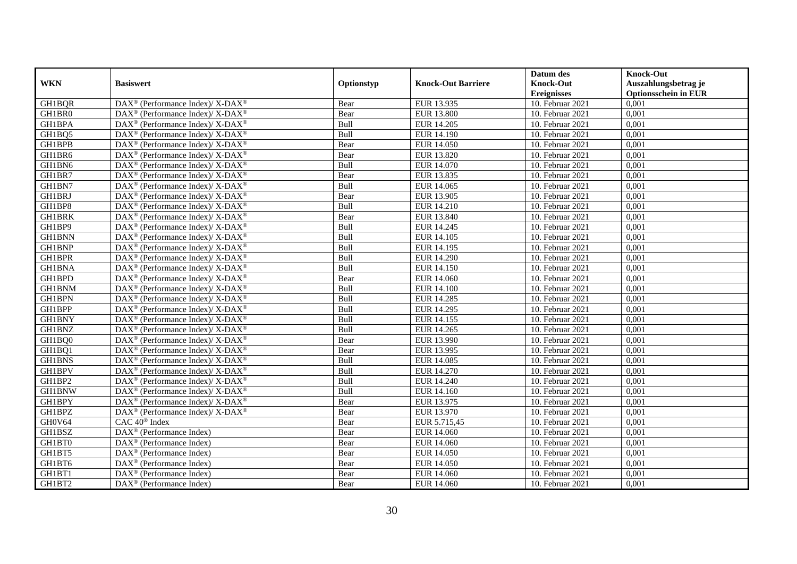|               |                                                                          |             |                           | Datum des          | <b>Knock-Out</b>            |
|---------------|--------------------------------------------------------------------------|-------------|---------------------------|--------------------|-----------------------------|
| <b>WKN</b>    | <b>Basiswert</b>                                                         | Optionstyp  | <b>Knock-Out Barriere</b> | <b>Knock-Out</b>   | Auszahlungsbetrag je        |
|               |                                                                          |             |                           | <b>Ereignisses</b> | <b>Optionsschein in EUR</b> |
| GH1BQR        | DAX <sup>®</sup> (Performance Index)/X-DAX <sup>®</sup>                  | Bear        | EUR 13.935                | 10. Februar 2021   | 0,001                       |
| GH1BR0        | $\text{DAX}^{\circledR}$ (Performance Index)/ X-DAX <sup>®</sup>         | Bear        | <b>EUR 13.800</b>         | 10. Februar 2021   | 0,001                       |
| GH1BPA        | $\text{DAX}^{\circledast}$ (Performance Index)/ X-DAX <sup>®</sup>       | Bull        | EUR 14.205                | 10. Februar 2021   | 0,001                       |
| GH1BQ5        | DAX <sup>®</sup> (Performance Index)/ X-DAX <sup>®</sup>                 | Bull        | EUR 14.190                | $10.$ Februar 2021 | 0,001                       |
| GH1BPB        | DAX <sup>®</sup> (Performance Index)/ X-DAX <sup>®</sup>                 | Bear        | EUR 14.050                | 10. Februar 2021   | 0,001                       |
| GH1BR6        | $DAX^{\circledcirc}$ (Performance Index)/ X-DAX <sup>®</sup>             | Bear        | <b>EUR 13.820</b>         | 10. Februar 2021   | 0,001                       |
| GH1BN6        | $\overline{\text{DAX}^{\otimes}}$ (Performance Index)/X-DAX <sup>®</sup> | Bull        | EUR 14.070                | 10. Februar 2021   | 0,001                       |
| GH1BR7        | $\text{DAX}^{\circledast}$ (Performance Index)/ X-DAX <sup>®</sup>       | Bear        | EUR 13.835                | 10. Februar 2021   | 0,001                       |
| GH1BN7        | $\text{DAX}^{\circledast}$ (Performance Index)/ X-DAX <sup>®</sup>       | Bull        | EUR 14.065                | 10. Februar 2021   | 0,001                       |
| <b>GH1BRJ</b> | $DAX^{\circledast}$ (Performance Index)/X-DAX <sup>®</sup>               | Bear        | EUR 13.905                | 10. Februar 2021   | 0,001                       |
| GH1BP8        | $\text{DAX}^{\circledast}$ (Performance Index)/ X-DAX <sup>®</sup>       | Bull        | EUR 14.210                | 10. Februar 2021   | 0,001                       |
| <b>GH1BRK</b> | DAX <sup>®</sup> (Performance Index)/ X-DAX <sup>®</sup>                 | Bear        | EUR 13.840                | 10. Februar 2021   | 0,001                       |
| GH1BP9        | $\text{DAX}^{\circledast}$ (Performance Index)/ X-DAX <sup>®</sup>       | Bull        | EUR 14.245                | 10. Februar 2021   | 0,001                       |
| <b>GH1BNN</b> | $DAX^{\circledcirc}$ (Performance Index)/X-DAX <sup>®</sup>              | <b>Bull</b> | EUR 14.105                | 10. Februar 2021   | 0.001                       |
| GH1BNP        | DAX <sup>®</sup> (Performance Index)/ X-DAX <sup>®</sup>                 | Bull        | EUR 14.195                | 10. Februar 2021   | 0,001                       |
| <b>GH1BPR</b> | $\text{DAX}^{\circledR}$ (Performance Index)/ X-DAX <sup>®</sup>         | Bull        | <b>EUR 14.290</b>         | 10. Februar 2021   | 0,001                       |
| <b>GH1BNA</b> | $DAX^{\circledcirc}$ (Performance Index)/ X-DAX <sup>®</sup>             | Bull        | <b>EUR 14.150</b>         | 10. Februar 2021   | 0,001                       |
| GH1BPD        | $\text{DAX}^{\circledast}$ (Performance Index)/ X-DAX <sup>®</sup>       | Bear        | <b>EUR 14.060</b>         | 10. Februar 2021   | 0,001                       |
| GH1BNM        | $\text{DAX}^{\circledast}$ (Performance Index)/ X-DAX <sup>®</sup>       | Bull        | <b>EUR 14.100</b>         | 10. Februar 2021   | 0,001                       |
| GH1BPN        | DAX <sup>®</sup> (Performance Index)/ X-DAX <sup>®</sup>                 | Bull        | EUR 14.285                | 10. Februar 2021   | 0,001                       |
| GH1BPP        | $\text{DAX}^{\circledast}$ (Performance Index)/ X-DAX <sup>®</sup>       | Bull        | EUR 14.295                | 10. Februar 2021   | 0,001                       |
| <b>GH1BNY</b> | $\text{DAX}^{\circledast}$ (Performance Index)/ X-DAX <sup>®</sup>       | Bull        | EUR 14.155                | 10. Februar 2021   | 0,001                       |
| <b>GH1BNZ</b> | $\text{DAX}^{\circledR}$ (Performance Index)/ X-DAX <sup>®</sup>         | Bull        | EUR 14.265                | 10. Februar 2021   | 0,001                       |
| GH1BQ0        | $\overline{\text{DAX}^{\otimes}}$ (Performance Index)/X-DAX <sup>®</sup> | Bear        | EUR 13.990                | 10. Februar 2021   | 0,001                       |
| GH1BQ1        | $\text{DAX}^{\circledast}$ (Performance Index)/ X-DAX <sup>®</sup>       | Bear        | EUR 13.995                | 10. Februar 2021   | 0,001                       |
| GH1BNS        | $DAX^{\circledast}$ (Performance Index)/X-DAX <sup>®</sup>               | Bull        | EUR 14.085                | 10. Februar 2021   | 0,001                       |
| <b>GH1BPV</b> | $\text{DAX}^{\circledast}$ (Performance Index)/ X-DAX <sup>®</sup>       | Bull        | EUR 14.270                | 10. Februar 2021   | 0,001                       |
| GH1BP2        | $\text{DAX}^{\circledR}$ (Performance Index)/ X-DAX <sup>®</sup>         | Bull        | EUR 14.240                | 10. Februar 2021   | 0,001                       |
| GH1BNW        | $\text{DAX}^{\circledast}$ (Performance Index)/ X-DAX <sup>®</sup>       | Bull        | EUR 14.160                | 10. Februar 2021   | 0,001                       |
| GH1BPY        | $\text{DAX}^{\circledast}$ (Performance Index)/ X-DAX <sup>®</sup>       | Bear        | EUR 13.975                | 10. Februar 2021   | 0,001                       |
| GH1BPZ        | $DAX^{\circledast}$ (Performance Index)/X-DAX <sup>®</sup>               | Bear        | EUR 13.970                | 10. Februar 2021   | 0,001                       |
| GH0V64        | CAC 40 <sup>®</sup> Index                                                | Bear        | EUR 5.715,45              | 10. Februar 2021   | 0,001                       |
| GH1BSZ        | DAX <sup>®</sup> (Performance Index)                                     | Bear        | EUR 14.060                | 10. Februar 2021   | 0,001                       |
| GH1BT0        | $\overline{\text{DAX}}^{\textcirc}$ (Performance Index)                  | Bear        | EUR 14.060                | $10.$ Februar 2021 | 0,001                       |
| GH1BT5        | $\text{DAX}^{\textcircled{n}}$ (Performance Index)                       | Bear        | <b>EUR 14.050</b>         | 10. Februar 2021   | 0,001                       |
| GH1BT6        | $\text{DAX}^{\circledast}$ (Performance Index)                           | Bear        | EUR 14.050                | 10. Februar 2021   | 0,001                       |
| GH1BT1        | $\text{DAX}^{\otimes}$ (Performance Index)                               | Bear        | EUR 14.060                | 10. Februar 2021   | 0,001                       |
| GH1BT2        | $\text{DAX}^{\textcircled{n}}$ (Performance Index)                       | Bear        | EUR 14.060                | 10. Februar 2021   | 0,001                       |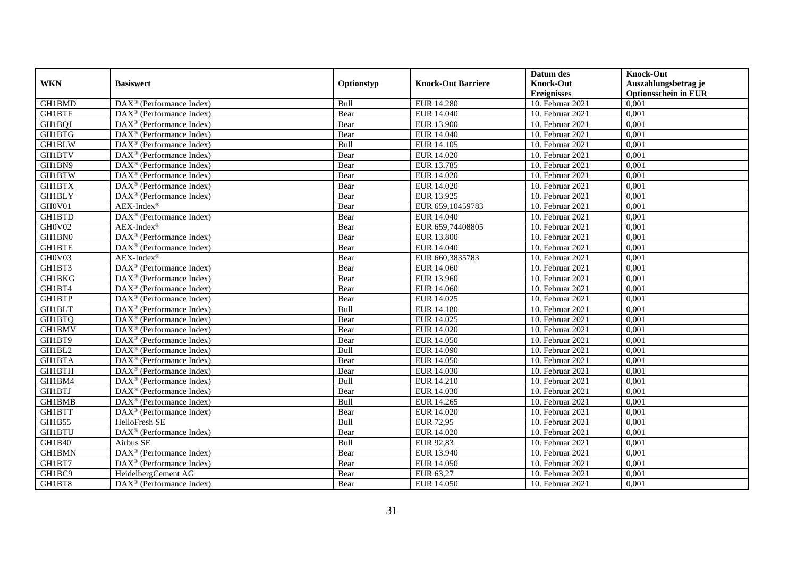|               |                                                              |            |                           | Datum des          | <b>Knock-Out</b>            |
|---------------|--------------------------------------------------------------|------------|---------------------------|--------------------|-----------------------------|
| <b>WKN</b>    | <b>Basiswert</b>                                             | Optionstyp | <b>Knock-Out Barriere</b> | <b>Knock-Out</b>   | Auszahlungsbetrag je        |
|               |                                                              |            |                           | <b>Ereignisses</b> | <b>Optionsschein in EUR</b> |
| <b>GH1BMD</b> | $\overline{\text{DAX}^{\otimes}}$ (Performance Index)        | Bull       | <b>EUR 14.280</b>         | 10. Februar 2021   | 0,001                       |
| <b>GH1BTF</b> | $\text{DAX}^{\textcircled{p}}$ (Performance Index)           | Bear       | EUR 14.040                | 10. Februar 2021   | 0,001                       |
| GH1BQJ        | DAX <sup>®</sup> (Performance Index)                         | Bear       | EUR 13.900                | 10. Februar 2021   | 0,001                       |
| GH1BTG        | $\text{DAX}^{\circledast}$ (Performance Index)               | Bear       | EUR 14.040                | 10. Februar 2021   | 0,001                       |
| GH1BLW        | DAX <sup>®</sup> (Performance Index)                         | Bull       | EUR 14.105                | 10. Februar 2021   | 0,001                       |
| <b>GH1BTV</b> | $\text{DAX}^{\circledast}$ (Performance Index)               | Bear       | EUR 14.020                | 10. Februar 2021   | 0,001                       |
| GH1BN9        | $\text{DAX}^{\textcircled{n}}$ (Performance Index)           | Bear       | EUR 13.785                | 10. Februar 2021   | 0,001                       |
| GH1BTW        | $\text{DAX}^{\textcircled{}}$ (Performance Index)            | Bear       | EUR 14.020                | 10. Februar 2021   | 0,001                       |
| <b>GH1BTX</b> | $\text{DAX}^{\textcircled{p}}$ (Performance Index)           | Bear       | EUR 14.020                | 10. Februar 2021   | 0,001                       |
| GH1BLY        | $\overline{\text{DAX}}^{\textcirc}$ (Performance Index)      | Bear       | EUR 13.925                | 10. Februar 2021   | 0,001                       |
| GH0V01        | AEX-Index®                                                   | Bear       | EUR 659,10459783          | 10. Februar 2021   | 0,001                       |
| <b>GH1BTD</b> | DAX <sup>®</sup> (Performance Index)                         | Bear       | EUR 14.040                | 10. Februar 2021   | 0,001                       |
| GH0V02        | $AEX-Index^{\circledR}$                                      | Bear       | EUR 659,74408805          | 10. Februar 2021   | 0,001                       |
| GH1BN0        | DAX <sup>®</sup> (Performance Index)                         | Bear       | <b>EUR 13.800</b>         | 10. Februar 2021   | 0,001                       |
| GH1BTE        | DAX <sup>®</sup> (Performance Index)                         | Bear       | EUR 14.040                | 10. Februar 2021   | 0,001                       |
| GH0V03        | $AEX-Index^{\circledR}$                                      | Bear       | EUR 660,3835783           | 10. Februar 2021   | 0,001                       |
| GH1BT3        | DAX <sup>®</sup> (Performance Index)                         | Bear       | EUR 14.060                | 10. Februar 2021   | 0,001                       |
| GH1BKG        | $DAX^{\circledR}$ (Performance Index)                        | Bear       | EUR 13.960                | 10. Februar 2021   | 0,001                       |
| GH1BT4        | $\overline{\text{DAX}}^{\textcirc}$ (Performance Index)      | Bear       | <b>EUR 14.060</b>         | 10. Februar 2021   | 0,001                       |
| <b>GH1BTP</b> | DAX <sup>®</sup> (Performance Index)                         | Bear       | EUR 14.025                | 10. Februar 2021   | 0,001                       |
| <b>GH1BLT</b> | DAX <sup>®</sup> (Performance Index)                         | Bull       | <b>EUR 14.180</b>         | 10. Februar 2021   | 0,001                       |
| <b>GH1BTQ</b> | $\overline{\text{DAX}^{\otimes}}$ (Performance Index)        | Bear       | EUR 14.025                | 10. Februar 2021   | 0,001                       |
| GH1BMV        | $\text{DAX}^{\circledast}$ (Performance Index)               | Bear       | EUR 14.020                | $10.$ Februar 2021 | 0,001                       |
| GH1BT9        | DAX <sup>®</sup> (Performance Index)                         | Bear       | <b>EUR 14.050</b>         | 10. Februar 2021   | 0,001                       |
| GH1BL2        | DAX <sup>®</sup> (Performance Index)                         | Bull       | EUR 14.090                | 10. Februar 2021   | 0,001                       |
| <b>GH1BTA</b> | $\text{DAX}^{\otimes}$ (Performance Index)                   | Bear       | EUR 14.050                | 10. Februar 2021   | 0,001                       |
| <b>GH1BTH</b> | $\text{DAX}^{\circledast}$ (Performance Index)               | Bear       | EUR 14.030                | 10. Februar 2021   | 0,001                       |
| GH1BM4        | $\text{DAX}^{\textcircled{D}}$ (Performance Index)           | Bull       | EUR 14.210                | $10.$ Februar 2021 | 0,001                       |
| <b>GH1BTJ</b> | $\text{DAX}^{\textcircled{D}}$ (Performance Index)           | Bear       | EUR 14.030                | 10. Februar 2021   | 0,001                       |
| <b>GH1BMB</b> | $DAX^{\otimes}$ (Performance Index)                          | Bull       | EUR 14.265                | 10. Februar 2021   | 0,001                       |
| GH1BTT        | DAX <sup>®</sup> (Performance Index)                         | Bear       | EUR 14.020                | 10. Februar 2021   | 0,001                       |
| GH1B55        | HelloFresh SE                                                | Bull       | <b>EUR 72,95</b>          | 10. Februar 2021   | 0,001                       |
| <b>GH1BTU</b> | DAX <sup>®</sup> (Performance Index)                         | Bear       | EUR 14.020                | 10. Februar 2021   | 0,001                       |
| GH1B40        | Airbus SE                                                    | Bull       | EUR 92,83                 | $10.$ Februar 2021 | 0,001                       |
| <b>GH1BMN</b> | DAX <sup>®</sup> (Performance Index)                         | Bear       | EUR 13.940                | 10. Februar 2021   | 0,001                       |
| GH1BT7        | DAX <sup>®</sup> (Performance Index)                         | Bear       | <b>EUR 14.050</b>         | 10. Februar 2021   | 0,001                       |
| GH1BC9        | HeidelbergCement AG                                          | Bear       | EUR 63,27                 | 10. Februar 2021   | 0,001                       |
| GH1BT8        | $\overline{\text{DAX}}^{\textcircled{}}$ (Performance Index) | Bear       | <b>EUR 14.050</b>         | 10. Februar 2021   | 0,001                       |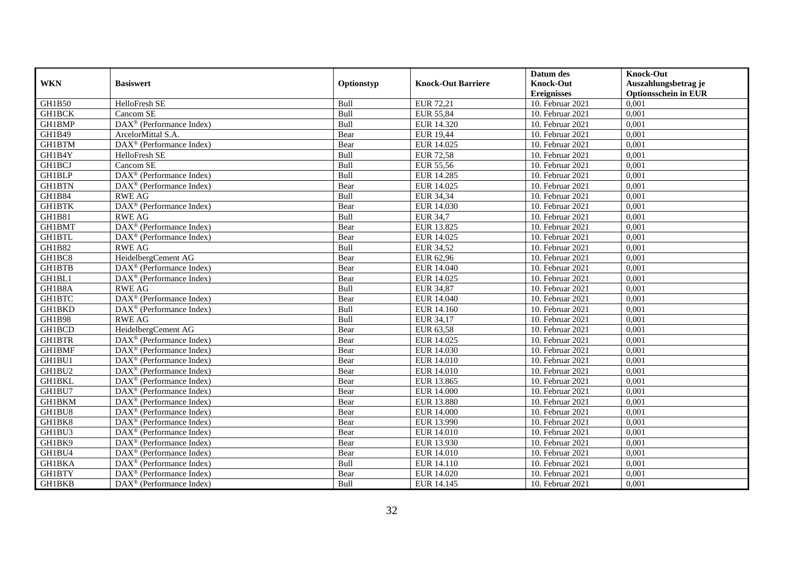|               |                                                         |            |                           | Datum des          | <b>Knock-Out</b>            |
|---------------|---------------------------------------------------------|------------|---------------------------|--------------------|-----------------------------|
| <b>WKN</b>    | <b>Basiswert</b>                                        | Optionstyp | <b>Knock-Out Barriere</b> | <b>Knock-Out</b>   | Auszahlungsbetrag je        |
|               |                                                         |            |                           | <b>Ereignisses</b> | <b>Optionsschein in EUR</b> |
| GH1B50        | HelloFresh SE                                           | Bull       | EUR 72,21                 | 10. Februar 2021   | 0,001                       |
| <b>GH1BCK</b> | Cancom SE                                               | Bull       | <b>EUR 55,84</b>          | 10. Februar 2021   | 0,001                       |
| GH1BMP        | DAX <sup>®</sup> (Performance Index)                    | Bull       | EUR 14.320                | 10. Februar 2021   | 0,001                       |
| GH1B49        | ArcelorMittal S.A.                                      | Bear       | <b>EUR 19,44</b>          | 10. Februar 2021   | 0,001                       |
| <b>GH1BTM</b> | DAX <sup>®</sup> (Performance Index)                    | Bear       | EUR 14.025                | 10. Februar 2021   | 0,001                       |
| GH1B4Y        | HelloFresh SE                                           | Bull       | <b>EUR 72,58</b>          | 10. Februar 2021   | 0,001                       |
| <b>GH1BCJ</b> | Cancom SE                                               | Bull       | <b>EUR 55,56</b>          | 10. Februar 2021   | 0,001                       |
| <b>GH1BLP</b> | DAX <sup>®</sup> (Performance Index)                    | Bull       | EUR 14.285                | 10. Februar 2021   | 0,001                       |
| <b>GH1BTN</b> | $\text{DAX}^{\textcircled{D}}$ (Performance Index)      | Bear       | EUR 14.025                | 10. Februar 2021   | 0,001                       |
| GH1B84        | <b>RWE AG</b>                                           | Bull       | EUR 34,34                 | 10. Februar 2021   | 0,001                       |
| <b>GH1BTK</b> | DAX <sup>®</sup> (Performance Index)                    | Bear       | <b>EUR 14.030</b>         | 10. Februar 2021   | 0,001                       |
| GH1B81        | <b>RWE AG</b>                                           | Bull       | EUR 34,7                  | 10. Februar 2021   | 0,001                       |
| GH1BMT        | DAX <sup>®</sup> (Performance Index)                    | Bear       | EUR 13.825                | 10. Februar 2021   | 0,001                       |
| <b>GH1BTL</b> | DAX <sup>®</sup> (Performance Index)                    | Bear       | EUR 14.025                | 10. Februar 2021   | 0,001                       |
| GH1B82        | <b>RWE AG</b>                                           | Bull       | <b>EUR 34,52</b>          | 10. Februar 2021   | 0,001                       |
| GH1BC8        | HeidelbergCement AG                                     | Bear       | EUR 62,96                 | 10. Februar 2021   | 0,001                       |
| GH1BTB        | DAX <sup>®</sup> (Performance Index)                    | Bear       | EUR 14.040                | 10. Februar 2021   | 0,001                       |
| GH1BL1        | $\text{DAX}^{\textcircled{n}}$ (Performance Index)      | Bear       | EUR 14.025                | 10. Februar 2021   | 0,001                       |
| GH1B8A        | <b>RWE AG</b>                                           | Bull       | <b>EUR 34,87</b>          | 10. Februar 2021   | 0,001                       |
| <b>GH1BTC</b> | DAX <sup>®</sup> (Performance Index)                    | Bear       | EUR 14.040                | 10. Februar 2021   | 0,001                       |
| <b>GH1BKD</b> | DAX <sup>®</sup> (Performance Index)                    | Bull       | EUR 14.160                | 10. Februar 2021   | 0,001                       |
| <b>GH1B98</b> | <b>RWE AG</b>                                           | Bull       | EUR 34,17                 | 10. Februar 2021   | 0,001                       |
| GH1BCD        | HeidelbergCement AG                                     | Bear       | EUR 63,58                 | $10.$ Februar 2021 | 0,001                       |
| <b>GH1BTR</b> | DAX <sup>®</sup> (Performance Index)                    | Bear       | EUR 14.025                | 10. Februar 2021   | 0,001                       |
| <b>GH1BMF</b> | $\overline{\text{DAX}^{\otimes}}$ (Performance Index)   | Bear       | EUR 14.030                | 10. Februar 2021   | 0,001                       |
| GH1BU1        | $\text{DAX}^{\otimes}$ (Performance Index)              | Bear       | <b>EUR 14.010</b>         | 10. Februar 2021   | 0,001                       |
| GH1BU2        | DAX <sup>®</sup> (Performance Index)                    | Bear       | <b>EUR 14.010</b>         | 10. Februar 2021   | 0,001                       |
| <b>GH1BKL</b> | $\text{DAX}^{\textcircled{D}}$ (Performance Index)      | Bear       | EUR 13.865                | $10.$ Februar 2021 | 0,001                       |
| GH1BU7        | $\text{DAX}^{\textcircled{D}}$ (Performance Index)      | Bear       | EUR 14.000                | 10. Februar 2021   | 0,001                       |
| <b>GH1BKM</b> | $\text{DAX}^{\textcircled{D}}$ (Performance Index)      | Bear       | <b>EUR 13.880</b>         | 10. Februar 2021   | 0,001                       |
| GH1BU8        | DAX <sup>®</sup> (Performance Index)                    | Bear       | <b>EUR 14.000</b>         | 10. Februar 2021   | 0,001                       |
| GH1BK8        | DAX <sup>®</sup> (Performance Index)                    | Bear       | EUR 13.990                | 10. Februar 2021   | 0,001                       |
| GH1BU3        | $\overline{\text{DAX}^{\otimes}}$ (Performance Index)   | Bear       | <b>EUR 14.010</b>         | 10. Februar 2021   | 0,001                       |
| GH1BK9        | DAX <sup>®</sup> (Performance Index)                    | Bear       | EUR 13.930                | $10.$ Februar 2021 | 0,001                       |
| GH1BU4        | $\text{DAX}^{\textcircled{n}}$ (Performance Index)      | Bear       | <b>EUR 14.010</b>         | 10. Februar 2021   | 0,001                       |
| <b>GH1BKA</b> | $\text{DAX}^{\textcircled{n}}$ (Performance Index)      | Bull       | EUR 14.110                | 10. Februar 2021   | 0,001                       |
| GH1BTY        | $\text{DAX}^{\otimes}$ (Performance Index)              | Bear       | EUR 14.020                | 10. Februar 2021   | 0,001                       |
| GH1BKB        | $\overline{\text{DAX}}^{\textcirc}$ (Performance Index) | Bull       | EUR 14.145                | 10. Februar 2021   | 0,001                       |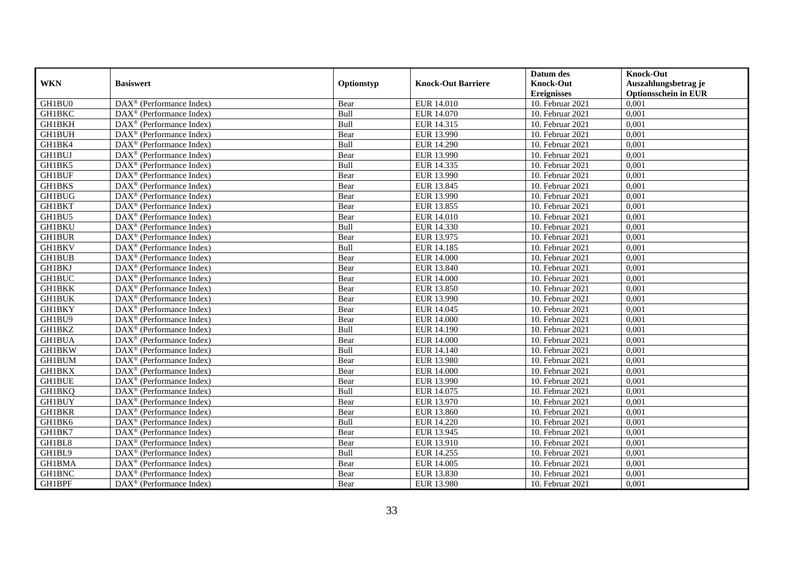|               |                                                         |            |                           | Datum des          | <b>Knock-Out</b>            |
|---------------|---------------------------------------------------------|------------|---------------------------|--------------------|-----------------------------|
| <b>WKN</b>    | <b>Basiswert</b>                                        | Optionstyp | <b>Knock-Out Barriere</b> | <b>Knock-Out</b>   | Auszahlungsbetrag je        |
|               |                                                         |            |                           | <b>Ereignisses</b> | <b>Optionsschein in EUR</b> |
| GH1BU0        | DAX <sup>®</sup> (Performance Index)                    | Bear       | EUR 14.010                | 10. Februar 2021   | 0,001                       |
| <b>GH1BKC</b> | $\text{DAX}^{\circledast}$ (Performance Index)          | Bull       | EUR 14.070                | 10. Februar 2021   | 0,001                       |
| <b>GH1BKH</b> | $DAX^{\circledR}$ (Performance Index)                   | Bull       | EUR 14.315                | 10. Februar 2021   | 0,001                       |
| GH1BUH        | DAX <sup>®</sup> (Performance Index)                    | Bear       | EUR 13.990                | 10. Februar 2021   | 0,001                       |
| GH1BK4        | DAX <sup>®</sup> (Performance Index)                    | Bull       | EUR 14.290                | 10. Februar 2021   | 0,001                       |
| <b>GH1BUJ</b> | $\text{DAX}^{\textcircled{D}}$ (Performance Index)      | Bear       | EUR 13.990                | 10. Februar 2021   | 0,001                       |
| GH1BK5        | $\overline{\text{DAX}}^{\textcirc}$ (Performance Index) | Bull       | EUR 14.335                | 10. Februar 2021   | 0,001                       |
| <b>GH1BUF</b> | $\overline{\text{DAX}}^{\textcirc}$ (Performance Index) | Bear       | EUR 13.990                | 10. Februar 2021   | 0,001                       |
| GH1BKS        | $\text{DAX}^{\circledast}$ (Performance Index)          | Bear       | EUR 13.845                | 10. Februar 2021   | 0,001                       |
| <b>GH1BUG</b> | DAX <sup>®</sup> (Performance Index)                    | Bear       | EUR 13.990                | 10. Februar 2021   | 0,001                       |
| <b>GH1BKT</b> | $\overline{\text{DAX}^{\otimes}}$ (Performance Index)   | Bear       | EUR 13.855                | 10. Februar 2021   | 0,001                       |
| GH1BU5        | $\overline{\text{DAX}^{\otimes}}$ (Performance Index)   | Bear       | <b>EUR 14.010</b>         | 10. Februar 2021   | 0,001                       |
| <b>GH1BKU</b> | $\text{DAX}^{\textcircled{n}}$ (Performance Index)      | Bull       | EUR 14.330                | 10. Februar 2021   | 0,001                       |
| <b>GH1BUR</b> | DAX <sup>®</sup> (Performance Index)                    | Bear       | EUR 13.975                | 10. Februar 2021   | 0,001                       |
| <b>GH1BKV</b> | $\overline{\text{DAX}^{\otimes}}$ (Performance Index)   | Bull       | <b>EUR 14.185</b>         | 10. Februar 2021   | 0,001                       |
| <b>GH1BUB</b> | DAX <sup>®</sup> (Performance Index)                    | Bear       | <b>EUR 14.000</b>         | 10. Februar 2021   | 0,001                       |
| GH1BKJ        | DAX <sup>®</sup> (Performance Index)                    | Bear       | EUR 13.840                | 10. Februar 2021   | 0,001                       |
| <b>GH1BUC</b> | DAX <sup>®</sup> (Performance Index)                    | Bear       | <b>EUR 14.000</b>         | 10. Februar 2021   | 0,001                       |
| <b>GH1BKK</b> | DAX <sup>®</sup> (Performance Index)                    | Bear       | EUR 13.850                | 10. Februar 2021   | 0,001                       |
| <b>GH1BUK</b> | $\text{DAX}^{\circledast}$ (Performance Index)          | Bear       | EUR 13.990                | 10. Februar 2021   | 0,001                       |
| <b>GH1BKY</b> | DAX <sup>®</sup> (Performance Index)                    | Bear       | EUR 14.045                | 10. Februar 2021   | 0,001                       |
| GH1BU9        | $DAX^{\circledR}$ (Performance Index)                   | Bear       | <b>EUR 14.000</b>         | 10. Februar 2021   | 0,001                       |
| <b>GH1BKZ</b> | $\overline{\text{DAX}}^{\textcirc}$ (Performance Index) | Bull       | EUR 14.190                | 10. Februar 2021   | 0,001                       |
| <b>GH1BUA</b> | $\text{DAX}^{\textcircled{p}}$ (Performance Index)      | Bear       | <b>EUR 14.000</b>         | 10. Februar 2021   | 0,001                       |
| <b>GH1BKW</b> | $DAX^{\circledR}$ (Performance Index)                   | Bull       | EUR 14.140                | 10. Februar 2021   | 0,001                       |
| GH1BUM        | $\text{DAX}^{\circledast}$ (Performance Index)          | Bear       | <b>EUR 13.980</b>         | 10. Februar 2021   | 0,001                       |
| <b>GH1BKX</b> | DAX <sup>®</sup> (Performance Index)                    | Bear       | <b>EUR 14.000</b>         | 10. Februar 2021   | 0,001                       |
| <b>GH1BUE</b> | DAX <sup>®</sup> (Performance Index)                    | Bear       | EUR 13.990                | 10. Februar 2021   | 0,001                       |
| GH1BKQ        | $\text{DAX}^{\otimes}$ (Performance Index)              | Bull       | EUR 14.075                | 10. Februar 2021   | 0,001                       |
| <b>GH1BUY</b> | $\text{DAX}^{\textcircled{n}}$ (Performance Index)      | Bear       | EUR 13.970                | 10. Februar 2021   | 0,001                       |
| <b>GH1BKR</b> | DAX <sup>®</sup> (Performance Index)                    | Bear       | EUR 13.860                | 10. Februar 2021   | 0,001                       |
| GH1BK6        | DAX <sup>®</sup> (Performance Index)                    | Bull       | <b>EUR 14.220</b>         | 10. Februar 2021   | 0,001                       |
| GH1BK7        | DAX <sup>®</sup> (Performance Index)                    | Bear       | EUR 13.945                | 10. Februar 2021   | 0,001                       |
| GH1BL8        | $\overline{\text{DAX}}^{\textcirc}$ (Performance Index) | Bear       | EUR 13.910                | $10.$ Februar 2021 | 0,001                       |
| GH1BL9        | $\text{DAX}^{\textcircled{n}}$ (Performance Index)      | Bull       | EUR 14.255                | 10. Februar 2021   | 0,001                       |
| GH1BMA        | $\text{DAX}^{\circledast}$ (Performance Index)          | Bear       | EUR 14.005                | 10. Februar 2021   | 0,001                       |
| GH1BNC        | $\text{DAX}^{\otimes}$ (Performance Index)              | Bear       | EUR 13.830                | 10. Februar 2021   | 0,001                       |
| GH1BPF        | $\overline{\text{DAX}}^{\textcirc}$ (Performance Index) | Bear       | EUR 13.980                | 10. Februar 2021   | 0,001                       |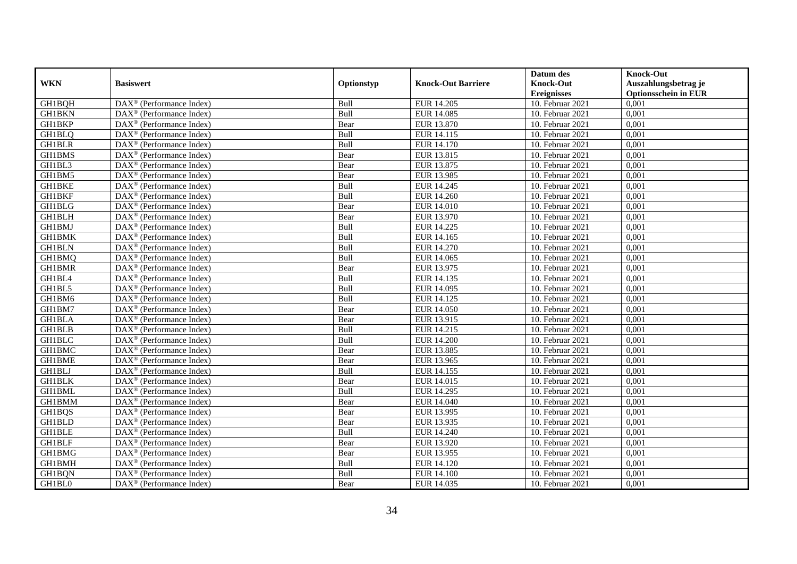|               |                                                         |            |                           | Datum des          | <b>Knock-Out</b>            |
|---------------|---------------------------------------------------------|------------|---------------------------|--------------------|-----------------------------|
| <b>WKN</b>    | <b>Basiswert</b>                                        | Optionstyp | <b>Knock-Out Barriere</b> | <b>Knock-Out</b>   | Auszahlungsbetrag je        |
|               |                                                         |            |                           | <b>Ereignisses</b> | <b>Optionsschein in EUR</b> |
| GH1BQH        | DAX <sup>®</sup> (Performance Index)                    | Bull       | EUR 14.205                | 10. Februar 2021   | 0,001                       |
| <b>GH1BKN</b> | $DAX^{\circledast}$ (Performance Index)                 | Bull       | <b>EUR 14.085</b>         | 10. Februar 2021   | 0,001                       |
| GH1BKP        | $DAX^{\circledR}$ (Performance Index)                   | Bear       | EUR 13.870                | 10. Februar 2021   | 0,001                       |
| GH1BLQ        | $DAX^{\circledast}$ (Performance Index)                 | Bull       | EUR 14.115                | 10. Februar 2021   | 0,001                       |
| <b>GH1BLR</b> | $\overline{\text{DAX}}^{\textcirc}$ (Performance Index) | Bull       | EUR 14.170                | 10. Februar 2021   | 0,001                       |
| <b>GH1BMS</b> | $\text{DAX}^{\textcircled{}}$ (Performance Index)       | Bear       | EUR 13.815                | 10. Februar 2021   | 0,001                       |
| GH1BL3        | $\overline{\text{DAX}}^{\textcirc}$ (Performance Index) | Bear       | EUR 13.875                | 10. Februar 2021   | 0,001                       |
| GH1BM5        | $DAX^{\circledast}$ (Performance Index)                 | Bear       | EUR 13.985                | 10. Februar 2021   | 0,001                       |
| <b>GH1BKE</b> | $DAX^{\circledast}$ (Performance Index)                 | Bull       | EUR 14.245                | 10. Februar 2021   | 0,001                       |
| <b>GH1BKF</b> | DAX <sup>®</sup> (Performance Index)                    | Bull       | <b>EUR 14.260</b>         | 10. Februar 2021   | 0,001                       |
| <b>GH1BLG</b> | $\overline{\text{DAX}^{\otimes}}$ (Performance Index)   | Bear       | EUR 14.010                | 10. Februar 2021   | 0,001                       |
| <b>GH1BLH</b> | DAX <sup>®</sup> (Performance Index)                    | Bear       | EUR 13.970                | 10. Februar 2021   | 0,001                       |
| <b>GH1BMJ</b> | DAX <sup>®</sup> (Performance Index)                    | Bull       | EUR 14.225                | 10. Februar 2021   | 0,001                       |
| <b>GH1BMK</b> | DAX <sup>®</sup> (Performance Index)                    | Bull       | EUR 14.165                | 10. Februar 2021   | 0,001                       |
| <b>GH1BLN</b> | DAX <sup>®</sup> (Performance Index)                    | Bull       | <b>EUR 14.270</b>         | 10. Februar 2021   | 0,001                       |
| GH1BMQ        | $\overline{\text{DAX}}^{\textcirc}$ (Performance Index) | Bull       | EUR 14.065                | 10. Februar 2021   | 0,001                       |
| GH1BMR        | DAX <sup>®</sup> (Performance Index)                    | Bear       | EUR 13.975                | 10. Februar 2021   | 0,001                       |
| GH1BL4        | DAX <sup>®</sup> (Performance Index)                    | Bull       | EUR 14.135                | 10. Februar 2021   | 0,001                       |
| GH1BL5        | $DAX^{\circledast}$ (Performance Index)                 | Bull       | EUR 14.095                | 10. Februar 2021   | 0,001                       |
| GH1BM6        | $DAX^{\circledast}$ (Performance Index)                 | Bull       | EUR 14.125                | 10. Februar 2021   | 0,001                       |
| GH1BM7        | $DAX^{\circledast}$ (Performance Index)                 | Bear       | <b>EUR 14.050</b>         | 10. Februar 2021   | 0,001                       |
| <b>GH1BLA</b> | $DAX^{\circledcirc}$ (Performance Index)                | Bear       | EUR 13.915                | 10. Februar 2021   | 0,001                       |
| <b>GH1BLB</b> | $\text{DAX}^{\textcircled{}}$ (Performance Index)       | Bull       | EUR 14.215                | 10. Februar 2021   | 0,001                       |
| <b>GH1BLC</b> | DAX <sup>®</sup> (Performance Index)                    | Bull       | <b>EUR 14.200</b>         | 10. Februar 2021   | 0,001                       |
| <b>GH1BMC</b> | $DAX^{\circledR}$ (Performance Index)                   | Bear       | EUR 13.885                | 10. Februar 2021   | 0,001                       |
| GH1BME        | DAX <sup>®</sup> (Performance Index)                    | Bear       | EUR 13.965                | 10. Februar 2021   | 0,001                       |
| <b>GH1BLJ</b> | $\overline{\text{DAX}}^{\textcirc}$ (Performance Index) | Bull       | EUR 14.155                | 10. Februar 2021   | 0,001                       |
| <b>GH1BLK</b> | DAX <sup>®</sup> (Performance Index)                    | Bear       | EUR 14.015                | 10. Februar 2021   | 0,001                       |
| <b>GH1BML</b> | $DAX^{\circledast}$ (Performance Index)                 | Bull       | EUR 14.295                | 10. Februar 2021   | 0,001                       |
| GH1BMM        | $DAX^{\circledast}$ (Performance Index)                 | Bear       | EUR 14.040                | 10. Februar 2021   | 0,001                       |
| GH1BQS        | $DAX^{\circledR}$ (Performance Index)                   | Bear       | EUR 13.995                | 10. Februar 2021   | 0,001                       |
| <b>GH1BLD</b> | DAX <sup>®</sup> (Performance Index)                    | Bear       | EUR 13.935                | 10. Februar 2021   | 0,001                       |
| <b>GH1BLE</b> | $DAX^{\circledR}$ (Performance Index)                   | Bull       | <b>EUR 14.240</b>         | 10. Februar 2021   | 0,001                       |
| <b>GH1BLF</b> | $\overline{\text{DAX}^{\otimes}}$ (Performance Index)   | Bear       | EUR 13.920                | $10.$ Februar 2021 | 0,001                       |
| GH1BMG        | $DAX^{\circledast}$ (Performance Index)                 | Bear       | EUR 13.955                | $10.$ Februar 2021 | 0,001                       |
| GH1BMH        | $DAX^{\circledast}$ (Performance Index)                 | Bull       | EUR 14.120                | 10. Februar 2021   | 0,001                       |
| GH1BQN        | DAX <sup>®</sup> (Performance Index)                    | Bull       | <b>EUR 14.100</b>         | 10. Februar 2021   | 0,001                       |
| GH1BL0        | $DAX^{\circledast}$ (Performance Index)                 | Bear       | EUR 14.035                | 10. Februar 2021   | 0,001                       |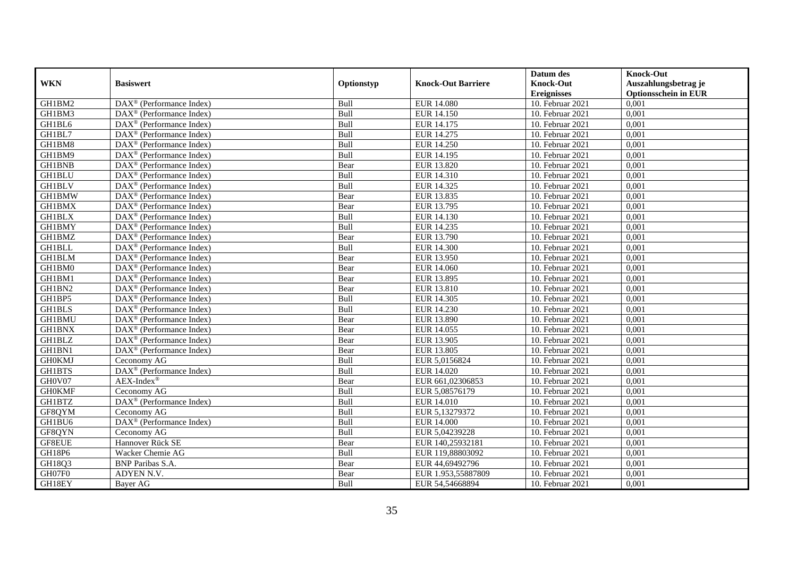|               |                                                                 |            |                           | Datum des          | <b>Knock-Out</b>            |
|---------------|-----------------------------------------------------------------|------------|---------------------------|--------------------|-----------------------------|
| <b>WKN</b>    | <b>Basiswert</b>                                                | Optionstyp | <b>Knock-Out Barriere</b> | <b>Knock-Out</b>   | Auszahlungsbetrag je        |
|               |                                                                 |            |                           | <b>Ereignisses</b> | <b>Optionsschein in EUR</b> |
| GH1BM2        | DAX <sup>®</sup> (Performance Index)                            | Bull       | <b>EUR 14.080</b>         | 10. Februar 2021   | 0,001                       |
| GH1BM3        | $DAX^{\circledR}$ (Performance Index)                           | Bull       | <b>EUR 14.150</b>         | 10. Februar 2021   | 0,001                       |
| GH1BL6        | $DAX^{\circledR}$ (Performance Index)                           | Bull       | EUR 14.175                | 10. Februar 2021   | 0,001                       |
| GH1BL7        | DAX <sup>®</sup> (Performance Index)                            | Bull       | EUR 14.275                | 10. Februar 2021   | 0,001                       |
| GH1BM8        | DAX <sup>®</sup> (Performance Index)                            | Bull       | EUR 14.250                | 10. Februar 2021   | 0,001                       |
| GH1BM9        | $\text{DAX}^{\textcircled{D}}$ (Performance Index)              | Bull       | EUR 14.195                | $10.$ Februar 2021 | 0,001                       |
| <b>GH1BNB</b> | $DAX^{\otimes}$ (Performance Index)                             | Bear       | EUR 13.820                | 10. Februar 2021   | 0,001                       |
| <b>GH1BLU</b> | $\overline{\text{DAX}}^{\textcirc}$ (Performance Index)         | Bull       | EUR 14.310                | 10. Februar 2021   | 0,001                       |
| <b>GH1BLV</b> | $\text{DAX}^{\circledast}$ (Performance Index)                  | Bull       | EUR 14.325                | 10. Februar 2021   | 0,001                       |
| <b>GH1BMW</b> | DAX <sup>®</sup> (Performance Index)                            | Bear       | EUR 13.835                | 10. Februar 2021   | 0,001                       |
| <b>GH1BMX</b> | $\overline{\text{DAX}^{\otimes}}$ (Performance Index)           | Bear       | EUR 13.795                | 10. Februar 2021   | 0,001                       |
| <b>GH1BLX</b> | DAX <sup>®</sup> (Performance Index)                            | Bull       | EUR 14.130                | 10. Februar 2021   | 0,001                       |
| <b>GH1BMY</b> | $\text{DAX}^{\textcircled{n}}$ (Performance Index)              | Bull       | EUR 14.235                | 10. Februar 2021   | 0,001                       |
| GH1BMZ        | DAX <sup>®</sup> (Performance Index)                            | Bear       | EUR 13.790                | 10. Februar 2021   | 0.001                       |
| <b>GH1BLL</b> | $\overline{\text{DAX}^{\otimes}}$ (Performance Index)           | Bull       | <b>EUR 14.300</b>         | 10. Februar 2021   | 0,001                       |
| <b>GH1BLM</b> | DAX <sup>®</sup> (Performance Index)                            | Bear       | EUR 13.950                | 10. Februar 2021   | 0,001                       |
| GH1BM0        | $\text{DAX}^{\textcircled{D}}$ (Performance Index)              | Bear       | EUR 14.060                | 10. Februar 2021   | 0,001                       |
| GH1BM1        | DAX <sup>®</sup> (Performance Index)                            | Bear       | EUR 13.895                | $10.$ Februar 2021 | 0,001                       |
| GH1BN2        | $\text{DAX}^{\circledast}$ (Performance Index)                  | Bear       | EUR 13.810                | 10. Februar 2021   | 0,001                       |
| GH1BP5        | $\text{DAX}^{\circledast}$ (Performance Index)                  | Bull       | EUR 14.305                | 10. Februar 2021   | 0,001                       |
| <b>GH1BLS</b> | DAX <sup>®</sup> (Performance Index)                            | Bull       | EUR 14.230                | 10. Februar 2021   | 0,001                       |
| GH1BMU        | $DAX^{\circledR}$ (Performance Index)                           | Bear       | <b>EUR 13.890</b>         | 10. Februar 2021   | 0,001                       |
| <b>GH1BNX</b> | $\text{DAX}^{\textcircled{D}}$ (Performance Index)              | Bear       | EUR 14.055                | 10. Februar 2021   | 0,001                       |
| <b>GH1BLZ</b> | $\text{DAX}^{\textcircled{D}}$ (Performance Index)              | Bear       | EUR 13.905                | 10. Februar 2021   | 0,001                       |
| GH1BN1        | DAX <sup>®</sup> (Performance Index)                            | Bear       | EUR 13.805                | 10. Februar 2021   | 0,001                       |
| <b>GH0KMJ</b> | Ceconomy AG                                                     | Bull       | EUR 5,0156824             | 10. Februar 2021   | 0,001                       |
| <b>GH1BTS</b> | $\overline{\text{DAX}^{\circledast}(\text{Performance Index})}$ | Bull       | EUR 14.020                | 10. Februar 2021   | 0,001                       |
| GH0V07        | $AEX-Index^{\circledR}$                                         | Bear       | EUR 661,02306853          | 10. Februar 2021   | 0,001                       |
| <b>GH0KMF</b> | Ceconomy AG                                                     | Bull       | EUR 5,08576179            | 10. Februar 2021   | 0,001                       |
| GH1BTZ        | DAX <sup>®</sup> (Performance Index)                            | Bull       | EUR 14.010                | 10. Februar 2021   | 0,001                       |
| GF8QYM        | Ceconomy AG                                                     | Bull       | EUR 5,13279372            | 10. Februar 2021   | 0,001                       |
| GH1BU6        | DAX <sup>®</sup> (Performance Index)                            | Bull       | <b>EUR 14.000</b>         | 10. Februar 2021   | 0,001                       |
| GF8QYN        | Ceconomy AG                                                     | Bull       | EUR 5,04239228            | 10. Februar 2021   | 0,001                       |
| GF8EUE        | Hannover Rück SE                                                | Bear       | EUR 140,25932181          | $10.$ Februar 2021 | 0,001                       |
| GH18P6        | Wacker Chemie AG                                                | Bull       | EUR 119,88803092          | 10. Februar 2021   | 0,001                       |
| GH18Q3        | <b>BNP</b> Paribas S.A.                                         | Bear       | EUR 44,69492796           | 10. Februar 2021   | 0,001                       |
| GH07F0        | ADYEN N.V.                                                      | Bear       | EUR 1.953,55887809        | 10. Februar 2021   | 0,001                       |
| GH18EY        | Bayer AG                                                        | Bull       | EUR 54,54668894           | 10. Februar 2021   | 0,001                       |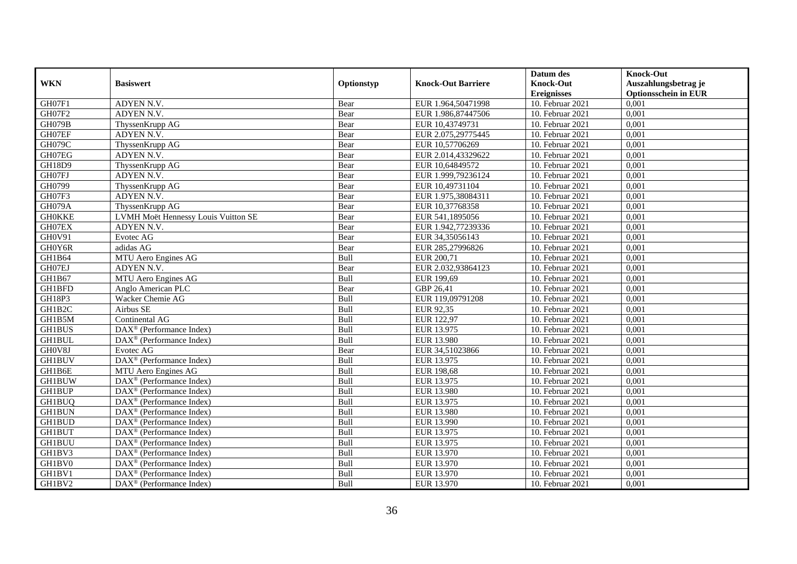|               |                                                              |            |                           | Datum des          | <b>Knock-Out</b>            |
|---------------|--------------------------------------------------------------|------------|---------------------------|--------------------|-----------------------------|
| <b>WKN</b>    | <b>Basiswert</b>                                             | Optionstyp | <b>Knock-Out Barriere</b> | <b>Knock-Out</b>   | Auszahlungsbetrag je        |
|               |                                                              |            |                           | <b>Ereignisses</b> | <b>Optionsschein in EUR</b> |
| GH07F1        | ADYEN N.V.                                                   | Bear       | EUR 1.964,50471998        | 10. Februar 2021   | 0,001                       |
| GH07F2        | ADYEN N.V.                                                   | Bear       | EUR 1.986,87447506        | 10. Februar 2021   | 0,001                       |
| GH079B        | ThyssenKrupp AG                                              | Bear       | EUR 10,43749731           | 10. Februar 2021   | 0,001                       |
| GH07EF        | ADYEN N.V.                                                   | Bear       | EUR 2.075,29775445        | 10. Februar 2021   | 0,001                       |
| GH079C        | ThyssenKrupp AG                                              | Bear       | EUR 10,57706269           | 10. Februar 2021   | 0,001                       |
| GH07EG        | ADYEN N.V.                                                   | Bear       | EUR 2.014,43329622        | $10.$ Februar 2021 | 0,001                       |
| <b>GH18D9</b> | ThyssenKrupp AG                                              | Bear       | EUR 10,64849572           | 10. Februar 2021   | 0,001                       |
| GH07FJ        | ADYEN N.V.                                                   | Bear       | EUR 1.999,79236124        | 10. Februar 2021   | 0,001                       |
| GH0799        | ThyssenKrupp AG                                              | Bear       | EUR 10,49731104           | 10. Februar 2021   | 0,001                       |
| GH07F3        | ADYEN N.V.                                                   | Bear       | EUR 1.975,38084311        | 10. Februar 2021   | 0,001                       |
| GH079A        | ThyssenKrupp AG                                              | Bear       | EUR 10,37768358           | 10. Februar 2021   | 0,001                       |
| <b>GH0KKE</b> | LVMH Moët Hennessy Louis Vuitton SE                          | Bear       | EUR 541,1895056           | 10. Februar 2021   | 0,001                       |
| GH07EX        | ADYEN N.V.                                                   | Bear       | EUR 1.942,77239336        | 10. Februar 2021   | 0,001                       |
| <b>GH0V91</b> | Evotec AG                                                    | Bear       | EUR 34,35056143           | 10. Februar 2021   | 0.001                       |
| GH0Y6R        | adidas AG                                                    | Bear       | EUR 285,27996826          | 10. Februar 2021   | 0,001                       |
| GH1B64        | MTU Aero Engines AG                                          | Bull       | EUR 200,71                | 10. Februar 2021   | 0,001                       |
| GH07EJ        | ADYEN N.V.                                                   | Bear       | EUR 2.032,93864123        | 10. Februar 2021   | 0,001                       |
| GH1B67        | MTU Aero Engines AG                                          | Bull       | EUR 199,69                | $10.$ Februar 2021 | 0,001                       |
| GH1BFD        | Anglo American PLC                                           | Bear       | GBP 26,41                 | 10. Februar 2021   | 0,001                       |
| GH18P3        | Wacker Chemie AG                                             | Bull       | EUR 119,09791208          | 10. Februar 2021   | 0,001                       |
| GH1B2C        | Airbus SE                                                    | Bull       | EUR 92,35                 | 10. Februar 2021   | 0,001                       |
| GH1B5M        | Continental AG                                               | Bull       | EUR 122,97                | 10. Februar 2021   | 0,001                       |
| <b>GH1BUS</b> | $\overline{\text{DAX}^{\otimes}}$ (Performance Index)        | Bull       | EUR 13.975                | 10. Februar 2021   | 0,001                       |
| <b>GH1BUL</b> | $\overline{\text{DAX}}^{\textcircled{}}$ (Performance Index) | Bull       | <b>EUR 13.980</b>         | 10. Februar 2021   | 0,001                       |
| GH0V8J        | Evotec AG                                                    | Bear       | EUR 34,51023866           | 10. Februar 2021   | 0,001                       |
| <b>GH1BUV</b> | DAX <sup>®</sup> (Performance Index)                         | Bull       | EUR 13.975                | 10. Februar 2021   | 0,001                       |
| GH1B6E        | MTU Aero Engines AG                                          | Bull       | <b>EUR 198,68</b>         | 10. Februar 2021   | 0,001                       |
| <b>GH1BUW</b> | DAX <sup>®</sup> (Performance Index)                         | Bull       | EUR 13.975                | 10. Februar 2021   | 0,001                       |
| <b>GH1BUP</b> | $\text{DAX}^{\textcircled{n}}$ (Performance Index)           | Bull       | EUR 13.980                | 10. Februar 2021   | 0,001                       |
| GH1BUQ        | $\overline{\text{DAX}}^{\textcirc}$ (Performance Index)      | Bull       | EUR 13.975                | 10. Februar 2021   | 0,001                       |
| <b>GH1BUN</b> | $DAX^{\otimes}$ (Performance Index)                          | Bull       | <b>EUR 13.980</b>         | 10. Februar 2021   | 0,001                       |
| <b>GH1BUD</b> | DAX <sup>®</sup> (Performance Index)                         | Bull       | EUR 13.990                | 10. Februar 2021   | 0,001                       |
| <b>GH1BUT</b> | $\overline{\text{DAX}^{\otimes}}$ (Performance Index)        | Bull       | EUR 13.975                | 10. Februar 2021   | 0,001                       |
| <b>GH1BUU</b> | $\overline{\text{DAX}}^{\textcirc}$ (Performance Index)      | Bull       | EUR 13.975                | 10. Februar 2021   | 0,001                       |
| GH1BV3        | $\text{DAX}^{\textcircled{n}}$ (Performance Index)           | Bull       | EUR 13.970                | 10. Februar 2021   | 0,001                       |
| GH1BV0        | DAX <sup>®</sup> (Performance Index)                         | Bull       | EUR 13.970                | 10. Februar 2021   | 0,001                       |
| GH1BV1        | $\text{DAX}^{\otimes}$ (Performance Index)                   | Bull       | EUR 13.970                | 10. Februar 2021   | 0,001                       |
| GH1BV2        | $\overline{\text{DAX}}^{\textcircled{}}$ (Performance Index) | Bull       | EUR 13.970                | 10. Februar 2021   | 0,001                       |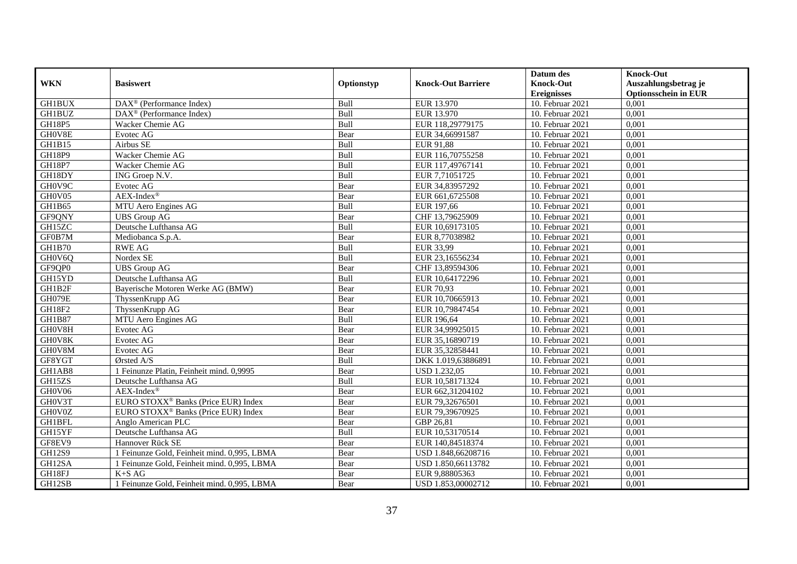|               | <b>Basiswert</b>                                        | Optionstyp |                           | Datum des          | <b>Knock-Out</b>            |
|---------------|---------------------------------------------------------|------------|---------------------------|--------------------|-----------------------------|
| <b>WKN</b>    |                                                         |            | <b>Knock-Out Barriere</b> | <b>Knock-Out</b>   | Auszahlungsbetrag je        |
|               |                                                         |            |                           | <b>Ereignisses</b> | <b>Optionsschein in EUR</b> |
| <b>GH1BUX</b> | $\overline{\text{DAX}^{\otimes}}$ (Performance Index)   | Bull       | EUR 13.970                | 10. Februar 2021   | 0,001                       |
| <b>GH1BUZ</b> | $\overline{\text{DAX}}^{\textcirc}$ (Performance Index) | Bull       | EUR 13.970                | 10. Februar 2021   | 0,001                       |
| GH18P5        | Wacker Chemie AG                                        | Bull       | EUR 118,29779175          | 10. Februar 2021   | 0,001                       |
| GH0V8E        | Evotec AG                                               | Bear       | EUR 34,66991587           | 10. Februar 2021   | 0,001                       |
| GH1B15        | Airbus SE                                               | Bull       | EUR 91,88                 | 10. Februar 2021   | 0,001                       |
| <b>GH18P9</b> | Wacker Chemie AG                                        | Bull       | EUR 116,70755258          | 10. Februar 2021   | 0,001                       |
| <b>GH18P7</b> | Wacker Chemie AG                                        | Bull       | EUR 117,49767141          | 10. Februar 2021   | 0,001                       |
| GH18DY        | ING Groep N.V.                                          | Bull       | EUR 7,71051725            | 10. Februar 2021   | 0,001                       |
| GH0V9C        | Evotec AG                                               | Bear       | EUR 34,83957292           | 10. Februar 2021   | 0,001                       |
| GH0V05        | $AEX-Index^{\circledR}$                                 | Bear       | EUR 661,6725508           | 10. Februar 2021   | 0,001                       |
| GH1B65        | MTU Aero Engines AG                                     | Bull       | EUR 197,66                | 10. Februar 2021   | 0,001                       |
| GF9QNY        | <b>UBS</b> Group AG                                     | Bear       | CHF 13,79625909           | 10. Februar 2021   | 0,001                       |
| GH15ZC        | Deutsche Lufthansa AG                                   | Bull       | EUR 10,69173105           | 10. Februar 2021   | 0,001                       |
| GF0B7M        | Mediobanca S.p.A.                                       | Bear       | EUR 8,77038982            | 10. Februar 2021   | 0,001                       |
| <b>GH1B70</b> | <b>RWE AG</b>                                           | Bull       | EUR 33,99                 | 10. Februar 2021   | 0,001                       |
| GH0V6Q        | Nordex SE                                               | Bull       | EUR 23,16556234           | 10. Februar 2021   | 0,001                       |
| GF9QP0        | <b>UBS</b> Group AG                                     | Bear       | CHF 13,89594306           | 10. Februar 2021   | 0,001                       |
| GH15YD        | Deutsche Lufthansa AG                                   | Bull       | EUR 10,64172296           | $10.$ Februar 2021 | 0,001                       |
| GH1B2F        | Bayerische Motoren Werke AG (BMW)                       | Bear       | EUR 70,93                 | 10. Februar 2021   | 0,001                       |
| GH079E        | ThyssenKrupp AG                                         | Bear       | EUR 10,70665913           | 10. Februar 2021   | 0,001                       |
| GH18F2        | ThyssenKrupp AG                                         | Bear       | EUR 10,79847454           | 10. Februar 2021   | 0,001                       |
| <b>GH1B87</b> | MTU Aero Engines AG                                     | Bull       | EUR 196,64                | 10. Februar 2021   | 0,001                       |
| GH0V8H        | Evotec AG                                               | Bear       | EUR 34,99925015           | $10.$ Februar 2021 | 0,001                       |
| GH0V8K        | Evotec AG                                               | Bear       | EUR 35,16890719           | 10. Februar 2021   | 0,001                       |
| GH0V8M        | Evotec AG                                               | Bear       | EUR 35,32858441           | 10. Februar 2021   | 0,001                       |
| GF8YGT        | Ørsted A/S                                              | Bull       | DKK 1.019,63886891        | 10. Februar 2021   | 0,001                       |
| GH1AB8        | 1 Feinunze Platin, Feinheit mind. 0,9995                | Bear       | <b>USD 1.232,05</b>       | 10. Februar 2021   | 0,001                       |
| GH15ZS        | Deutsche Lufthansa AG                                   | Bull       | EUR 10,58171324           | 10. Februar 2021   | 0,001                       |
| GH0V06        | $AEX-Index^{\circledR}$                                 | Bear       | EUR 662,31204102          | 10. Februar 2021   | 0,001                       |
| GH0V3T        | EURO STOXX <sup>®</sup> Banks (Price EUR) Index         | Bear       | EUR 79.32676501           | 10. Februar 2021   | 0.001                       |
| GH0V0Z        | EURO STOXX <sup>®</sup> Banks (Price EUR) Index         | Bear       | EUR 79,39670925           | 10. Februar 2021   | 0,001                       |
| <b>GH1BFL</b> | Anglo American PLC                                      | Bear       | GBP 26,81                 | 10. Februar 2021   | 0,001                       |
| GH15YF        | Deutsche Lufthansa AG                                   | Bull       | EUR 10,53170514           | 10. Februar 2021   | 0,001                       |
| GF8EV9        | Hannover Rück SE                                        | Bear       | EUR 140,84518374          | 10. Februar 2021   | 0,001                       |
| <b>GH12S9</b> | 1 Feinunze Gold, Feinheit mind. 0,995, LBMA             | Bear       | USD 1.848,66208716        | 10. Februar 2021   | 0,001                       |
| GH12SA        | 1 Feinunze Gold, Feinheit mind. 0,995, LBMA             | Bear       | USD 1.850,66113782        | 10. Februar 2021   | 0,001                       |
| GH18FJ        | $K+SAG$                                                 | Bear       | EUR 9,88805363            | 10. Februar 2021   | 0,001                       |
| GH12SB        | 1 Feinunze Gold, Feinheit mind. 0,995, LBMA             | Bear       | USD 1.853,00002712        | 10. Februar 2021   | 0,001                       |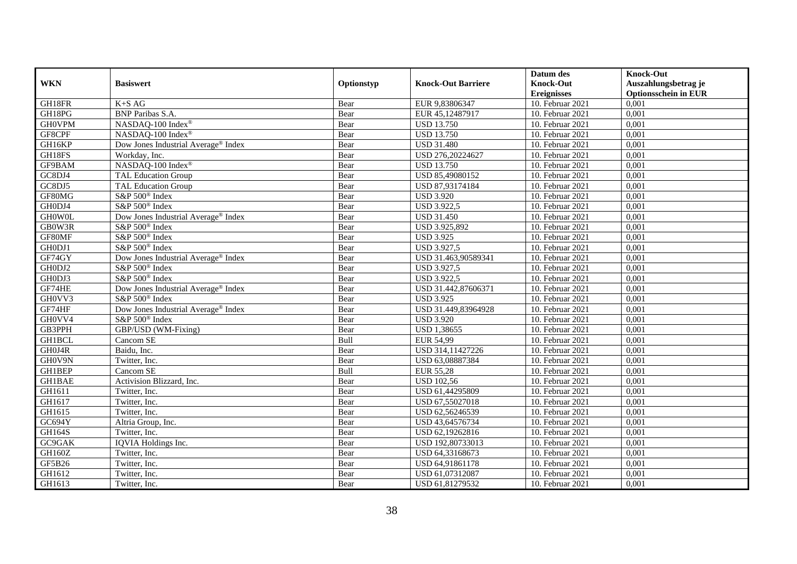|               |                                                 |            |                           | Datum des          | <b>Knock-Out</b>            |
|---------------|-------------------------------------------------|------------|---------------------------|--------------------|-----------------------------|
| <b>WKN</b>    | <b>Basiswert</b>                                | Optionstyp | <b>Knock-Out Barriere</b> | <b>Knock-Out</b>   | Auszahlungsbetrag je        |
|               |                                                 |            |                           | <b>Ereignisses</b> | <b>Optionsschein in EUR</b> |
| GH18FR        | $K+SAG$                                         | Bear       | EUR 9,83806347            | 10. Februar 2021   | 0,001                       |
| GH18PG        | <b>BNP</b> Paribas S.A.                         | Bear       | EUR 45,12487917           | 10. Februar 2021   | 0,001                       |
| <b>GH0VPM</b> | NASDAQ-100 Index®                               | Bear       | <b>USD 13.750</b>         | 10. Februar 2021   | 0,001                       |
| GF8CPF        | NASDAQ-100 Index®                               | Bear       | <b>USD 13.750</b>         | 10. Februar 2021   | 0,001                       |
| GH16KP        | Dow Jones Industrial Average <sup>®</sup> Index | Bear       | <b>USD 31.480</b>         | 10. Februar 2021   | 0,001                       |
| GH18FS        | Workday, Inc.                                   | Bear       | USD 276,20224627          | 10. Februar 2021   | 0,001                       |
| GF9BAM        | NASDAQ-100 Index®                               | Bear       | <b>USD 13.750</b>         | $10.$ Februar 2021 | 0,001                       |
| GC8DJ4        | <b>TAL Education Group</b>                      | Bear       | USD 85,49080152           | 10. Februar 2021   | 0,001                       |
| GC8DJ5        | <b>TAL Education Group</b>                      | Bear       | USD 87,93174184           | 10. Februar 2021   | 0,001                       |
| GF80MG        | S&P 500 <sup>®</sup> Index                      | Bear       | <b>USD 3.920</b>          | 10. Februar 2021   | 0,001                       |
| GH0DJ4        | S&P 500 <sup>®</sup> Index                      | Bear       | <b>USD 3.922,5</b>        | 10. Februar 2021   | 0,001                       |
| <b>GHOWOL</b> | Dow Jones Industrial Average <sup>®</sup> Index | Bear       | <b>USD 31.450</b>         | $10.$ Februar 2021 | 0,001                       |
| GB0W3R        | S&P 500 <sup>®</sup> Index                      | Bear       | USD 3.925,892             | 10. Februar 2021   | 0,001                       |
| GF80MF        | S&P 500 <sup>®</sup> Index                      | Bear       | <b>USD 3.925</b>          | 10. Februar 2021   | 0,001                       |
| GH0DJ1        | S&P 500 <sup>®</sup> Index                      | Bear       | <b>USD 3.927,5</b>        | 10. Februar 2021   | 0,001                       |
| GF74GY        | Dow Jones Industrial Average® Index             | Bear       | USD 31.463,90589341       | 10. Februar 2021   | 0,001                       |
| GH0DJ2        | S&P 500 <sup>®</sup> Index                      | Bear       | <b>USD 3.927,5</b>        | 10. Februar 2021   | 0,001                       |
| GH0DJ3        | S&P 500 <sup>®</sup> Index                      | Bear       | <b>USD 3.922,5</b>        | 10. Februar 2021   | 0,001                       |
| GF74HE        | Dow Jones Industrial Average® Index             | Bear       | USD 31.442,87606371       | 10. Februar 2021   | 0,001                       |
| GH0VV3        | $S\&P 500^{\circ}$ Index                        | Bear       | <b>USD 3.925</b>          | 10. Februar 2021   | 0,001                       |
| GF74HF        | Dow Jones Industrial Average <sup>®</sup> Index | Bear       | USD 31.449,83964928       | 10. Februar 2021   | 0,001                       |
| GH0VV4        | S&P 500 <sup>®</sup> Index                      | Bear       | <b>USD 3.920</b>          | 10. Februar 2021   | 0,001                       |
| GB3PPH        | GBP/USD (WM-Fixing)                             | Bear       | USD 1,38655               | 10. Februar 2021   | 0,001                       |
| GH1BCL        | Cancom SE                                       | Bull       | <b>EUR 54,99</b>          | 10. Februar 2021   | 0,001                       |
| GH0J4R        | Baidu, Inc.                                     | Bear       | USD 314,11427226          | 10. Februar 2021   | 0,001                       |
| GH0V9N        | Twitter, Inc.                                   | Bear       | USD 63,08887384           | 10. Februar 2021   | 0,001                       |
| GH1BEP        | Cancom SE                                       | Bull       | <b>EUR 55,28</b>          | 10. Februar 2021   | 0,001                       |
| GH1BAE        | Activision Blizzard, Inc.                       | Bear       | <b>USD 102,56</b>         | 10. Februar 2021   | 0,001                       |
| GH1611        | Twitter, Inc.                                   | Bear       | USD 61,44295809           | 10. Februar 2021   | 0,001                       |
| GH1617        | Twitter, Inc.                                   | Bear       | USD 67,55027018           | 10. Februar 2021   | 0,001                       |
| GH1615        | Twitter, Inc.                                   | Bear       | USD 62,56246539           | 10. Februar 2021   | 0,001                       |
| GC694Y        | Altria Group, Inc.                              | Bear       | USD 43,64576734           | 10. Februar 2021   | 0,001                       |
| <b>GH164S</b> | Twitter, Inc.                                   | Bear       | USD 62,19262816           | 10. Februar 2021   | 0,001                       |
| GC9GAK        | <b>IOVIA</b> Holdings Inc.                      | Bear       | USD 192,80733013          | 10. Februar 2021   | 0,001                       |
| GH160Z        | Twitter, Inc.                                   | Bear       | USD 64,33168673           | 10. Februar 2021   | 0,001                       |
| GF5B26        | Twitter, Inc.                                   | Bear       | USD 64,91861178           | 10. Februar 2021   | 0,001                       |
| GH1612        | Twitter, Inc.                                   | Bear       | USD 61,07312087           | 10. Februar 2021   | 0,001                       |
| GH1613        | Twitter, Inc.                                   | Bear       | USD 61,81279532           | 10. Februar 2021   | 0,001                       |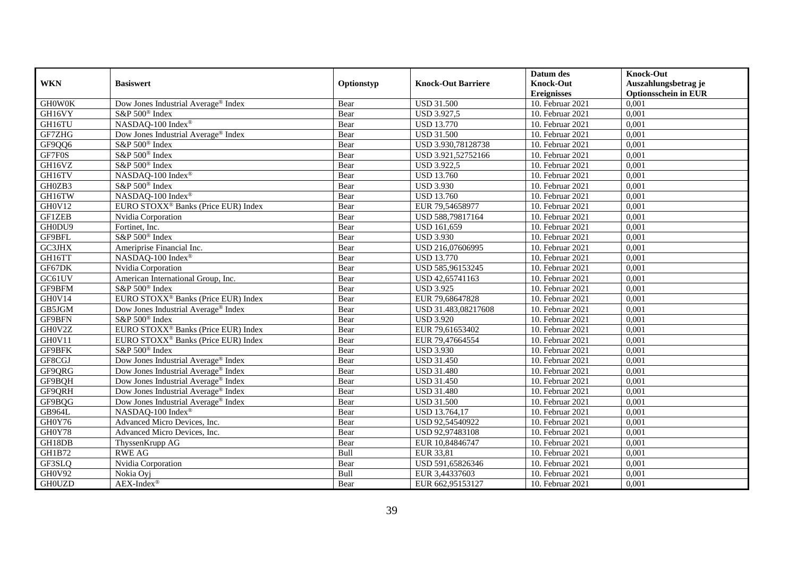|               |                                                 |            |                           | Datum des          | <b>Knock-Out</b>            |
|---------------|-------------------------------------------------|------------|---------------------------|--------------------|-----------------------------|
| <b>WKN</b>    | <b>Basiswert</b>                                | Optionstyp | <b>Knock-Out Barriere</b> | <b>Knock-Out</b>   | Auszahlungsbetrag je        |
|               |                                                 |            |                           | <b>Ereignisses</b> | <b>Optionsschein in EUR</b> |
| <b>GHOWOK</b> | Dow Jones Industrial Average® Index             | Bear       | <b>USD 31.500</b>         | 10. Februar 2021   | 0,001                       |
| GH16VY        | S&P 500 <sup>®</sup> Index                      | Bear       | <b>USD 3.927,5</b>        | 10. Februar 2021   | 0,001                       |
| GH16TU        | NASDAQ-100 Index®                               | Bear       | <b>USD 13.770</b>         | 10. Februar 2021   | 0,001                       |
| GF7ZHG        | Dow Jones Industrial Average® Index             | Bear       | <b>USD 31.500</b>         | 10. Februar 2021   | 0,001                       |
| GF9QQ6        | S&P 500 <sup>®</sup> Index                      | Bear       | USD 3.930,78128738        | 10. Februar 2021   | 0,001                       |
| GF7F0S        | S&P 500 <sup>®</sup> Index                      | Bear       | USD 3.921,52752166        | 10. Februar 2021   | 0,001                       |
| GH16VZ        | S&P 500 <sup>®</sup> Index                      | Bear       | <b>USD 3.922,5</b>        | 10. Februar 2021   | 0,001                       |
| GH16TV        | NASDAQ-100 Index®                               | Bear       | <b>USD 13.760</b>         | 10. Februar 2021   | 0,001                       |
| GH0ZB3        | S&P 500 <sup>®</sup> Index                      | Bear       | <b>USD 3.930</b>          | 10. Februar 2021   | 0,001                       |
| GH16TW        | NASDAQ-100 Index®                               | Bear       | <b>USD 13.760</b>         | 10. Februar 2021   | 0,001                       |
| GH0V12        | EURO STOXX <sup>®</sup> Banks (Price EUR) Index | Bear       | EUR 79,54658977           | 10. Februar 2021   | 0,001                       |
| GF1ZEB        | Nvidia Corporation                              | Bear       | USD 588,79817164          | 10. Februar 2021   | 0,001                       |
| GH0DU9        | Fortinet, Inc.                                  | Bear       | <b>USD 161,659</b>        | 10. Februar 2021   | 0,001                       |
| GF9BFL        | S&P 500 <sup>®</sup> Index                      | Bear       | <b>USD 3.930</b>          | 10. Februar 2021   | 0,001                       |
| GC3JHX        | Ameriprise Financial Inc.                       | Bear       | USD 216,07606995          | 10. Februar 2021   | 0,001                       |
| GH16TT        | NASDAQ-100 Index®                               | Bear       | <b>USD 13.770</b>         | 10. Februar 2021   | 0,001                       |
| GF67DK        | Nvidia Corporation                              | Bear       | USD 585,96153245          | 10. Februar 2021   | 0,001                       |
| GC61UV        | American International Group, Inc.              | Bear       | USD 42,65741163           | $10.$ Februar 2021 | 0,001                       |
| GF9BFM        | $S\&P 500^{\circ}$ Index                        | Bear       | <b>USD 3.925</b>          | 10. Februar 2021   | 0,001                       |
| GH0V14        | EURO STOXX <sup>®</sup> Banks (Price EUR) Index | Bear       | EUR 79,68647828           | 10. Februar 2021   | 0,001                       |
| GB5JGM        | Dow Jones Industrial Average® Index             | Bear       | USD 31.483,08217608       | 10. Februar 2021   | 0,001                       |
| GF9BFN        | S&P 500 <sup>®</sup> Index                      | Bear       | <b>USD 3.920</b>          | 10. Februar 2021   | 0,001                       |
| GH0V2Z        | EURO STOXX <sup>®</sup> Banks (Price EUR) Index | Bear       | EUR 79,61653402           | 10. Februar 2021   | 0,001                       |
| GH0V11        | EURO STOXX <sup>®</sup> Banks (Price EUR) Index | Bear       | EUR 79,47664554           | 10. Februar 2021   | 0,001                       |
| GF9BFK        | S&P 500 <sup>®</sup> Index                      | Bear       | <b>USD 3.930</b>          | 10. Februar 2021   | 0,001                       |
| GF8CGJ        | Dow Jones Industrial Average <sup>®</sup> Index | Bear       | <b>USD 31.450</b>         | 10. Februar 2021   | 0,001                       |
| GF9QRG        | Dow Jones Industrial Average® Index             | Bear       | <b>USD 31.480</b>         | 10. Februar 2021   | 0,001                       |
| GF9BQH        | Dow Jones Industrial Average <sup>®</sup> Index | Bear       | <b>USD 31.450</b>         | $10.$ Februar 2021 | 0,001                       |
| GF9QRH        | Dow Jones Industrial Average® Index             | Bear       | <b>USD 31.480</b>         | 10. Februar 2021   | 0,001                       |
| GF9BQG        | Dow Jones Industrial Average <sup>®</sup> Index | Bear       | <b>USD 31.500</b>         | 10. Februar 2021   | 0,001                       |
| GB964L        | NASDAQ-100 Index®                               | Bear       | USD 13.764,17             | 10. Februar 2021   | 0,001                       |
| GH0Y76        | Advanced Micro Devices, Inc.                    | Bear       | USD 92,54540922           | 10. Februar 2021   | 0,001                       |
| GH0Y78        | Advanced Micro Devices, Inc.                    | Bear       | USD 92,97483108           | 10. Februar 2021   | 0,001                       |
| GH18DB        | ThyssenKrupp AG                                 | Bear       | EUR 10,84846747           | 10. Februar 2021   | 0,001                       |
| GH1B72        | <b>RWE AG</b>                                   | Bull       | EUR 33,81                 | 10. Februar 2021   | 0,001                       |
| GF3SLQ        | Nvidia Corporation                              | Bear       | USD 591,65826346          | 10. Februar 2021   | 0,001                       |
| GH0V92        | Nokia Oyj                                       | Bull       | EUR 3,44337603            | 10. Februar 2021   | 0,001                       |
| <b>GH0UZD</b> | $AEX-Index^{\circledR}$                         | Bear       | EUR 662,95153127          | 10. Februar 2021   | 0,001                       |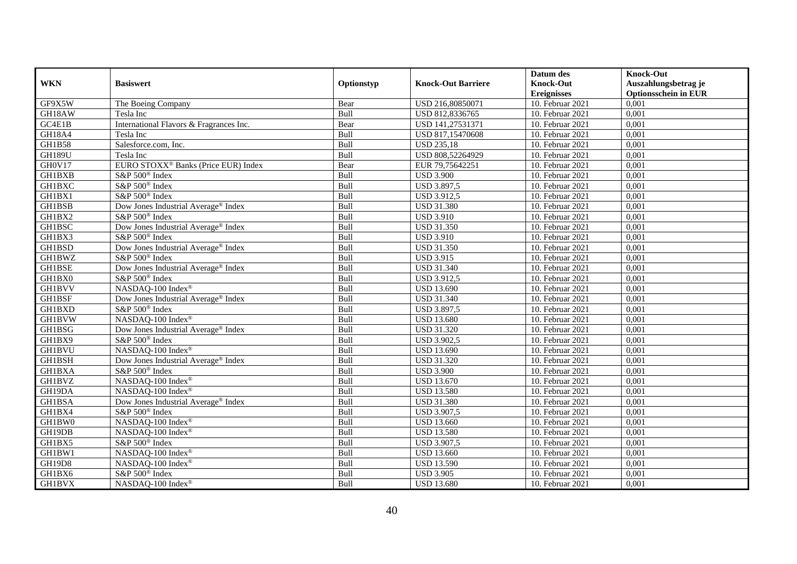|               |                                                 |            |                           | Datum des          | <b>Knock-Out</b>            |
|---------------|-------------------------------------------------|------------|---------------------------|--------------------|-----------------------------|
| <b>WKN</b>    | <b>Basiswert</b>                                | Optionstyp | <b>Knock-Out Barriere</b> | <b>Knock-Out</b>   | Auszahlungsbetrag je        |
|               |                                                 |            |                           | <b>Ereignisses</b> | <b>Optionsschein in EUR</b> |
| GF9X5W        | The Boeing Company                              | Bear       | USD 216,80850071          | 10. Februar 2021   | 0,001                       |
| GH18AW        | Tesla Inc                                       | Bull       | USD 812,8336765           | 10. Februar 2021   | 0,001                       |
| GC4E1B        | International Flavors & Fragrances Inc.         | Bear       | USD 141,27531371          | 10. Februar 2021   | 0,001                       |
| <b>GH18A4</b> | Tesla Inc                                       | Bull       | USD 817,15470608          | 10. Februar 2021   | 0,001                       |
| <b>GH1B58</b> | Salesforce.com, Inc.                            | Bull       | <b>USD 235,18</b>         | 10. Februar 2021   | 0,001                       |
| <b>GH189U</b> | Tesla Inc                                       | Bull       | USD 808,52264929          | $10.$ Februar 2021 | 0,001                       |
| GH0V17        | EURO STOXX <sup>®</sup> Banks (Price EUR) Index | Bear       | EUR 79,75642251           | 10. Februar 2021   | 0,001                       |
| <b>GH1BXB</b> | S&P 500 <sup>®</sup> Index                      | Bull       | <b>USD 3.900</b>          | $10.$ Februar 2021 | 0,001                       |
| <b>GH1BXC</b> | S&P 500 <sup>®</sup> Index                      | Bull       | <b>USD 3.897,5</b>        | 10. Februar 2021   | 0,001                       |
| GH1BX1        | S&P 500 <sup>®</sup> Index                      | Bull       | <b>USD 3.912,5</b>        | 10. Februar 2021   | 0,001                       |
| <b>GH1BSB</b> | Dow Jones Industrial Average® Index             | Bull       | <b>USD 31.380</b>         | 10. Februar 2021   | 0,001                       |
| GH1BX2        | S&P 500 <sup>®</sup> Index                      | Bull       | <b>USD 3.910</b>          | 10. Februar 2021   | 0,001                       |
| GH1BSC        | Dow Jones Industrial Average® Index             | Bull       | <b>USD 31.350</b>         | 10. Februar 2021   | 0,001                       |
| GH1BX3        | S&P 500 <sup>®</sup> Index                      | Bull       | <b>USD 3.910</b>          | 10. Februar 2021   | 0,001                       |
| GH1BSD        | Dow Jones Industrial Average <sup>®</sup> Index | Bull       | <b>USD 31.350</b>         | 10. Februar 2021   | 0,001                       |
| GH1BWZ        | S&P 500 <sup>®</sup> Index                      | Bull       | <b>USD 3.915</b>          | 10. Februar 2021   | 0,001                       |
| GH1BSE        | Dow Jones Industrial Average <sup>®</sup> Index | Bull       | <b>USD 31.340</b>         | 10. Februar 2021   | 0,001                       |
| GH1BX0        | S&P 500 <sup>®</sup> Index                      | Bull       | <b>USD 3.912,5</b>        | 10. Februar 2021   | 0,001                       |
| <b>GH1BVV</b> | NASDAQ-100 Index®                               | Bull       | <b>USD 13.690</b>         | 10. Februar 2021   | 0,001                       |
| <b>GH1BSF</b> | Dow Jones Industrial Average® Index             | Bull       | <b>USD 31.340</b>         | 10. Februar 2021   | 0,001                       |
| GH1BXD        | S&P 500 <sup>®</sup> Index                      | Bull       | <b>USD 3.897,5</b>        | 10. Februar 2021   | 0,001                       |
| <b>GH1BVW</b> | NASDAQ-100 Index®                               | Bull       | <b>USD 13.680</b>         | 10. Februar 2021   | 0,001                       |
| GH1BSG        | Dow Jones Industrial Average® Index             | Bull       | <b>USD 31.320</b>         | $10.$ Februar 2021 | 0,001                       |
| GH1BX9        | S&P 500 <sup>®</sup> Index                      | Bull       | <b>USD 3.902,5</b>        | 10. Februar 2021   | 0,001                       |
| <b>GH1BVU</b> | NASDAQ-100 Index®                               | Bull       | <b>USD 13.690</b>         | 10. Februar 2021   | 0,001                       |
| GH1BSH        | Dow Jones Industrial Average <sup>®</sup> Index | Bull       | <b>USD 31.320</b>         | 10. Februar 2021   | 0,001                       |
| <b>GH1BXA</b> | S&P 500 <sup>®</sup> Index                      | Bull       | <b>USD 3.900</b>          | 10. Februar 2021   | 0,001                       |
| <b>GH1BVZ</b> | NASDAQ-100 Index®                               | Bull       | <b>USD 13.670</b>         | $10.$ Februar 2021 | 0,001                       |
| GH19DA        | NASDAQ-100 Index®                               | Bull       | <b>USD 13.580</b>         | 10. Februar 2021   | 0,001                       |
| <b>GH1BSA</b> | Dow Jones Industrial Average <sup>®</sup> Index | Bull       | <b>USD 31.380</b>         | 10. Februar 2021   | 0,001                       |
| GH1BX4        | S&P 500 <sup>®</sup> Index                      | Bull       | USD 3.907,5               | 10. Februar 2021   | 0,001                       |
| GH1BW0        | NASDAQ-100 Index®                               | Bull       | <b>USD 13.660</b>         | 10. Februar 2021   | 0,001                       |
| GH19DB        | NASDAQ-100 Index®                               | Bull       | <b>USD 13.580</b>         | 10. Februar 2021   | 0,001                       |
| GH1BX5        | S&P 500 <sup>®</sup> Index                      | Bull       | <b>USD 3.907,5</b>        | 10. Februar 2021   | 0,001                       |
| GH1BW1        | NASDAQ-100 Index®                               | Bull       | <b>USD 13.660</b>         | 10. Februar 2021   | 0,001                       |
| GH19D8        | NASDAQ-100 Index®                               | Bull       | <b>USD 13.590</b>         | 10. Februar 2021   | 0,001                       |
| GH1BX6        | S&P 500 <sup>®</sup> Index                      | Bull       | <b>USD 3.905</b>          | 10. Februar 2021   | 0,001                       |
| <b>GH1BVX</b> | NASDAQ-100 Index®                               | Bull       | <b>USD 13.680</b>         | 10. Februar 2021   | 0,001                       |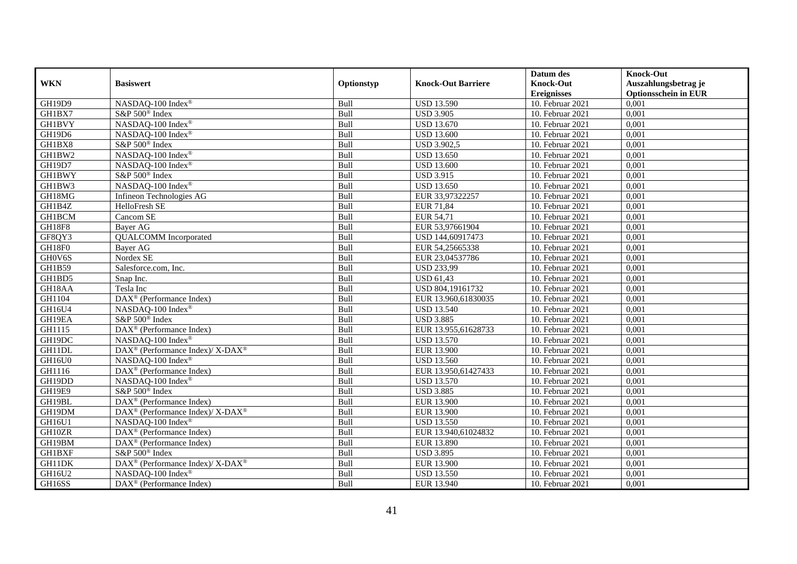|               |                                                          |             |                           | Datum des          | <b>Knock-Out</b>            |
|---------------|----------------------------------------------------------|-------------|---------------------------|--------------------|-----------------------------|
| <b>WKN</b>    | <b>Basiswert</b>                                         | Optionstyp  | <b>Knock-Out Barriere</b> | <b>Knock-Out</b>   | Auszahlungsbetrag je        |
|               |                                                          |             |                           | <b>Ereignisses</b> | <b>Optionsschein in EUR</b> |
| GH19D9        | NASDAQ-100 Index®                                        | Bull        | <b>USD 13.590</b>         | 10. Februar 2021   | 0,001                       |
| GH1BX7        | S&P 500 <sup>®</sup> Index                               | Bull        | <b>USD 3.905</b>          | 10. Februar 2021   | 0,001                       |
| <b>GH1BVY</b> | NASDAQ-100 Index®                                        | Bull        | <b>USD 13.670</b>         | 10. Februar 2021   | 0,001                       |
| GH19D6        | NASDAQ-100 Index®                                        | Bull        | <b>USD 13.600</b>         | 10. Februar 2021   | 0,001                       |
| GH1BX8        | S&P 500 <sup>®</sup> Index                               | Bull        | <b>USD 3.902,5</b>        | 10. Februar 2021   | 0,001                       |
| GH1BW2        | NASDAQ-100 Index®                                        | Bull        | <b>USD 13.650</b>         | 10. Februar 2021   | 0,001                       |
| GH19D7        | NASDAQ-100 Index®                                        | Bull        | <b>USD 13.600</b>         | 10. Februar 2021   | 0,001                       |
| <b>GH1BWY</b> | S&P 500 <sup>®</sup> Index                               | Bull        | <b>USD 3.915</b>          | 10. Februar 2021   | 0,001                       |
| GH1BW3        | NASDAQ-100 Index®                                        | Bull        | <b>USD 13.650</b>         | 10. Februar 2021   | 0,001                       |
| GH18MG        | Infineon Technologies AG                                 | Bull        | EUR 33,97322257           | 10. Februar 2021   | 0,001                       |
| GH1B4Z        | HelloFresh SE                                            | Bull        | EUR 71,84                 | 10. Februar 2021   | 0,001                       |
| <b>GH1BCM</b> | Cancom SE                                                | Bull        | EUR 54,71                 | 10. Februar 2021   | 0,001                       |
| <b>GH18F8</b> | Bayer AG                                                 | Bull        | EUR 53,97661904           | 10. Februar 2021   | 0,001                       |
| GF8QY3        | <b>QUALCOMM</b> Incorporated                             | Bull        | USD 144,60917473          | 10. Februar 2021   | 0,001                       |
| GH18F0        | Bayer AG                                                 | Bull        | EUR 54,25665338           | 10. Februar 2021   | 0,001                       |
| GH0V6S        | Nordex SE                                                | Bull        | EUR 23,04537786           | 10. Februar 2021   | 0,001                       |
| GH1B59        | Salesforce.com, Inc.                                     | Bull        | <b>USD 233,99</b>         | 10. Februar 2021   | 0,001                       |
| GH1BD5        | Snap Inc.                                                | <b>Bull</b> | <b>USD 61.43</b>          | 10. Februar 2021   | 0,001                       |
| GH18AA        | Tesla Inc                                                | Bull        | USD 804,19161732          | 10. Februar 2021   | 0,001                       |
| GH1104        | $DAX^{\circledR}$ (Performance Index)                    | Bull        | EUR 13.960,61830035       | 10. Februar 2021   | 0,001                       |
| GH16U4        | NASDAQ-100 Index®                                        | Bull        | <b>USD 13.540</b>         | 10. Februar 2021   | 0,001                       |
| GH19EA        | S&P 500 <sup>®</sup> Index                               | Bull        | <b>USD 3.885</b>          | 10. Februar 2021   | 0,001                       |
| GH1115        | DAX <sup>®</sup> (Performance Index)                     | Bull        | EUR 13.955,61628733       | $10.$ Februar 2021 | 0,001                       |
| GH19DC        | NASDAQ-100 Index®                                        | Bull        | <b>USD 13.570</b>         | 10. Februar 2021   | 0,001                       |
| GH11DL        | DAX <sup>®</sup> (Performance Index)/ X-DAX <sup>®</sup> | Bull        | <b>EUR 13.900</b>         | 10. Februar 2021   | 0,001                       |
| GH16U0        | NASDAQ-100 Index®                                        | Bull        | <b>USD 13.560</b>         | 10. Februar 2021   | 0,001                       |
| GH1116        | DAX <sup>®</sup> (Performance Index)                     | Bull        | EUR 13.950,61427433       | 10. Februar 2021   | 0,001                       |
| GH19DD        | NASDAQ-100 Index®                                        | Bull        | <b>USD 13.570</b>         | 10. Februar 2021   | 0,001                       |
| <b>GH19E9</b> | S&P 500 <sup>®</sup> Index                               | Bull        | <b>USD 3.885</b>          | 10. Februar 2021   | 0,001                       |
| GH19BL        | $\text{DAX}^{\circledast}$ (Performance Index)           | Bull        | <b>EUR 13.900</b>         | 10. Februar 2021   | 0,001                       |
| GH19DM        | DAX <sup>®</sup> (Performance Index)/ X-DAX <sup>®</sup> | Bull        | <b>EUR 13.900</b>         | 10. Februar 2021   | 0,001                       |
| GH16U1        | NASDAQ-100 Index®                                        | Bull        | <b>USD 13.550</b>         | 10. Februar 2021   | 0,001                       |
| GH10ZR        | DAX <sup>®</sup> (Performance Index)                     | Bull        | EUR 13.940,61024832       | 10. Februar 2021   | 0,001                       |
| GH19BM        | $\text{DAX}^{\textcircled{}}$ (Performance Index)        | Bull        | EUR 13.890                | $10.$ Februar 2021 | 0,001                       |
| <b>GH1BXF</b> | S&P 500 <sup>®</sup> Index                               | Bull        | <b>USD 3.895</b>          | 10. Februar 2021   | 0,001                       |
| GH11DK        | DAX <sup>®</sup> (Performance Index)/ X-DAX <sup>®</sup> | Bull        | <b>EUR 13.900</b>         | 10. Februar 2021   | 0,001                       |
| GH16U2        | NASDAQ-100 Index®                                        | Bull        | <b>USD 13.550</b>         | 10. Februar 2021   | 0,001                       |
| GH16SS        | $\overline{\text{DAX}^{\otimes}}$ (Performance Index)    | Bull        | EUR 13.940                | 10. Februar 2021   | 0,001                       |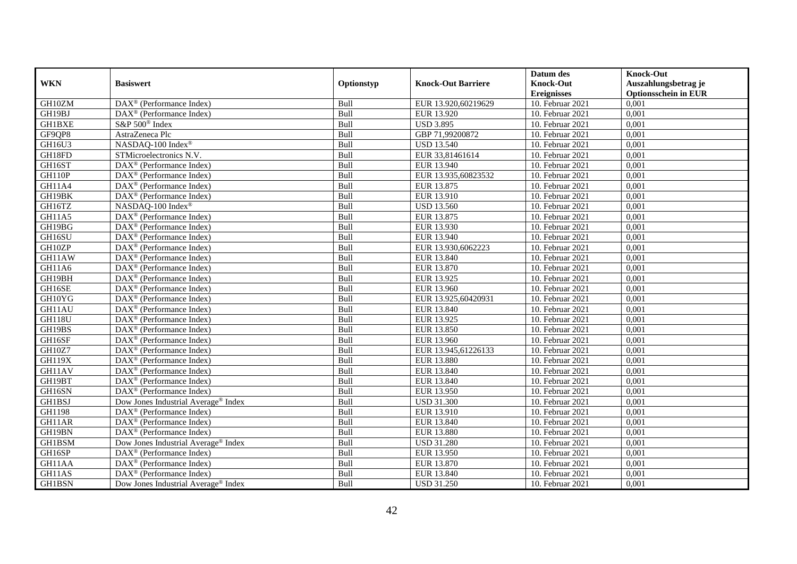|               |                                                         |             |                           | Datum des          | <b>Knock-Out</b>            |
|---------------|---------------------------------------------------------|-------------|---------------------------|--------------------|-----------------------------|
| <b>WKN</b>    | <b>Basiswert</b>                                        | Optionstyp  | <b>Knock-Out Barriere</b> | <b>Knock-Out</b>   | Auszahlungsbetrag je        |
|               |                                                         |             |                           | <b>Ereignisses</b> | <b>Optionsschein in EUR</b> |
| GH10ZM        | $\overline{\text{DAX}^{\otimes}}$ (Performance Index)   | Bull        | EUR 13.920,60219629       | 10. Februar 2021   | 0,001                       |
| GH19BJ        | $DAX^{\circledR}$ (Performance Index)                   | Bull        | EUR 13.920                | 10. Februar 2021   | 0,001                       |
| <b>GH1BXE</b> | S&P 500 <sup>®</sup> Index                              | Bull        | <b>USD 3.895</b>          | 10. Februar 2021   | 0,001                       |
| GF9QP8        | AstraZeneca Plc                                         | Bull        | GBP 71,99200872           | 10. Februar 2021   | 0,001                       |
| GH16U3        | NASDAQ-100 Index®                                       | Bull        | <b>USD 13.540</b>         | 10. Februar 2021   | 0,001                       |
| GH18FD        | STMicroelectronics N.V.                                 | Bull        | EUR 33,81461614           | 10. Februar 2021   | 0,001                       |
| GH16ST        | $DAX^{\circledast}$ (Performance Index)                 | Bull        | EUR 13.940                | 10. Februar 2021   | 0,001                       |
| <b>GH110P</b> | $DAX^{\circledast}$ (Performance Index)                 | Bull        | EUR 13.935,60823532       | 10. Februar 2021   | 0,001                       |
| GH11A4        | $\text{DAX}^{\textcircled{}}$ (Performance Index)       | Bull        | EUR 13.875                | 10. Februar 2021   | 0,001                       |
| GH19BK        | DAX <sup>®</sup> (Performance Index)                    | Bull        | EUR 13.910                | 10. Februar 2021   | 0,001                       |
| GH16TZ        | NASDAQ-100 Index®                                       | Bull        | <b>USD 13.560</b>         | 10. Februar 2021   | 0,001                       |
| GH11A5        | DAX <sup>®</sup> (Performance Index)                    | Bull        | EUR 13.875                | 10. Februar 2021   | 0,001                       |
| GH19BG        | $DAX^{\circledast}$ (Performance Index)                 | Bull        | EUR 13.930                | 10. Februar 2021   | 0,001                       |
| GH16SU        | DAX <sup>®</sup> (Performance Index)                    | Bull        | EUR 13.940                | 10. Februar 2021   | 0,001                       |
| GH10ZP        | DAX <sup>®</sup> (Performance Index)                    | Bull        | EUR 13.930,6062223        | 10. Februar 2021   | 0,001                       |
| GH11AW        | DAX <sup>®</sup> (Performance Index)                    | Bull        | EUR 13.840                | 10. Februar 2021   | 0,001                       |
| GH11A6        | $\text{DAX}^{\textcircled{}}$ (Performance Index)       | Bull        | EUR 13.870                | 10. Februar 2021   | 0,001                       |
| GH19BH        | $\overline{\text{DAX}}^{\textcirc}$ (Performance Index) | <b>Bull</b> | EUR 13.925                | 10. Februar 2021   | 0,001                       |
| GH16SE        | DAX <sup>®</sup> (Performance Index)                    | Bull        | EUR 13.960                | 10. Februar 2021   | 0,001                       |
| GH10YG        | $\overline{\text{DAX}}^{\textcirc}$ (Performance Index) | Bull        | EUR 13.925,60420931       | 10. Februar 2021   | 0,001                       |
| GH11AU        | $DAX^{\circledR}$ (Performance Index)                   | Bull        | EUR 13.840                | 10. Februar 2021   | 0,001                       |
| <b>GH118U</b> | $\overline{\text{DAX}^{\otimes}}$ (Performance Index)   | Bull        | EUR 13.925                | 10. Februar 2021   | 0,001                       |
| GH19BS        | $\text{DAX}^{\textcircled{}}$ (Performance Index)       | Bull        | EUR 13.850                | 10. Februar 2021   | 0,001                       |
| GH16SF        | DAX <sup>®</sup> (Performance Index)                    | Bull        | <b>EUR 13.960</b>         | 10. Februar 2021   | 0,001                       |
| GH10Z7        | $DAX^{\circledR}$ (Performance Index)                   | Bull        | EUR 13.945,61226133       | 10. Februar 2021   | 0,001                       |
| <b>GH119X</b> | $DAX^{\circledast}$ (Performance Index)                 | Bull        | <b>EUR 13.880</b>         | 10. Februar 2021   | 0,001                       |
| GH11AV        | $\text{DAX}^{\otimes}$ (Performance Index)              | Bull        | EUR 13.840                | 10. Februar 2021   | 0,001                       |
| GH19BT        | $DAX^{\circledR}$ (Performance Index)                   | Bull        | EUR 13.840                | $10.$ Februar 2021 | 0,001                       |
| GH16SN        | $DAX^{\circledR}$ (Performance Index)                   | Bull        | EUR 13.950                | 10. Februar 2021   | 0,001                       |
| <b>GH1BSJ</b> | Dow Jones Industrial Average® Index                     | Bull        | <b>USD 31.300</b>         | 10. Februar 2021   | 0,001                       |
| GH1198        | DAX <sup>®</sup> (Performance Index)                    | Bull        | EUR 13.910                | 10. Februar 2021   | 0,001                       |
| GH11AR        | DAX <sup>®</sup> (Performance Index)                    | Bull        | EUR 13.840                | 10. Februar 2021   | 0,001                       |
| GH19BN        | $\overline{\text{DAX}^{\otimes}}$ (Performance Index)   | Bull        | <b>EUR 13.880</b>         | 10. Februar 2021   | 0,001                       |
| GH1BSM        | Dow Jones Industrial Average® Index                     | Bull        | <b>USD 31.280</b>         | 10. Februar 2021   | 0,001                       |
| GH16SP        | $\text{DAX}^{\circledast}$ (Performance Index)          | Bull        | EUR 13.950                | 10. Februar 2021   | 0,001                       |
| GH11AA        | DAX <sup>®</sup> (Performance Index)                    | Bull        | EUR 13.870                | 10. Februar 2021   | 0,001                       |
| GH11AS        | $DAX^{\circledast}$ (Performance Index)                 | Bull        | EUR 13.840                | 10. Februar 2021   | 0,001                       |
| GH1BSN        | Dow Jones Industrial Average® Index                     | Bull        | <b>USD 31.250</b>         | 10. Februar 2021   | 0,001                       |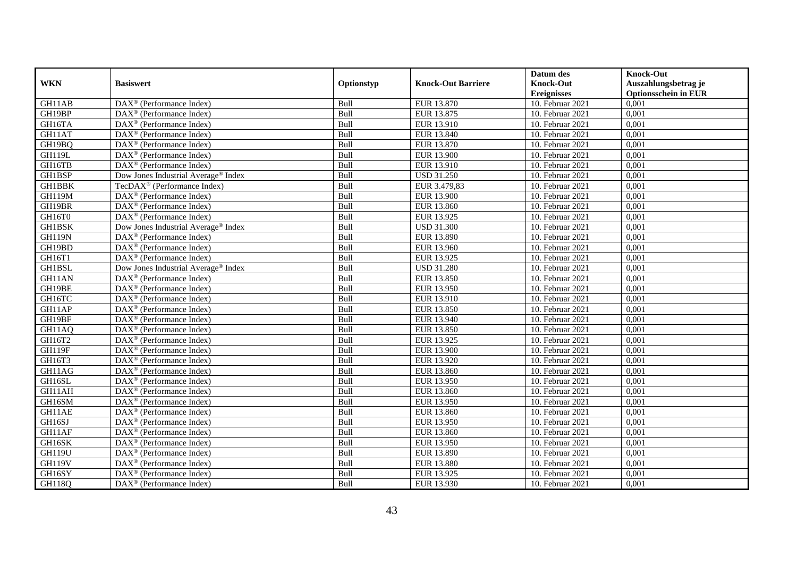|               |                                                              |            |                           | Datum des          | <b>Knock-Out</b>            |
|---------------|--------------------------------------------------------------|------------|---------------------------|--------------------|-----------------------------|
| <b>WKN</b>    | <b>Basiswert</b>                                             | Optionstyp | <b>Knock-Out Barriere</b> | <b>Knock-Out</b>   | Auszahlungsbetrag je        |
|               |                                                              |            |                           | <b>Ereignisses</b> | <b>Optionsschein in EUR</b> |
| GH11AB        | $\overline{\text{DAX}}^{\textcirc}$ (Performance Index)      | Bull       | EUR 13.870                | 10. Februar 2021   | 0,001                       |
| GH19BP        | $\text{DAX}^{\textcircled{p}}$ (Performance Index)           | Bull       | EUR 13.875                | 10. Februar 2021   | 0,001                       |
| GH16TA        | DAX <sup>®</sup> (Performance Index)                         | Bull       | EUR 13.910                | 10. Februar 2021   | 0,001                       |
| GH11AT        | $\text{DAX}^{\otimes}$ (Performance Index)                   | Bull       | EUR 13.840                | 10. Februar 2021   | 0,001                       |
| GH19BQ        | DAX <sup>®</sup> (Performance Index)                         | Bull       | EUR 13.870                | 10. Februar 2021   | 0,001                       |
| <b>GH119L</b> | $\text{DAX}^{\textcircled{n}}$ (Performance Index)           | Bull       | EUR 13.900                | 10. Februar 2021   | 0,001                       |
| GH16TB        | $\text{DAX}^{\textcircled{n}}$ (Performance Index)           | Bull       | EUR 13.910                | 10. Februar 2021   | 0,001                       |
| GH1BSP        | Dow Jones Industrial Average <sup>®</sup> Index              | Bull       | <b>USD 31.250</b>         | 10. Februar 2021   | 0,001                       |
| <b>GH1BBK</b> | TecDAX <sup>®</sup> (Performance Index)                      | Bull       | EUR 3.479,83              | 10. Februar 2021   | 0,001                       |
| <b>GH119M</b> | DAX <sup>®</sup> (Performance Index)                         | Bull       | <b>EUR 13.900</b>         | 10. Februar 2021   | 0,001                       |
| GH19BR        | $\overline{\text{DAX}}^{\textcirc}$ (Performance Index)      | Bull       | EUR 13.860                | 10. Februar 2021   | 0,001                       |
| GH16T0        | $\overline{\text{DAX}^{\otimes}}$ (Performance Index)        | Bull       | EUR 13.925                | 10. Februar 2021   | 0,001                       |
| GH1BSK        | Dow Jones Industrial Average <sup>®</sup> Index              | Bull       | <b>USD 31.300</b>         | 10. Februar 2021   | 0,001                       |
| <b>GH119N</b> | DAX <sup>®</sup> (Performance Index)                         | Bull       | <b>EUR 13.890</b>         | 10. Februar 2021   | 0,001                       |
| GH19BD        | $\text{DAX}^{\otimes}$ (Performance Index)                   | Bull       | EUR 13.960                | 10. Februar 2021   | 0,001                       |
| GH16T1        | DAX <sup>®</sup> (Performance Index)                         | Bull       | EUR 13.925                | 10. Februar 2021   | 0,001                       |
| GH1BSL        | Dow Jones Industrial Average® Index                          | Bull       | <b>USD 31.280</b>         | 10. Februar 2021   | 0,001                       |
| GH11AN        | $DAX^{\circledR}$ (Performance Index)                        | Bull       | EUR 13.850                | 10. Februar 2021   | 0,001                       |
| GH19BE        | $\overline{\text{DAX}}^{\textcircled{}}$ (Performance Index) | Bull       | <b>EUR 13.950</b>         | 10. Februar 2021   | 0,001                       |
| GH16TC        | DAX <sup>®</sup> (Performance Index)                         | Bull       | EUR 13.910                | 10. Februar 2021   | 0,001                       |
| GH11AP        | DAX <sup>®</sup> (Performance Index)                         | Bull       | EUR 13.850                | 10. Februar 2021   | 0,001                       |
| GH19BF        | $\overline{\text{DAX}^{\otimes}}$ (Performance Index)        | Bull       | EUR 13.940                | 10. Februar 2021   | 0,001                       |
| GH11AQ        | $\overline{\text{DAX}}^{\textcirc}$ (Performance Index)      | Bull       | EUR 13.850                | $10.$ Februar 2021 | 0,001                       |
| GH16T2        | DAX <sup>®</sup> (Performance Index)                         | Bull       | EUR 13.925                | 10. Februar 2021   | 0,001                       |
| GH119F        | DAX <sup>®</sup> (Performance Index)                         | Bull       | EUR 13.900                | 10. Februar 2021   | 0,001                       |
| GH16T3        | $\text{DAX}^{\otimes}$ (Performance Index)                   | Bull       | EUR 13.920                | 10. Februar 2021   | 0,001                       |
| GH11AG        | $\text{DAX}^{\circledast}$ (Performance Index)               | Bull       | EUR 13.860                | 10. Februar 2021   | 0,001                       |
| GH16SL        | $\text{DAX}^{\textcircled{p}}$ (Performance Index)           | Bull       | EUR 13.950                | $10.$ Februar 2021 | 0,001                       |
| GH11AH        | $\text{DAX}^{\textcircled{p}}$ (Performance Index)           | Bull       | EUR 13.860                | 10. Februar 2021   | 0,001                       |
| GH16SM        | $DAX^{\otimes}$ (Performance Index)                          | Bull       | EUR 13.950                | 10. Februar 2021   | 0,001                       |
| GH11AE        | DAX <sup>®</sup> (Performance Index)                         | Bull       | EUR 13.860                | 10. Februar 2021   | 0,001                       |
| GH16SJ        | DAX <sup>®</sup> (Performance Index)                         | Bull       | EUR 13.950                | 10. Februar 2021   | 0,001                       |
| GH11AF        | $\overline{\text{DAX}^{\otimes}}$ (Performance Index)        | Bull       | EUR 13.860                | 10. Februar 2021   | 0,001                       |
| GH16SK        | DAX <sup>®</sup> (Performance Index)                         | Bull       | EUR 13.950                | $10.$ Februar 2021 | 0,001                       |
| <b>GH119U</b> | $\text{DAX}^{\textcircled{n}}$ (Performance Index)           | Bull       | EUR 13.890                | 10. Februar 2021   | 0,001                       |
| <b>GH119V</b> | $\text{DAX}^{\textcircled{n}}$ (Performance Index)           | Bull       | EUR 13.880                | 10. Februar 2021   | 0,001                       |
| GH16SY        | $\text{DAX}^{\otimes}$ (Performance Index)                   | Bull       | EUR 13.925                | 10. Februar 2021   | 0,001                       |
| <b>GH118Q</b> | $\overline{\text{DAX}}^{\textcirc}$ (Performance Index)      | Bull       | EUR 13.930                | 10. Februar 2021   | 0,001                       |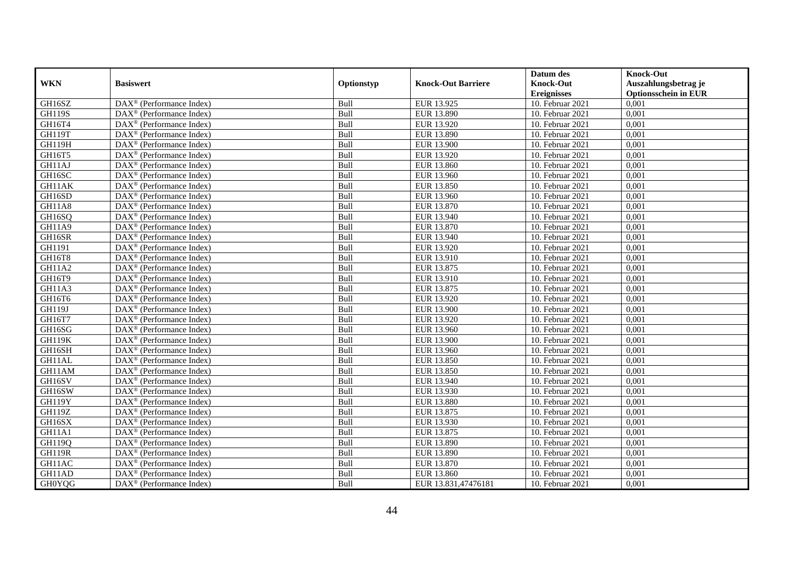|               |                                                              |            |                           | Datum des          | <b>Knock-Out</b>            |
|---------------|--------------------------------------------------------------|------------|---------------------------|--------------------|-----------------------------|
| <b>WKN</b>    | <b>Basiswert</b>                                             | Optionstyp | <b>Knock-Out Barriere</b> | <b>Knock-Out</b>   | Auszahlungsbetrag je        |
|               |                                                              |            |                           | <b>Ereignisses</b> | <b>Optionsschein in EUR</b> |
| GH16SZ        | DAX <sup>®</sup> (Performance Index)                         | Bull       | EUR 13.925                | 10. Februar 2021   | 0,001                       |
| <b>GH119S</b> | DAX <sup>®</sup> (Performance Index)                         | Bull       | EUR 13.890                | 10. Februar 2021   | 0,001                       |
| GH16T4        | DAX <sup>®</sup> (Performance Index)                         | Bull       | EUR 13.920                | 10. Februar 2021   | 0,001                       |
| GH119T        | $\text{DAX}^{\otimes}$ (Performance Index)                   | Bull       | EUR 13.890                | 10. Februar 2021   | 0,001                       |
| <b>GH119H</b> | DAX <sup>®</sup> (Performance Index)                         | Bull       | <b>EUR 13.900</b>         | 10. Februar 2021   | 0,001                       |
| GH16T5        | $\text{DAX}^{\textcircled{n}}$ (Performance Index)           | Bull       | EUR 13.920                | 10. Februar 2021   | 0,001                       |
| GH11AJ        | $\text{DAX}^{\textcircled{n}}$ (Performance Index)           | Bull       | EUR 13.860                | 10. Februar 2021   | 0,001                       |
| GH16SC        | $\text{DAX}^{\textcircled{}}$ (Performance Index)            | Bull       | EUR 13.960                | 10. Februar 2021   | 0,001                       |
| GH11AK        | $\text{DAX}^{\textcircled{D}}$ (Performance Index)           | Bull       | <b>EUR 13.850</b>         | 10. Februar 2021   | 0,001                       |
| GH16SD        | $DAX^{\otimes}$ (Performance Index)                          | Bull       | EUR 13.960                | 10. Februar 2021   | 0,001                       |
| GH11A8        | DAX <sup>®</sup> (Performance Index)                         | Bull       | EUR 13.870                | 10. Februar 2021   | 0,001                       |
| GH16SQ        | $\overline{\text{DAX}^{\otimes}}$ (Performance Index)        | Bull       | EUR 13.940                | 10. Februar 2021   | 0,001                       |
| <b>GH11A9</b> | $\text{DAX}^{\textcircled{n}}$ (Performance Index)           | Bull       | EUR 13.870                | 10. Februar 2021   | 0,001                       |
| GH16SR        | DAX <sup>®</sup> (Performance Index)                         | Bull       | EUR 13.940                | 10. Februar 2021   | 0,001                       |
| GH1191        | DAX <sup>®</sup> (Performance Index)                         | Bull       | EUR 13.920                | 10. Februar 2021   | 0,001                       |
| GH16T8        | DAX <sup>®</sup> (Performance Index)                         | Bull       | EUR 13.910                | 10. Februar 2021   | 0,001                       |
| GH11A2        | DAX <sup>®</sup> (Performance Index)                         | Bull       | EUR 13.875                | 10. Februar 2021   | 0,001                       |
| GH16T9        | $\overline{\text{DAX}}^{\textcirc}$ (Performance Index)      | Bull       | EUR 13.910                | 10. Februar 2021   | 0,001                       |
| GH11A3        | DAX <sup>®</sup> (Performance Index)                         | Bull       | EUR 13.875                | 10. Februar 2021   | 0,001                       |
| GH16T6        | DAX <sup>®</sup> (Performance Index)                         | Bull       | EUR 13.920                | 10. Februar 2021   | 0,001                       |
| <b>GH119J</b> | DAX <sup>®</sup> (Performance Index)                         | Bull       | <b>EUR 13.900</b>         | 10. Februar 2021   | 0,001                       |
| GH16T7        | $\overline{\text{DAX}^{\otimes}}$ (Performance Index)        | Bull       | EUR 13.920                | 10. Februar 2021   | 0,001                       |
| GH16SG        | $\text{DAX}^{\circledast}$ (Performance Index)               | Bull       | EUR 13.960                | $10.$ Februar 2021 | 0,001                       |
| <b>GH119K</b> | DAX <sup>®</sup> (Performance Index)                         | Bull       | <b>EUR 13.900</b>         | 10. Februar 2021   | 0,001                       |
| GH16SH        | DAX <sup>®</sup> (Performance Index)                         | Bull       | EUR 13.960                | 10. Februar 2021   | 0,001                       |
| GH11AL        | $\text{DAX}^{\otimes}$ (Performance Index)                   | Bull       | EUR 13.850                | 10. Februar 2021   | 0,001                       |
| GH11AM        | $\text{DAX}^{\circledast}$ (Performance Index)               | Bull       | EUR 13.850                | 10. Februar 2021   | 0,001                       |
| GH16SV        | $DAX^{\circledR}$ (Performance Index)                        | Bull       | EUR 13.940                | $10.$ Februar 2021 | 0,001                       |
| GH16SW        | $\text{DAX}^{\textcircled{D}}$ (Performance Index)           | Bull       | EUR 13.930                | 10. Februar 2021   | 0,001                       |
| <b>GH119Y</b> | $DAX^{\otimes}$ (Performance Index)                          | Bull       | <b>EUR 13.880</b>         | 10. Februar 2021   | 0,001                       |
| GH119Z        | DAX <sup>®</sup> (Performance Index)                         | Bull       | EUR 13.875                | 10. Februar 2021   | 0,001                       |
| GH16SX        | DAX <sup>®</sup> (Performance Index)                         | Bull       | EUR 13.930                | 10. Februar 2021   | 0,001                       |
| GH11A1        | $\overline{\text{DAX}^{\otimes}}$ (Performance Index)        | Bull       | EUR 13.875                | 10. Februar 2021   | 0,001                       |
| GH119Q        | DAX <sup>®</sup> (Performance Index)                         | Bull       | EUR 13.890                | 10. Februar 2021   | 0,001                       |
| <b>GH119R</b> | $\text{DAX}^{\textcircled{n}}$ (Performance Index)           | Bull       | EUR 13.890                | 10. Februar 2021   | 0,001                       |
| GH11AC        | $\text{DAX}^{\textcircled{n}}$ (Performance Index)           | Bull       | EUR 13.870                | 10. Februar 2021   | 0,001                       |
| GH11AD        | $\text{DAX}^{\otimes}$ (Performance Index)                   | Bull       | EUR 13.860                | 10. Februar 2021   | 0,001                       |
| <b>GH0YQG</b> | $\overline{\text{DAX}}^{\textcircled{}}$ (Performance Index) | Bull       | EUR 13.831,47476181       | 10. Februar 2021   | 0,001                       |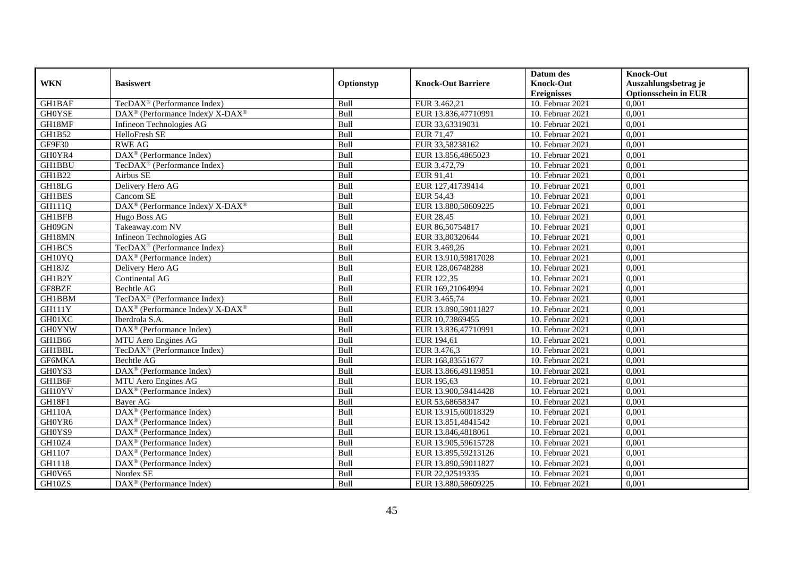|               | <b>Basiswert</b>                                                 | Optionstyp |                           | Datum des          | <b>Knock-Out</b>            |
|---------------|------------------------------------------------------------------|------------|---------------------------|--------------------|-----------------------------|
| <b>WKN</b>    |                                                                  |            | <b>Knock-Out Barriere</b> | <b>Knock-Out</b>   | Auszahlungsbetrag je        |
|               |                                                                  |            |                           | <b>Ereignisses</b> | <b>Optionsschein in EUR</b> |
| GH1BAF        | TecDAX <sup>®</sup> (Performance Index)                          | Bull       | EUR 3.462,21              | 10. Februar 2021   | 0,001                       |
| <b>GHOYSE</b> | $\text{DAX}^{\circledR}$ (Performance Index)/ X-DAX <sup>®</sup> | Bull       | EUR 13.836,47710991       | 10. Februar 2021   | 0,001                       |
| GH18MF        | Infineon Technologies AG                                         | Bull       | EUR 33,63319031           | 10. Februar 2021   | 0,001                       |
| GH1B52        | HelloFresh SE                                                    | Bull       | EUR 71,47                 | 10. Februar 2021   | 0,001                       |
| GF9F30        | <b>RWE AG</b>                                                    | Bull       | EUR 33,58238162           | 10. Februar 2021   | 0,001                       |
| GH0YR4        | DAX <sup>®</sup> (Performance Index)                             | Bull       | EUR 13.856,4865023        | 10. Februar 2021   | 0,001                       |
| <b>GH1BBU</b> | TecDAX <sup>®</sup> (Performance Index)                          | Bull       | EUR 3.472,79              | 10. Februar 2021   | 0,001                       |
| <b>GH1B22</b> | Airbus SE                                                        | Bull       | EUR 91,41                 | 10. Februar 2021   | 0,001                       |
| GH18LG        | Delivery Hero AG                                                 | Bull       | EUR 127,41739414          | 10. Februar 2021   | 0,001                       |
| GH1BES        | Cancom SE                                                        | Bull       | <b>EUR 54,43</b>          | 10. Februar 2021   | 0,001                       |
| GH111Q        | DAX <sup>®</sup> (Performance Index)/ X-DAX <sup>®</sup>         | Bull       | EUR 13.880,58609225       | 10. Februar 2021   | 0,001                       |
| <b>GH1BFB</b> | Hugo Boss AG                                                     | Bull       | <b>EUR 28,45</b>          | 10. Februar 2021   | 0,001                       |
| GH09GN        | Takeaway.com NV                                                  | Bull       | EUR 86,50754817           | 10. Februar 2021   | 0,001                       |
| GH18MN        | Infineon Technologies AG                                         | Bull       | EUR 33,80320644           | 10. Februar 2021   | 0,001                       |
| <b>GH1BCS</b> | TecDAX <sup>®</sup> (Performance Index)                          | Bull       | EUR 3.469,26              | 10. Februar 2021   | 0,001                       |
| GH10YQ        | DAX <sup>®</sup> (Performance Index)                             | Bull       | EUR 13.910,59817028       | 10. Februar 2021   | 0,001                       |
| GH18JZ        | Delivery Hero AG                                                 | Bull       | EUR 128,06748288          | 10. Februar 2021   | 0,001                       |
| GH1B2Y        | Continental AG                                                   | Bull       | EUR 122.35                | $10.$ Februar 2021 | 0,001                       |
| GF8BZE        | Bechtle AG                                                       | Bull       | EUR 169,21064994          | 10. Februar 2021   | 0,001                       |
| GH1BBM        | TecDAX <sup>®</sup> (Performance Index)                          | Bull       | EUR 3.465,74              | 10. Februar 2021   | 0,001                       |
| <b>GH111Y</b> | DAX <sup>®</sup> (Performance Index)/ X-DAX <sup>®</sup>         | Bull       | EUR 13.890,59011827       | 10. Februar 2021   | 0,001                       |
| GH01XC        | Iberdrola S.A.                                                   | Bull       | EUR 10,73869455           | 10. Februar 2021   | 0,001                       |
| <b>GH0YNW</b> | DAX <sup>®</sup> (Performance Index)                             | Bull       | EUR 13.836,47710991       | $10.$ Februar 2021 | 0,001                       |
| <b>GH1B66</b> | MTU Aero Engines AG                                              | Bull       | EUR 194,61                | 10. Februar 2021   | 0,001                       |
| <b>GH1BBL</b> | TecDAX <sup>®</sup> (Performance Index)                          | Bull       | EUR 3.476,3               | 10. Februar 2021   | 0,001                       |
| GF6MKA        | Bechtle AG                                                       | Bull       | EUR 168,83551677          | 10. Februar 2021   | 0,001                       |
| GH0YS3        | DAX <sup>®</sup> (Performance Index)                             | Bull       | EUR 13.866,49119851       | 10. Februar 2021   | 0,001                       |
| GH1B6F        | MTU Aero Engines AG                                              | Bull       | EUR 195,63                | 10. Februar 2021   | 0,001                       |
| GH10YV        | $\overline{\text{DAX}^{\otimes}}$ (Performance Index)            | Bull       | EUR 13.900,59414428       | $10.$ Februar 2021 | 0,001                       |
| GH18F1        | Baver AG                                                         | Bull       | EUR 53,68658347           | 10. Februar 2021   | 0.001                       |
| <b>GH110A</b> | DAX <sup>®</sup> (Performance Index)                             | Bull       | EUR 13.915,60018329       | 10. Februar 2021   | 0,001                       |
| GH0YR6        | DAX <sup>®</sup> (Performance Index)                             | Bull       | EUR 13.851,4841542        | 10. Februar 2021   | 0,001                       |
| GH0YS9        | $\overline{\text{DAX}^{\otimes}}$ (Performance Index)            | Bull       | EUR 13.846,4818061        | 10. Februar 2021   | 0,001                       |
| GH10Z4        | DAX <sup>®</sup> (Performance Index)                             | Bull       | EUR 13.905,59615728       | 10. Februar 2021   | 0,001                       |
| GH1107        | DAX <sup>®</sup> (Performance Index)                             | Bull       | EUR 13.895,59213126       | 10. Februar 2021   | 0,001                       |
| GH1118        | $DAX^{\circledR}$ (Performance Index)                            | Bull       | EUR 13.890,59011827       | 10. Februar 2021   | 0,001                       |
| GH0V65        | Nordex SE                                                        | Bull       | EUR 22,92519335           | 10. Februar 2021   | 0,001                       |
| GH10ZS        | DAX <sup>®</sup> (Performance Index)                             | Bull       | EUR 13.880,58609225       | 10. Februar 2021   | 0,001                       |